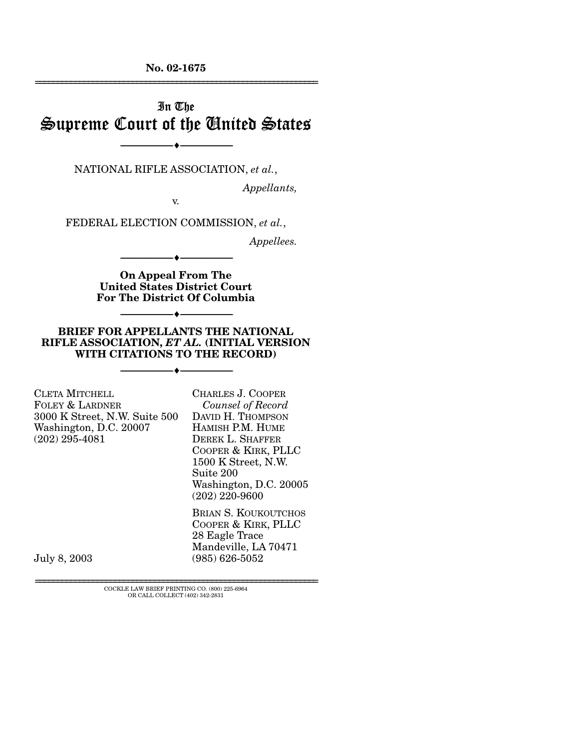**No. 02-1675**  ================================================================

# In The Supreme Court of the United States

NATIONAL RIFLE ASSOCIATION, *et al.*,

----------------------------- ------------------------------

----♦-- -

----♦-- -

----♦-- -

----♦-- -

*Appellants,* 

v.

FEDERAL ELECTION COMMISSION, *et al.*,

*Appellees.* 

**On Appeal From The United States District Court For The District Of Columbia** 

----------------------------- ------------------------------

----------------------------- ------------------------------

#### **BRIEF FOR APPELLANTS THE NATIONAL RIFLE ASSOCIATION,** *ET AL.* **(INITIAL VERSION WITH CITATIONS TO THE RECORD)**

----------------------------- ------------------------------

| <b>CLETA MITCHELL</b>         | CHARLES J. COOPER                          |
|-------------------------------|--------------------------------------------|
| FOLEY & LARDNER               | Counsel of Record                          |
| 3000 K Street, N.W. Suite 500 | DAVID H. THOMPSON                          |
| Washington, D.C. 20007        | HAMISH P.M. HUME                           |
| $(202)$ 295-4081              | DEREK L. SHAFFER                           |
|                               | COOPER & KIRK, PLLC                        |
|                               | 1500 K Street, N.W.                        |
|                               | Suite 200                                  |
|                               | Washington, D.C. 20005                     |
|                               | $(202)$ 220-9600                           |
|                               | $D_{\text{rel}} \sim \Omega$ Izerretration |

BRIAN S. KOUKOUTCHOS COOPER & KIRK, PLLC 28 Eagle Trace Mandeville, LA 70471 (985) 626-5052

July 8, 2003

================================================================ COCKLE LAW BRIEF PRINTING CO. (800) 225-6964 OR CALL COLLECT (402) 342-2831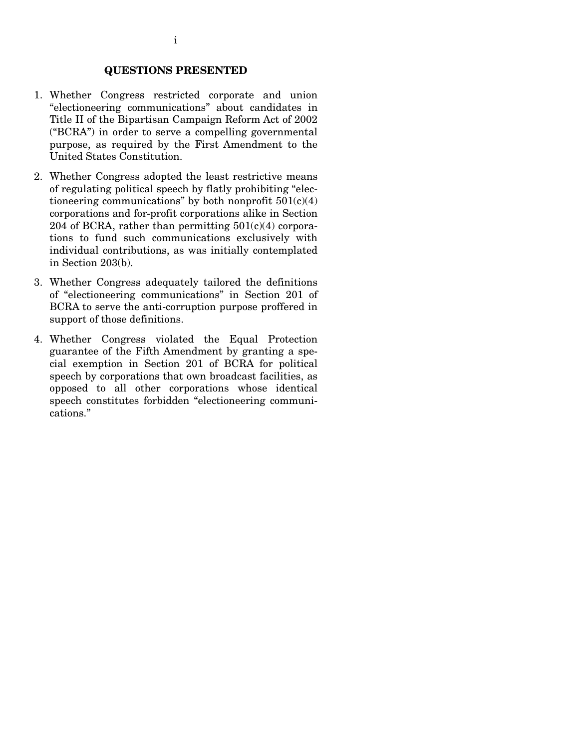#### **QUESTIONS PRESENTED**

- 1. Whether Congress restricted corporate and union "electioneering communications" about candidates in Title II of the Bipartisan Campaign Reform Act of 2002 ("BCRA") in order to serve a compelling governmental purpose, as required by the First Amendment to the United States Constitution.
- 2. Whether Congress adopted the least restrictive means of regulating political speech by flatly prohibiting "electioneering communications" by both nonprofit  $501(c)(4)$ corporations and for-profit corporations alike in Section 204 of BCRA, rather than permitting  $501(c)(4)$  corporations to fund such communications exclusively with individual contributions, as was initially contemplated in Section 203(b).
- 3. Whether Congress adequately tailored the definitions of "electioneering communications" in Section 201 of BCRA to serve the anti-corruption purpose proffered in support of those definitions.
- 4. Whether Congress violated the Equal Protection guarantee of the Fifth Amendment by granting a special exemption in Section 201 of BCRA for political speech by corporations that own broadcast facilities, as opposed to all other corporations whose identical speech constitutes forbidden "electioneering communications."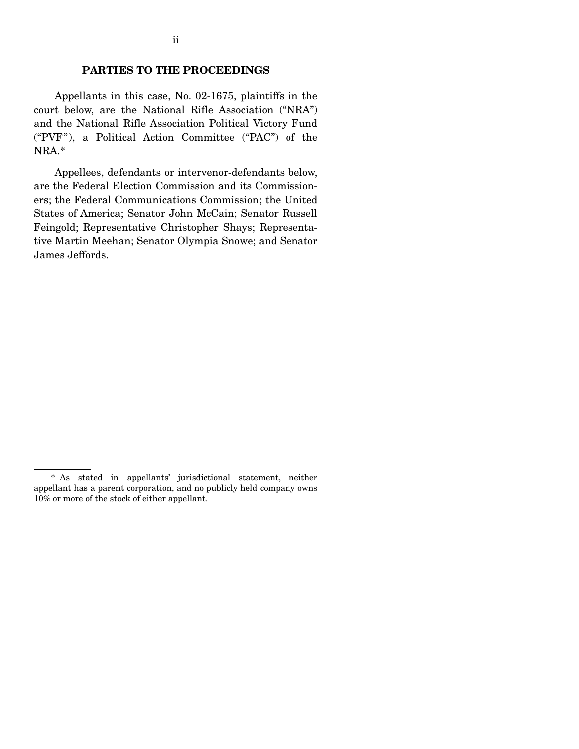#### **PARTIES TO THE PROCEEDINGS**

Appellants in this case, No. 02-1675, plaintiffs in the court below, are the National Rifle Association ("NRA") and the National Rifle Association Political Victory Fund ("PVF"), a Political Action Committee ("PAC") of the NRA.\*

Appellees, defendants or intervenor-defendants below, are the Federal Election Commission and its Commissioners; the Federal Communications Commission; the United States of America; Senator John McCain; Senator Russell Feingold; Representative Christopher Shays; Representative Martin Meehan; Senator Olympia Snowe; and Senator James Jeffords.

<sup>\*</sup> As stated in appellants' jurisdictional statement, neither appellant has a parent corporation, and no publicly held company owns 10% or more of the stock of either appellant.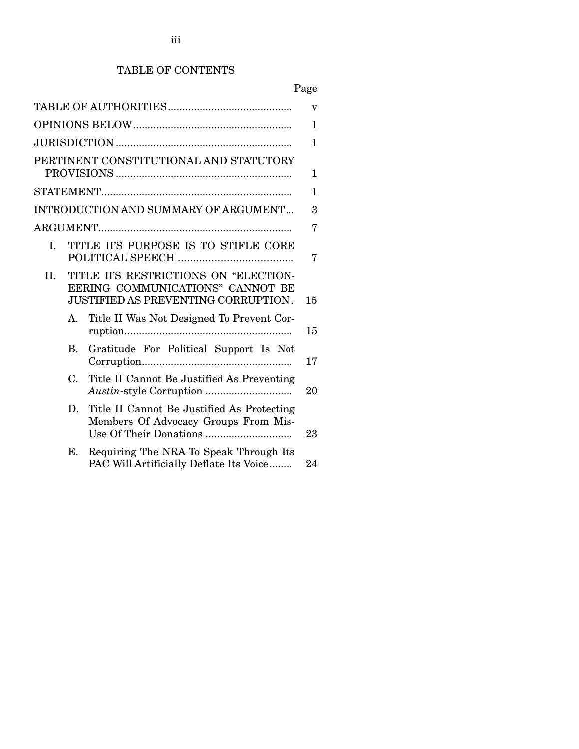# TABLE OF CONTENTS

|     |                                                                                                                  | v  |
|-----|------------------------------------------------------------------------------------------------------------------|----|
|     |                                                                                                                  | 1  |
|     |                                                                                                                  | 1  |
|     | PERTINENT CONSTITUTIONAL AND STATUTORY                                                                           | 1  |
|     |                                                                                                                  | 1  |
|     | <b>INTRODUCTION AND SUMMARY OF ARGUMENT</b>                                                                      | 3  |
|     |                                                                                                                  | 7  |
| L.  | TITLE II'S PURPOSE IS TO STIFLE CORE                                                                             | 7  |
| II. | TITLE II'S RESTRICTIONS ON "ELECTION-<br>EERING COMMUNICATIONS" CANNOT BE<br>JUSTIFIED AS PREVENTING CORRUPTION. | 15 |
|     | Title II Was Not Designed To Prevent Cor-<br>A.                                                                  | 15 |
|     | Gratitude For Political Support Is Not<br>B.                                                                     | 17 |
|     | C.<br>Title II Cannot Be Justified As Preventing                                                                 | 20 |
|     | Title II Cannot Be Justified As Protecting<br>D.<br>Members Of Advocacy Groups From Mis-                         | 23 |
|     | Requiring The NRA To Speak Through Its<br>Е.<br>PAC Will Artificially Deflate Its Voice                          | 24 |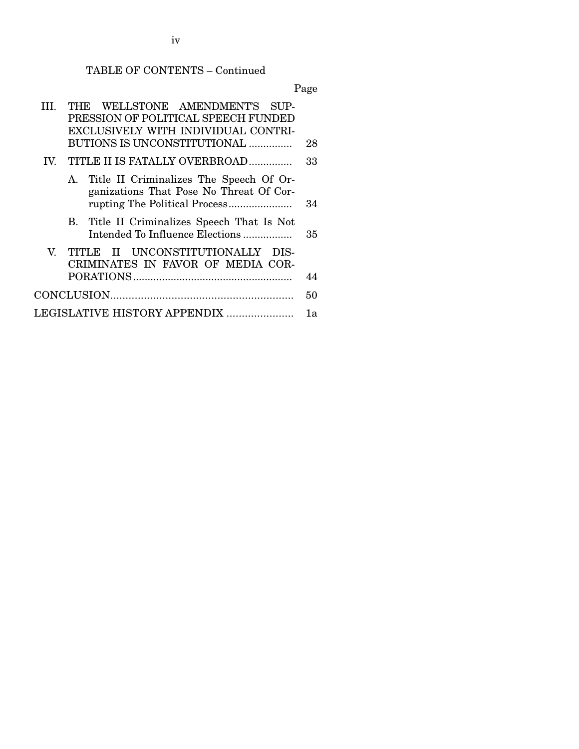TABLE OF CONTENTS – Continued

Page

|               | THE WELLSTONE AMENDMENT'S SUP-<br>PRESSION OF POLITICAL SPEECH FUNDED<br>EXCLUSIVELY WITH INDIVIDUAL CONTRI-<br>BUTIONS IS UNCONSTITUTIONAL | 28 |
|---------------|---------------------------------------------------------------------------------------------------------------------------------------------|----|
| $\mathbf{IV}$ | TITLE II IS FATALLY OVERBROAD                                                                                                               | 33 |
|               | A. Title II Criminalizes The Speech Of Or-<br>ganizations That Pose No Threat Of Cor-                                                       | 34 |
|               | B. Title II Criminalizes Speech That Is Not<br>Intended To Influence Elections                                                              | 35 |
|               | V. TITLE II UNCONSTITUTIONALLY<br>DIS-<br>CRIMINATES IN FAVOR OF MEDIA COR-                                                                 | 44 |
|               |                                                                                                                                             | 50 |
|               | LEGISLATIVE HISTORY APPENDIX                                                                                                                | 1a |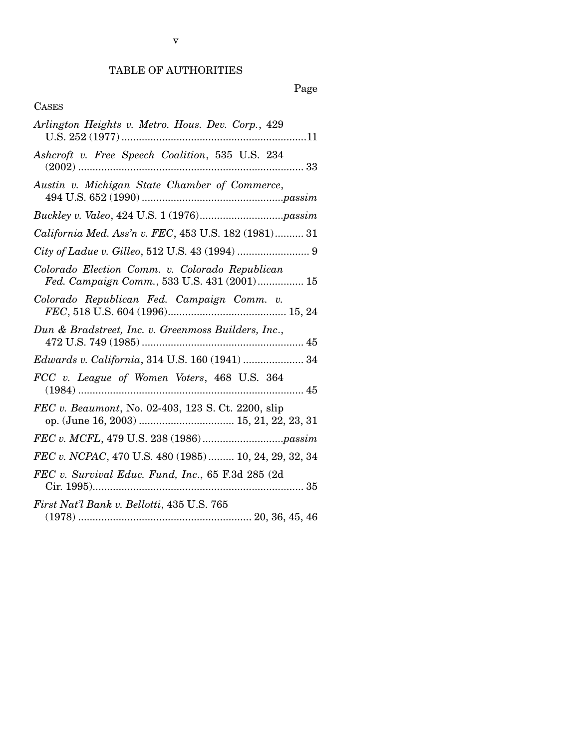# Page

# CASES

| Arlington Heights v. Metro. Hous. Dev. Corp., 429                                             |
|-----------------------------------------------------------------------------------------------|
| Ashcroft v. Free Speech Coalition, 535 U.S. 234                                               |
| Austin v. Michigan State Chamber of Commerce,                                                 |
|                                                                                               |
| California Med. Ass'n v. FEC, 453 U.S. 182 (1981) 31                                          |
|                                                                                               |
| Colorado Election Comm. v. Colorado Republican<br>Fed. Campaign Comm., 533 U.S. 431 (2001) 15 |
| Colorado Republican Fed. Campaign Comm. v.                                                    |
| Dun & Bradstreet, Inc. v. Greenmoss Builders, Inc.,                                           |
| Edwards v. California, 314 U.S. 160 (1941)  34                                                |
| FCC v. League of Women Voters, 468 U.S. 364                                                   |
| FEC v. Beaumont, No. 02-403, 123 S. Ct. 2200, slip                                            |
|                                                                                               |
| FEC v. NCPAC, 470 U.S. 480 (1985)  10, 24, 29, 32, 34                                         |
| FEC v. Survival Educ. Fund, Inc., 65 F.3d 285 (2d)                                            |
| First Nat'l Bank v. Bellotti, 435 U.S. 765                                                    |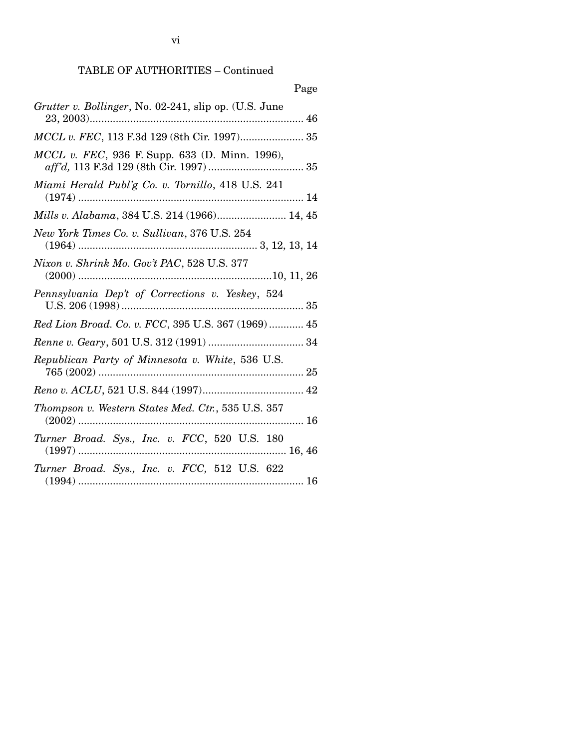vi

# TABLE OF AUTHORITIES – Continued

| Page                                                   |
|--------------------------------------------------------|
| Grutter v. Bollinger, No. 02-241, slip op. (U.S. June  |
| MCCL v. FEC, 113 F.3d 129 (8th Cir. 1997) 35           |
| <i>MCCL v. FEC</i> , 936 F. Supp. 633 (D. Minn. 1996), |
| Miami Herald Publ'g Co. v. Tornillo, 418 U.S. 241      |
| Mills v. Alabama, 384 U.S. 214 (1966) 14, 45           |
| New York Times Co. v. Sullivan, 376 U.S. 254           |
| Nixon v. Shrink Mo. Gov't PAC, 528 U.S. 377            |
| Pennsylvania Dep't of Corrections v. Yeskey, 524       |
| Red Lion Broad. Co. v. FCC, 395 U.S. 367 (1969)  45    |
|                                                        |
| Republican Party of Minnesota v. White, 536 U.S.       |
|                                                        |
| Thompson v. Western States Med. Ctr., 535 U.S. 357     |
| Turner Broad. Sys., Inc. v. FCC, 520 U.S. 180          |
| Turner Broad. Sys., Inc. v. FCC, 512 U.S. 622          |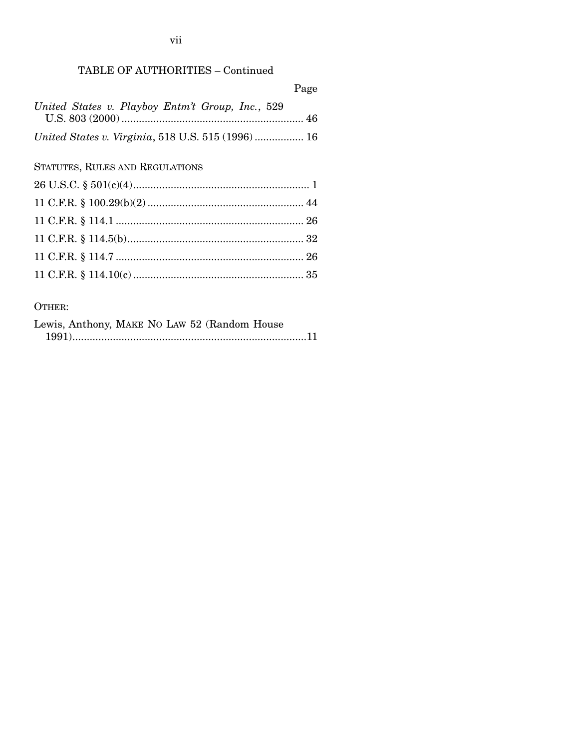# TABLE OF AUTHORITIES – Continued

|                                                   | Page |
|---------------------------------------------------|------|
| United States v. Playboy Entm't Group, Inc., 529  |      |
| United States v. Virginia, 518 U.S. 515 (1996) 16 |      |
| STATUTES, RULES AND REGULATIONS                   |      |
|                                                   |      |

# OTHER:

| Lewis, Anthony, MAKE NO LAW 52 (Random House |  |  |
|----------------------------------------------|--|--|
|                                              |  |  |

vii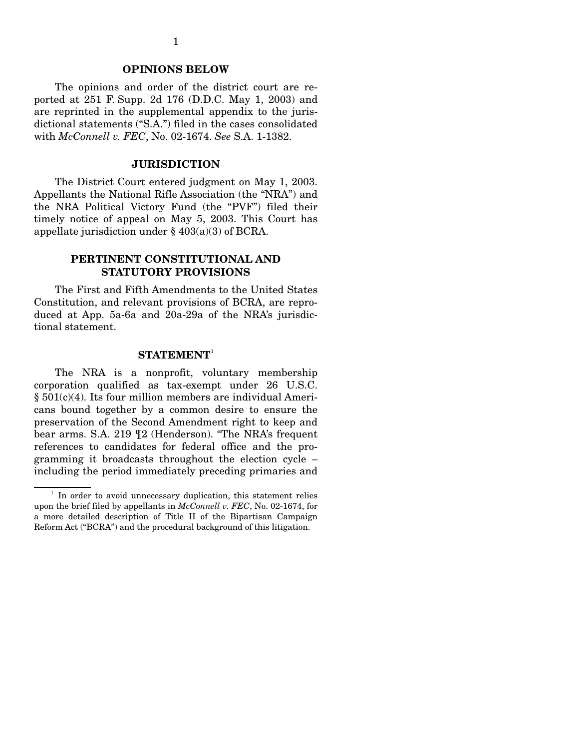#### **OPINIONS BELOW**

The opinions and order of the district court are reported at 251 F. Supp. 2d 176 (D.D.C. May 1, 2003) and are reprinted in the supplemental appendix to the jurisdictional statements ("S.A.") filed in the cases consolidated with *McConnell v. FEC*, No. 02-1674. *See* S.A. 1-1382.

#### **JURISDICTION**

The District Court entered judgment on May 1, 2003. Appellants the National Rifle Association (the "NRA") and the NRA Political Victory Fund (the "PVF") filed their timely notice of appeal on May 5, 2003. This Court has appellate jurisdiction under § 403(a)(3) of BCRA.

### **PERTINENT CONSTITUTIONAL AND STATUTORY PROVISIONS**

The First and Fifth Amendments to the United States Constitution, and relevant provisions of BCRA, are reproduced at App. 5a-6a and 20a-29a of the NRA's jurisdictional statement.

#### $\mathbf{STATEMENT}^1$

The NRA is a nonprofit, voluntary membership corporation qualified as tax-exempt under 26 U.S.C. § 501(c)(4). Its four million members are individual Americans bound together by a common desire to ensure the preservation of the Second Amendment right to keep and bear arms. S.A. 219 ¶2 (Henderson). "The NRA's frequent references to candidates for federal office and the programming it broadcasts throughout the election cycle – including the period immediately preceding primaries and

 $1$  In order to avoid unnecessary duplication, this statement relies upon the brief filed by appellants in *McConnell v. FEC*, No. 02-1674, for a more detailed description of Title II of the Bipartisan Campaign Reform Act ("BCRA") and the procedural background of this litigation.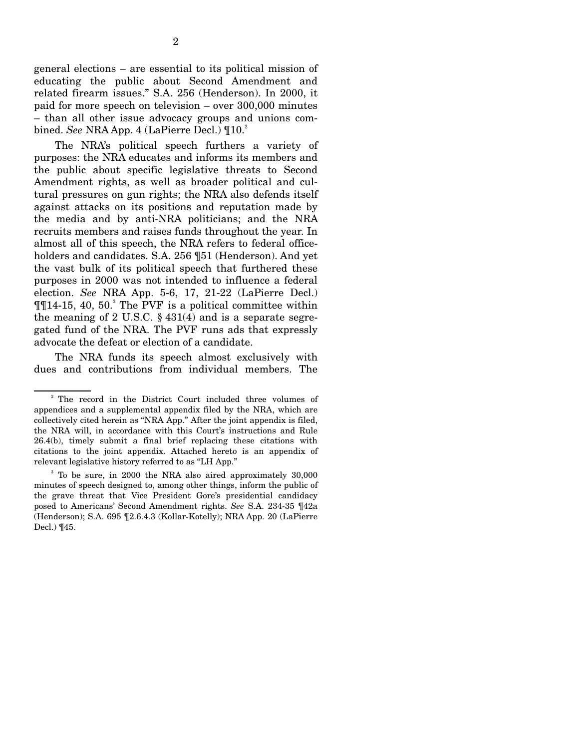general elections – are essential to its political mission of educating the public about Second Amendment and related firearm issues." S.A. 256 (Henderson). In 2000, it paid for more speech on television – over 300,000 minutes – than all other issue advocacy groups and unions combined. *See* NRA App. 4 (LaPierre Decl.)  $\P{10<sup>2</sup>}$ 

The NRA's political speech furthers a variety of purposes: the NRA educates and informs its members and the public about specific legislative threats to Second Amendment rights, as well as broader political and cultural pressures on gun rights; the NRA also defends itself against attacks on its positions and reputation made by the media and by anti-NRA politicians; and the NRA recruits members and raises funds throughout the year. In almost all of this speech, the NRA refers to federal officeholders and candidates. S.A. 256 ¶51 (Henderson). And yet the vast bulk of its political speech that furthered these purposes in 2000 was not intended to influence a federal election. *See* NRA App. 5-6, 17, 21-22 (LaPierre Decl.)  $\P$ [14-15, 40, 50.<sup>3</sup> The PVF is a political committee within the meaning of 2 U.S.C.  $\S$  431(4) and is a separate segregated fund of the NRA. The PVF runs ads that expressly advocate the defeat or election of a candidate.

The NRA funds its speech almost exclusively with dues and contributions from individual members. The

<sup>2</sup> The record in the District Court included three volumes of appendices and a supplemental appendix filed by the NRA, which are collectively cited herein as "NRA App." After the joint appendix is filed, the NRA will, in accordance with this Court's instructions and Rule 26.4(b), timely submit a final brief replacing these citations with citations to the joint appendix. Attached hereto is an appendix of relevant legislative history referred to as "LH App."

<sup>3</sup> To be sure, in 2000 the NRA also aired approximately 30,000 minutes of speech designed to, among other things, inform the public of the grave threat that Vice President Gore's presidential candidacy posed to Americans' Second Amendment rights. *See* S.A. 234-35 ¶42a (Henderson); S.A. 695 ¶2.6.4.3 (Kollar-Kotelly); NRA App. 20 (LaPierre Decl.) ¶45.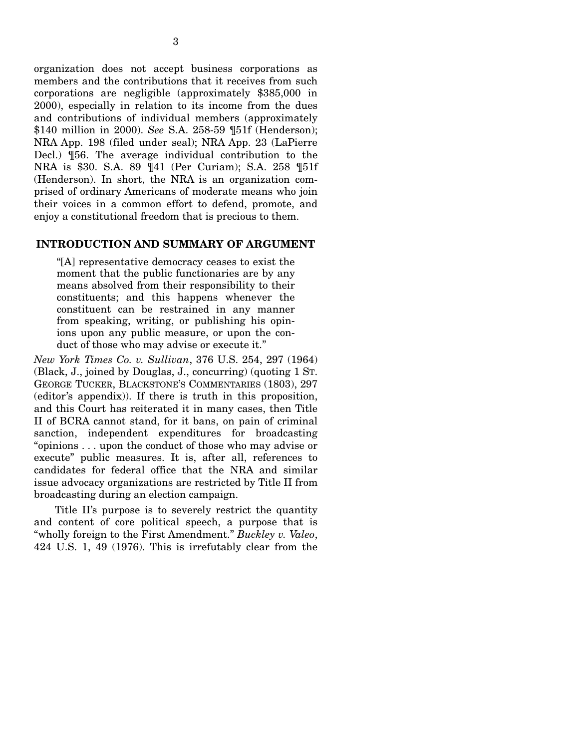organization does not accept business corporations as members and the contributions that it receives from such corporations are negligible (approximately \$385,000 in 2000), especially in relation to its income from the dues and contributions of individual members (approximately \$140 million in 2000). *See* S.A. 258-59 ¶51f (Henderson); NRA App. 198 (filed under seal); NRA App. 23 (LaPierre Decl.) ¶56. The average individual contribution to the NRA is \$30. S.A. 89 ¶41 (Per Curiam); S.A. 258 ¶51f (Henderson). In short, the NRA is an organization comprised of ordinary Americans of moderate means who join their voices in a common effort to defend, promote, and enjoy a constitutional freedom that is precious to them.

#### **INTRODUCTION AND SUMMARY OF ARGUMENT**

"[A] representative democracy ceases to exist the moment that the public functionaries are by any means absolved from their responsibility to their constituents; and this happens whenever the constituent can be restrained in any manner from speaking, writing, or publishing his opinions upon any public measure, or upon the conduct of those who may advise or execute it."

*New York Times Co. v. Sullivan*, 376 U.S. 254, 297 (1964) (Black, J., joined by Douglas, J., concurring) (quoting 1 ST. GEORGE TUCKER, BLACKSTONE'S COMMENTARIES (1803), 297 (editor's appendix)). If there is truth in this proposition, and this Court has reiterated it in many cases, then Title II of BCRA cannot stand, for it bans, on pain of criminal sanction, independent expenditures for broadcasting "opinions . . . upon the conduct of those who may advise or execute" public measures. It is, after all, references to candidates for federal office that the NRA and similar issue advocacy organizations are restricted by Title II from broadcasting during an election campaign.

Title II's purpose is to severely restrict the quantity and content of core political speech, a purpose that is "wholly foreign to the First Amendment." *Buckley v. Valeo*, 424 U.S. 1, 49 (1976). This is irrefutably clear from the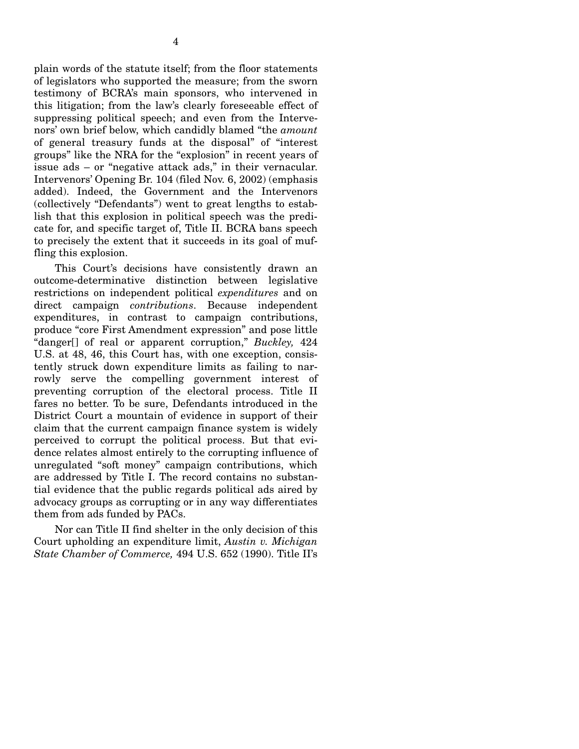plain words of the statute itself; from the floor statements of legislators who supported the measure; from the sworn testimony of BCRA's main sponsors, who intervened in this litigation; from the law's clearly foreseeable effect of suppressing political speech; and even from the Intervenors' own brief below, which candidly blamed "the *amount*  of general treasury funds at the disposal" of "interest groups" like the NRA for the "explosion" in recent years of issue ads – or "negative attack ads," in their vernacular. Intervenors' Opening Br. 104 (filed Nov. 6, 2002) (emphasis added). Indeed, the Government and the Intervenors (collectively "Defendants") went to great lengths to establish that this explosion in political speech was the predicate for, and specific target of, Title II. BCRA bans speech to precisely the extent that it succeeds in its goal of muffling this explosion.

This Court's decisions have consistently drawn an outcome-determinative distinction between legislative restrictions on independent political *expenditures* and on direct campaign *contributions*. Because independent expenditures, in contrast to campaign contributions, produce "core First Amendment expression" and pose little "danger[] of real or apparent corruption," *Buckley,* 424 U.S. at 48, 46, this Court has, with one exception, consistently struck down expenditure limits as failing to narrowly serve the compelling government interest of preventing corruption of the electoral process. Title II fares no better. To be sure, Defendants introduced in the District Court a mountain of evidence in support of their claim that the current campaign finance system is widely perceived to corrupt the political process. But that evidence relates almost entirely to the corrupting influence of unregulated "soft money" campaign contributions, which are addressed by Title I. The record contains no substantial evidence that the public regards political ads aired by advocacy groups as corrupting or in any way differentiates them from ads funded by PACs.

Nor can Title II find shelter in the only decision of this Court upholding an expenditure limit, *Austin v. Michigan State Chamber of Commerce,* 494 U.S. 652 (1990). Title II's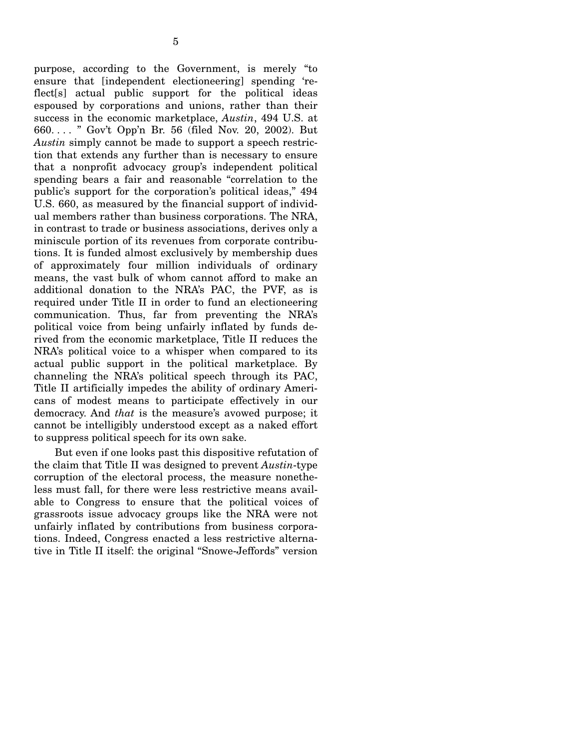purpose, according to the Government, is merely "to ensure that [independent electioneering] spending 'reflect[s] actual public support for the political ideas espoused by corporations and unions, rather than their success in the economic marketplace, *Austin*, 494 U.S. at 660. . . . " Gov't Opp'n Br. 56 (filed Nov. 20, 2002). But *Austin* simply cannot be made to support a speech restriction that extends any further than is necessary to ensure that a nonprofit advocacy group's independent political spending bears a fair and reasonable "correlation to the public's support for the corporation's political ideas," 494 U.S. 660, as measured by the financial support of individual members rather than business corporations. The NRA, in contrast to trade or business associations, derives only a miniscule portion of its revenues from corporate contributions. It is funded almost exclusively by membership dues of approximately four million individuals of ordinary means, the vast bulk of whom cannot afford to make an additional donation to the NRA's PAC, the PVF, as is required under Title II in order to fund an electioneering communication. Thus, far from preventing the NRA's political voice from being unfairly inflated by funds derived from the economic marketplace, Title II reduces the NRA's political voice to a whisper when compared to its actual public support in the political marketplace. By channeling the NRA's political speech through its PAC, Title II artificially impedes the ability of ordinary Americans of modest means to participate effectively in our democracy. And *that* is the measure's avowed purpose; it cannot be intelligibly understood except as a naked effort to suppress political speech for its own sake.

But even if one looks past this dispositive refutation of the claim that Title II was designed to prevent *Austin*-type corruption of the electoral process, the measure nonetheless must fall, for there were less restrictive means available to Congress to ensure that the political voices of grassroots issue advocacy groups like the NRA were not unfairly inflated by contributions from business corporations. Indeed, Congress enacted a less restrictive alternative in Title II itself: the original "Snowe-Jeffords" version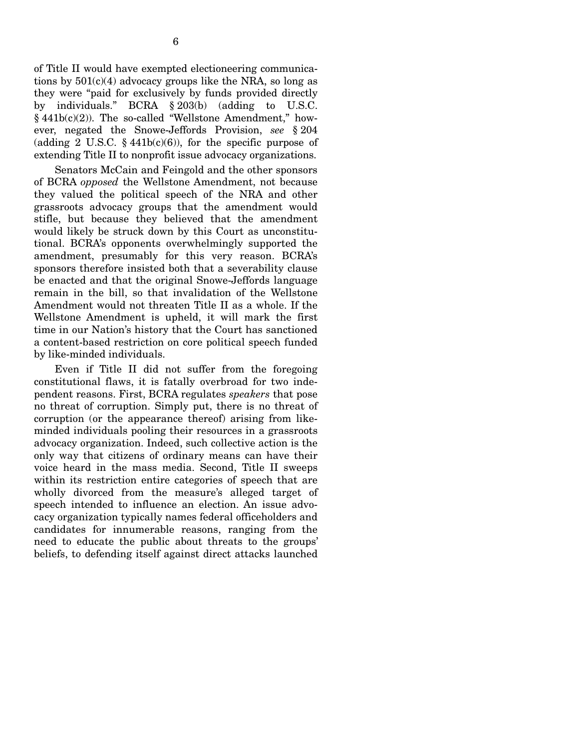of Title II would have exempted electioneering communications by  $501(c)(4)$  advocacy groups like the NRA, so long as they were "paid for exclusively by funds provided directly by individuals." BCRA § 203(b) (adding to U.S.C.  $§ 441b(c)(2)$ ). The so-called "Wellstone Amendment," however, negated the Snowe-Jeffords Provision, *see* § 204 (adding 2 U.S.C.  $\S$  441b(c)(6)), for the specific purpose of extending Title II to nonprofit issue advocacy organizations.

Senators McCain and Feingold and the other sponsors of BCRA *opposed* the Wellstone Amendment, not because they valued the political speech of the NRA and other grassroots advocacy groups that the amendment would stifle, but because they believed that the amendment would likely be struck down by this Court as unconstitutional. BCRA's opponents overwhelmingly supported the amendment, presumably for this very reason. BCRA's sponsors therefore insisted both that a severability clause be enacted and that the original Snowe-Jeffords language remain in the bill, so that invalidation of the Wellstone Amendment would not threaten Title II as a whole. If the Wellstone Amendment is upheld, it will mark the first time in our Nation's history that the Court has sanctioned a content-based restriction on core political speech funded by like-minded individuals.

Even if Title II did not suffer from the foregoing constitutional flaws, it is fatally overbroad for two independent reasons. First, BCRA regulates *speakers* that pose no threat of corruption. Simply put, there is no threat of corruption (or the appearance thereof) arising from likeminded individuals pooling their resources in a grassroots advocacy organization. Indeed, such collective action is the only way that citizens of ordinary means can have their voice heard in the mass media. Second, Title II sweeps within its restriction entire categories of speech that are wholly divorced from the measure's alleged target of speech intended to influence an election. An issue advocacy organization typically names federal officeholders and candidates for innumerable reasons, ranging from the need to educate the public about threats to the groups' beliefs, to defending itself against direct attacks launched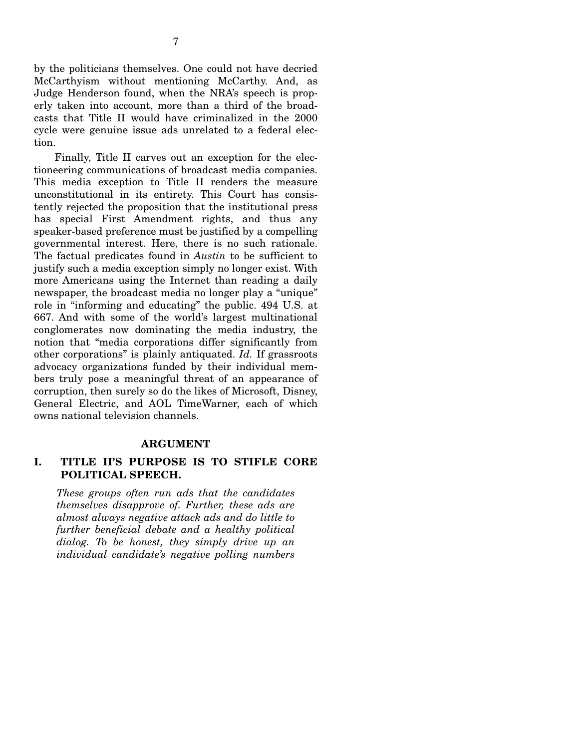by the politicians themselves. One could not have decried McCarthyism without mentioning McCarthy. And, as Judge Henderson found, when the NRA's speech is properly taken into account, more than a third of the broadcasts that Title II would have criminalized in the 2000 cycle were genuine issue ads unrelated to a federal election.

Finally, Title II carves out an exception for the electioneering communications of broadcast media companies. This media exception to Title II renders the measure unconstitutional in its entirety. This Court has consistently rejected the proposition that the institutional press has special First Amendment rights, and thus any speaker-based preference must be justified by a compelling governmental interest. Here, there is no such rationale. The factual predicates found in *Austin* to be sufficient to justify such a media exception simply no longer exist. With more Americans using the Internet than reading a daily newspaper, the broadcast media no longer play a "unique" role in "informing and educating" the public. 494 U.S. at 667. And with some of the world's largest multinational conglomerates now dominating the media industry, the notion that "media corporations differ significantly from other corporations" is plainly antiquated. *Id.* If grassroots advocacy organizations funded by their individual members truly pose a meaningful threat of an appearance of corruption, then surely so do the likes of Microsoft, Disney, General Electric, and AOL TimeWarner, each of which owns national television channels.

#### **ARGUMENT**

### **I. TITLE II'S PURPOSE IS TO STIFLE CORE POLITICAL SPEECH.**

*These groups often run ads that the candidates themselves disapprove of. Further, these ads are almost always negative attack ads and do little to further beneficial debate and a healthy political dialog. To be honest, they simply drive up an individual candidate's negative polling numbers*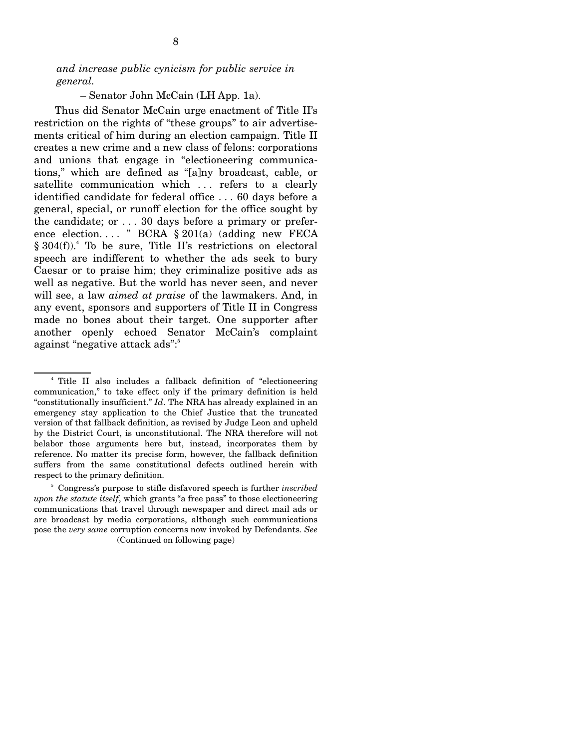*and increase public cynicism for public service in general.* 

– Senator John McCain (LH App. 1a).

Thus did Senator McCain urge enactment of Title II's restriction on the rights of "these groups" to air advertisements critical of him during an election campaign. Title II creates a new crime and a new class of felons: corporations and unions that engage in "electioneering communications," which are defined as "[a]ny broadcast, cable, or satellite communication which ... refers to a clearly identified candidate for federal office . . . 60 days before a general, special, or runoff election for the office sought by the candidate; or . . . 30 days before a primary or preference election. . . . " BCRA § 201(a) (adding new FECA § 304(f)).<sup>4</sup> To be sure, Title II's restrictions on electoral speech are indifferent to whether the ads seek to bury Caesar or to praise him; they criminalize positive ads as well as negative. But the world has never seen, and never will see, a law *aimed at praise* of the lawmakers. And, in any event, sponsors and supporters of Title II in Congress made no bones about their target. One supporter after another openly echoed Senator McCain's complaint against "negative attack ads":<sup>5</sup>

<sup>4</sup> Title II also includes a fallback definition of "electioneering communication," to take effect only if the primary definition is held "constitutionally insufficient." *Id*. The NRA has already explained in an emergency stay application to the Chief Justice that the truncated version of that fallback definition, as revised by Judge Leon and upheld by the District Court, is unconstitutional. The NRA therefore will not belabor those arguments here but, instead, incorporates them by reference. No matter its precise form, however, the fallback definition suffers from the same constitutional defects outlined herein with respect to the primary definition.

<sup>5</sup> Congress's purpose to stifle disfavored speech is further *inscribed upon the statute itself*, which grants "a free pass" to those electioneering communications that travel through newspaper and direct mail ads or are broadcast by media corporations, although such communications pose the *very same* corruption concerns now invoked by Defendants. *See*  (Continued on following page)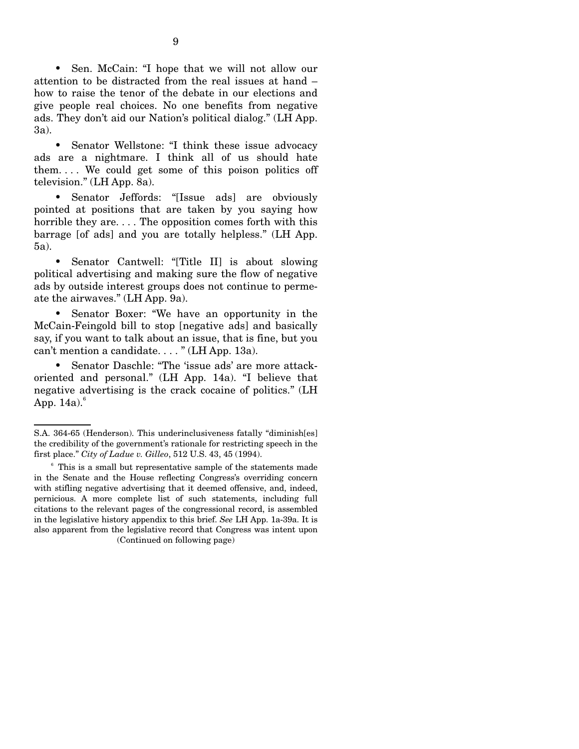• Sen. McCain: "I hope that we will not allow our attention to be distracted from the real issues at hand – how to raise the tenor of the debate in our elections and give people real choices. No one benefits from negative ads. They don't aid our Nation's political dialog." (LH App. 3a).

• Senator Wellstone: "I think these issue advocacy ads are a nightmare. I think all of us should hate them. . . . We could get some of this poison politics off television." (LH App. 8a).

• Senator Jeffords: "[Issue ads] are obviously pointed at positions that are taken by you saying how horrible they are.... The opposition comes forth with this barrage [of ads] and you are totally helpless." (LH App. 5a).

• Senator Cantwell: "Title II is about slowing political advertising and making sure the flow of negative ads by outside interest groups does not continue to permeate the airwaves." (LH App. 9a).

• Senator Boxer: "We have an opportunity in the McCain-Feingold bill to stop [negative ads] and basically say, if you want to talk about an issue, that is fine, but you can't mention a candidate. . . . " (LH App. 13a).

• Senator Daschle: "The 'issue ads' are more attackoriented and personal." (LH App. 14a). "I believe that negative advertising is the crack cocaine of politics." (LH App.  $14a$ <sup>6</sup>

S.A. 364-65 (Henderson). This underinclusiveness fatally "diminish[es] the credibility of the government's rationale for restricting speech in the first place." *City of Ladue v. Gilleo*, 512 U.S. 43, 45 (1994).

 $6$  This is a small but representative sample of the statements made in the Senate and the House reflecting Congress's overriding concern with stifling negative advertising that it deemed offensive, and, indeed, pernicious. A more complete list of such statements, including full citations to the relevant pages of the congressional record, is assembled in the legislative history appendix to this brief. *See* LH App. 1a-39a. It is also apparent from the legislative record that Congress was intent upon (Continued on following page)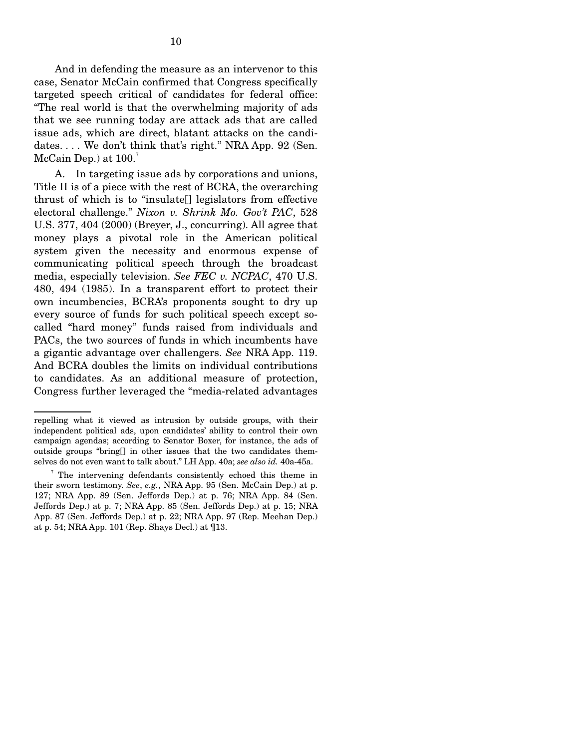And in defending the measure as an intervenor to this case, Senator McCain confirmed that Congress specifically targeted speech critical of candidates for federal office: "The real world is that the overwhelming majority of ads that we see running today are attack ads that are called issue ads, which are direct, blatant attacks on the candidates. . . . We don't think that's right." NRA App. 92 (Sen. McCain Dep.) at  $100<sup>7</sup>$ 

A. In targeting issue ads by corporations and unions, Title II is of a piece with the rest of BCRA, the overarching thrust of which is to "insulate[] legislators from effective electoral challenge." *Nixon v. Shrink Mo. Gov't PAC*, 528 U.S. 377, 404 (2000) (Breyer, J., concurring). All agree that money plays a pivotal role in the American political system given the necessity and enormous expense of communicating political speech through the broadcast media, especially television. *See FEC v. NCPAC*, 470 U.S. 480, 494 (1985). In a transparent effort to protect their own incumbencies, BCRA's proponents sought to dry up every source of funds for such political speech except socalled "hard money" funds raised from individuals and PACs, the two sources of funds in which incumbents have a gigantic advantage over challengers. *See* NRA App. 119. And BCRA doubles the limits on individual contributions to candidates. As an additional measure of protection, Congress further leveraged the "media-related advantages

repelling what it viewed as intrusion by outside groups, with their independent political ads, upon candidates' ability to control their own campaign agendas; according to Senator Boxer, for instance, the ads of outside groups "bring[] in other issues that the two candidates themselves do not even want to talk about." LH App. 40a; *see also id.* 40a-45a.

<sup>7</sup> The intervening defendants consistently echoed this theme in their sworn testimony. *See*, *e.g.*, NRA App. 95 (Sen. McCain Dep.) at p. 127; NRA App. 89 (Sen. Jeffords Dep.) at p. 76; NRA App. 84 (Sen. Jeffords Dep.) at p. 7; NRA App. 85 (Sen. Jeffords Dep.) at p. 15; NRA App. 87 (Sen. Jeffords Dep.) at p. 22; NRA App. 97 (Rep. Meehan Dep.) at p. 54; NRA App. 101 (Rep. Shays Decl.) at ¶13.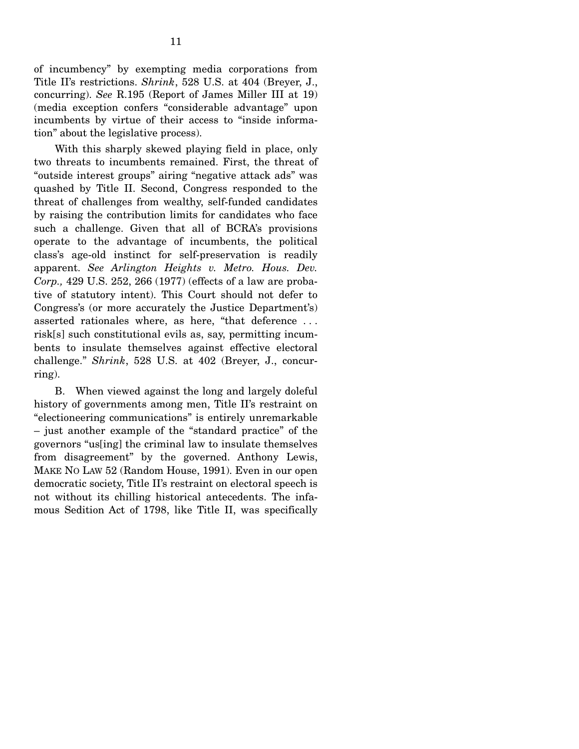of incumbency" by exempting media corporations from Title II's restrictions. *Shrink*, 528 U.S. at 404 (Breyer, J., concurring). *See* R.195 (Report of James Miller III at 19) (media exception confers "considerable advantage" upon incumbents by virtue of their access to "inside information" about the legislative process).

With this sharply skewed playing field in place, only two threats to incumbents remained. First, the threat of "outside interest groups" airing "negative attack ads" was quashed by Title II. Second, Congress responded to the threat of challenges from wealthy, self-funded candidates by raising the contribution limits for candidates who face such a challenge. Given that all of BCRA's provisions operate to the advantage of incumbents, the political class's age-old instinct for self-preservation is readily apparent. *See Arlington Heights v. Metro. Hous. Dev. Corp.,* 429 U.S. 252, 266 (1977) (effects of a law are probative of statutory intent). This Court should not defer to Congress's (or more accurately the Justice Department's) asserted rationales where, as here, "that deference . . . risk[s] such constitutional evils as, say, permitting incumbents to insulate themselves against effective electoral challenge." *Shrink*, 528 U.S. at 402 (Breyer, J., concurring).

B. When viewed against the long and largely doleful history of governments among men, Title II's restraint on "electioneering communications" is entirely unremarkable – just another example of the "standard practice" of the governors "us[ing] the criminal law to insulate themselves from disagreement" by the governed. Anthony Lewis, MAKE NO LAW 52 (Random House, 1991). Even in our open democratic society, Title II's restraint on electoral speech is not without its chilling historical antecedents. The infamous Sedition Act of 1798, like Title II, was specifically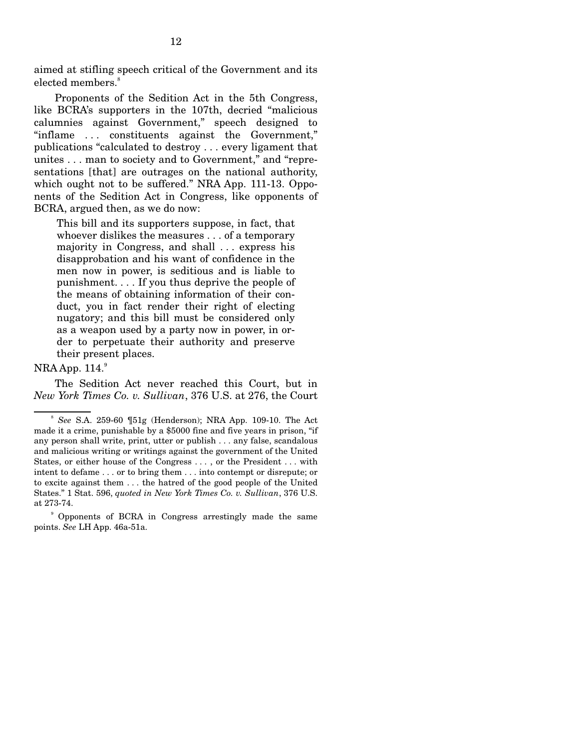aimed at stifling speech critical of the Government and its elected members.<sup>8</sup>

Proponents of the Sedition Act in the 5th Congress, like BCRA's supporters in the 107th, decried "malicious calumnies against Government," speech designed to "inflame . . . constituents against the Government," publications "calculated to destroy . . . every ligament that unites . . . man to society and to Government," and "representations [that] are outrages on the national authority, which ought not to be suffered." NRA App. 111-13. Opponents of the Sedition Act in Congress, like opponents of BCRA, argued then, as we do now:

This bill and its supporters suppose, in fact, that whoever dislikes the measures . . . of a temporary majority in Congress, and shall . . . express his disapprobation and his want of confidence in the men now in power, is seditious and is liable to punishment. . . . If you thus deprive the people of the means of obtaining information of their conduct, you in fact render their right of electing nugatory; and this bill must be considered only as a weapon used by a party now in power, in order to perpetuate their authority and preserve their present places.

#### $NRA$  App.  $114.<sup>9</sup>$

The Sedition Act never reached this Court, but in *New York Times Co. v. Sullivan*, 376 U.S. at 276, the Court

<sup>8</sup>*See* S.A. 259-60 ¶51g (Henderson); NRA App. 109-10. The Act made it a crime, punishable by a \$5000 fine and five years in prison, "if any person shall write, print, utter or publish . . . any false, scandalous and malicious writing or writings against the government of the United States, or either house of the Congress . . . , or the President . . . with intent to defame . . . or to bring them . . . into contempt or disrepute; or to excite against them . . . the hatred of the good people of the United States." 1 Stat. 596, *quoted in New York Times Co. v. Sullivan*, 376 U.S. at 273-74.

<sup>9</sup> Opponents of BCRA in Congress arrestingly made the same points. *See* LH App. 46a-51a.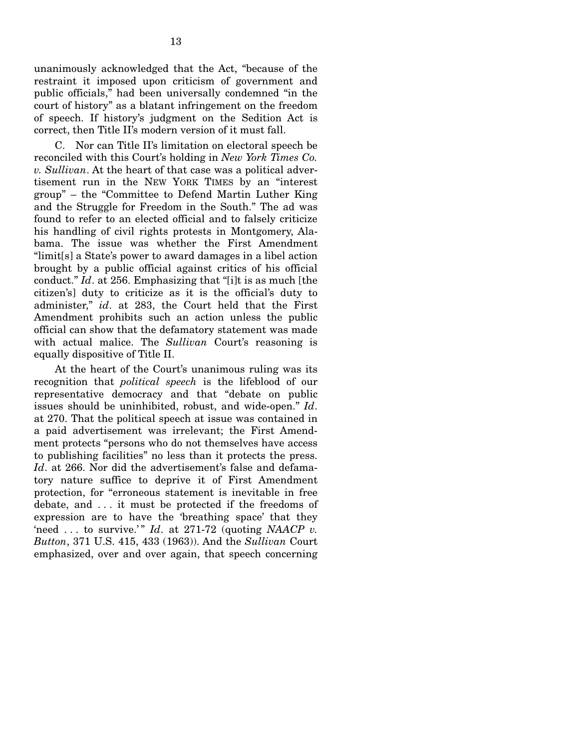unanimously acknowledged that the Act, "because of the restraint it imposed upon criticism of government and public officials," had been universally condemned "in the court of history" as a blatant infringement on the freedom of speech. If history's judgment on the Sedition Act is correct, then Title II's modern version of it must fall.

C. Nor can Title II's limitation on electoral speech be reconciled with this Court's holding in *New York Times Co. v. Sullivan*. At the heart of that case was a political advertisement run in the NEW YORK TIMES by an "interest group" – the "Committee to Defend Martin Luther King and the Struggle for Freedom in the South." The ad was found to refer to an elected official and to falsely criticize his handling of civil rights protests in Montgomery, Alabama. The issue was whether the First Amendment "limit[s] a State's power to award damages in a libel action brought by a public official against critics of his official conduct." *Id*. at 256. Emphasizing that "[i]t is as much [the citizen's] duty to criticize as it is the official's duty to administer," *id*. at 283, the Court held that the First Amendment prohibits such an action unless the public official can show that the defamatory statement was made with actual malice. The *Sullivan* Court's reasoning is equally dispositive of Title II.

At the heart of the Court's unanimous ruling was its recognition that *political speech* is the lifeblood of our representative democracy and that "debate on public issues should be uninhibited, robust, and wide-open." *Id*. at 270. That the political speech at issue was contained in a paid advertisement was irrelevant; the First Amendment protects "persons who do not themselves have access to publishing facilities" no less than it protects the press. *Id*. at 266. Nor did the advertisement's false and defamatory nature suffice to deprive it of First Amendment protection, for "erroneous statement is inevitable in free debate, and . . . it must be protected if the freedoms of expression are to have the 'breathing space' that they 'need ... to survive.'"  $Id$ . at 271-72 (quoting *NAACP v. Button*, 371 U.S. 415, 433 (1963)). And the *Sullivan* Court emphasized, over and over again, that speech concerning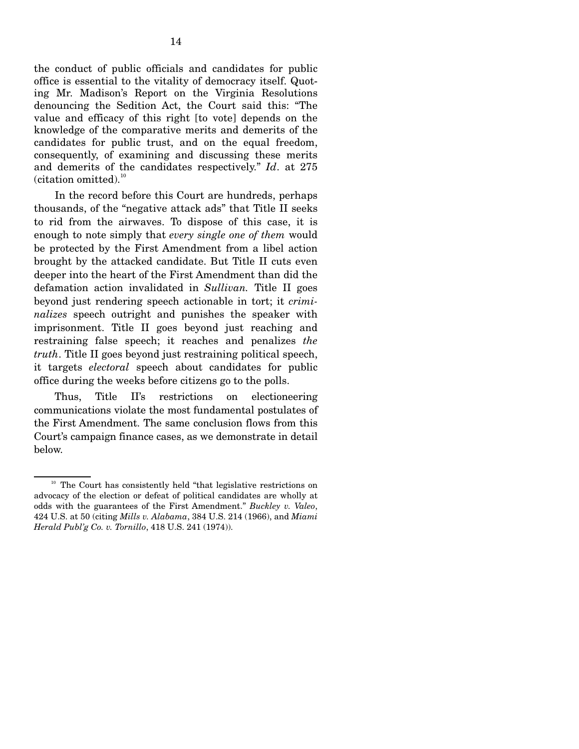the conduct of public officials and candidates for public office is essential to the vitality of democracy itself. Quoting Mr. Madison's Report on the Virginia Resolutions denouncing the Sedition Act, the Court said this: "The value and efficacy of this right [to vote] depends on the knowledge of the comparative merits and demerits of the candidates for public trust, and on the equal freedom, consequently, of examining and discussing these merits and demerits of the candidates respectively." *Id*. at 275 (citation omitted).<sup>10</sup>

In the record before this Court are hundreds, perhaps thousands, of the "negative attack ads" that Title II seeks to rid from the airwaves. To dispose of this case, it is enough to note simply that *every single one of them* would be protected by the First Amendment from a libel action brought by the attacked candidate. But Title II cuts even deeper into the heart of the First Amendment than did the defamation action invalidated in *Sullivan.* Title II goes beyond just rendering speech actionable in tort; it *criminalizes* speech outright and punishes the speaker with imprisonment. Title II goes beyond just reaching and restraining false speech; it reaches and penalizes *the truth*. Title II goes beyond just restraining political speech, it targets *electoral* speech about candidates for public office during the weeks before citizens go to the polls.

Thus, Title II's restrictions on electioneering communications violate the most fundamental postulates of the First Amendment. The same conclusion flows from this Court's campaign finance cases, as we demonstrate in detail below.

 $10$  The Court has consistently held "that legislative restrictions on advocacy of the election or defeat of political candidates are wholly at odds with the guarantees of the First Amendment." *Buckley v. Valeo*, 424 U.S. at 50 (citing *Mills v. Alabama*, 384 U.S. 214 (1966), and *Miami Herald Publ'g Co. v. Tornillo*, 418 U.S. 241 (1974)).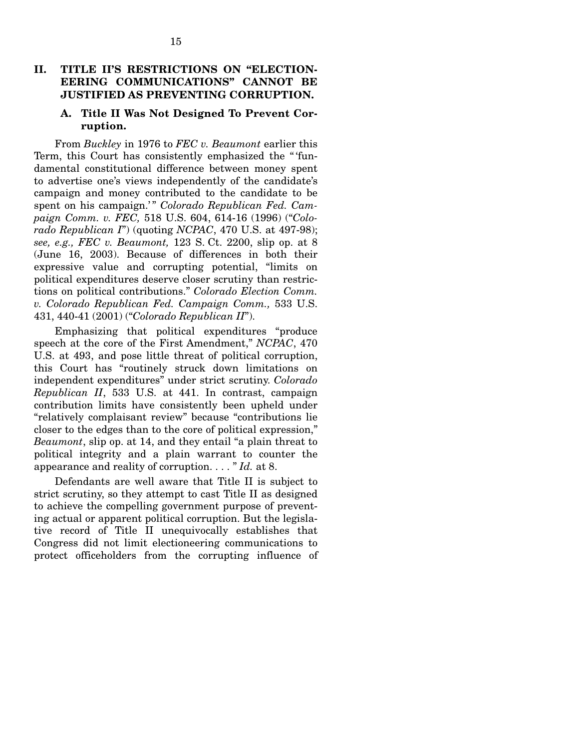## II. TITLE II'S RESTRICTIONS ON "ELECTION-**EERING COMMUNICATIONS" CANNOT BE JUSTIFIED AS PREVENTING CORRUPTION.**

#### **A. Title II Was Not Designed To Prevent Corruption.**

From *Buckley* in 1976 to *FEC v. Beaumont* earlier this Term, this Court has consistently emphasized the " 'fundamental constitutional difference between money spent to advertise one's views independently of the candidate's campaign and money contributed to the candidate to be spent on his campaign.'" Colorado Republican Fed. Cam*paign Comm. v. FEC,* 518 U.S. 604, 614-16 (1996) ("*Colorado Republican I*") (quoting *NCPAC*, 470 U.S. at 497-98); *see, e.g., FEC v. Beaumont,* 123 S. Ct. 2200, slip op. at 8 (June 16, 2003). Because of differences in both their expressive value and corrupting potential, "limits on political expenditures deserve closer scrutiny than restrictions on political contributions." *Colorado Election Comm. v. Colorado Republican Fed. Campaign Comm.,* 533 U.S. 431, 440-41 (2001) ("*Colorado Republican II*").

Emphasizing that political expenditures "produce speech at the core of the First Amendment," *NCPAC*, 470 U.S. at 493, and pose little threat of political corruption, this Court has "routinely struck down limitations on independent expenditures" under strict scrutiny. *Colorado Republican II*, 533 U.S. at 441. In contrast, campaign contribution limits have consistently been upheld under "relatively complaisant review" because "contributions lie closer to the edges than to the core of political expression," *Beaumont*, slip op. at 14, and they entail "a plain threat to political integrity and a plain warrant to counter the appearance and reality of corruption. . . . " *Id.* at 8.

Defendants are well aware that Title II is subject to strict scrutiny, so they attempt to cast Title II as designed to achieve the compelling government purpose of preventing actual or apparent political corruption. But the legislative record of Title II unequivocally establishes that Congress did not limit electioneering communications to protect officeholders from the corrupting influence of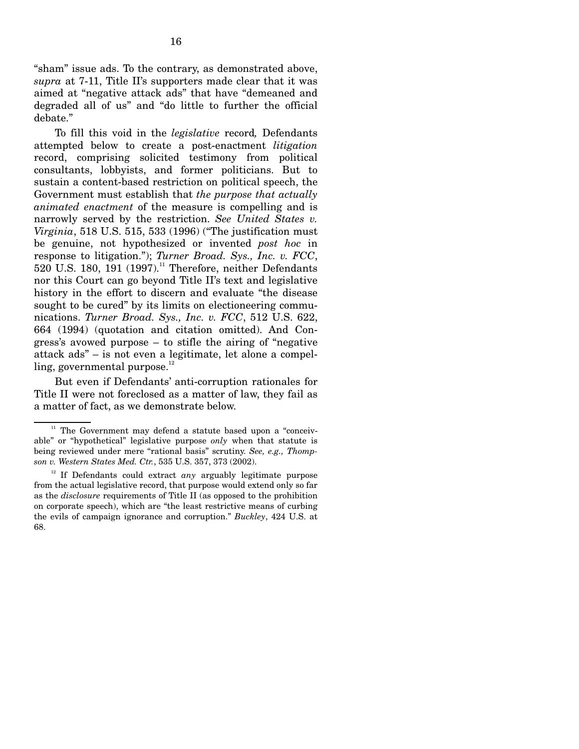"sham" issue ads. To the contrary, as demonstrated above, *supra* at 7-11, Title II's supporters made clear that it was aimed at "negative attack ads" that have "demeaned and degraded all of us" and "do little to further the official debate."

To fill this void in the *legislative* record*,* Defendants attempted below to create a post-enactment *litigation*  record, comprising solicited testimony from political consultants, lobbyists, and former politicians. But to sustain a content-based restriction on political speech, the Government must establish that *the purpose that actually animated enactment* of the measure is compelling and is narrowly served by the restriction. *See United States v. Virginia*, 518 U.S. 515, 533 (1996) ("The justification must be genuine, not hypothesized or invented *post hoc* in response to litigation."); *Turner Broad. Sys., Inc. v. FCC*, 520 U.S. 180, 191  $(1997)^{11}$  Therefore, neither Defendants nor this Court can go beyond Title II's text and legislative history in the effort to discern and evaluate "the disease sought to be cured" by its limits on electioneering communications. *Turner Broad. Sys., Inc. v. FCC*, 512 U.S. 622, 664 (1994) (quotation and citation omitted). And Congress's avowed purpose – to stifle the airing of "negative attack ads" – is not even a legitimate, let alone a compelling, governmental purpose. $^{12}$ 

But even if Defendants' anti-corruption rationales for Title II were not foreclosed as a matter of law, they fail as a matter of fact, as we demonstrate below.

 $11$  The Government may defend a statute based upon a "conceivable" or "hypothetical" legislative purpose *only* when that statute is being reviewed under mere "rational basis" scrutiny. *See, e.g., Thompson v. Western States Med. Ctr.*, 535 U.S. 357, 373 (2002).

 $12$  If Defendants could extract *any* arguably legitimate purpose from the actual legislative record, that purpose would extend only so far as the *disclosure* requirements of Title II (as opposed to the prohibition on corporate speech), which are "the least restrictive means of curbing the evils of campaign ignorance and corruption." *Buckley*, 424 U.S. at 68.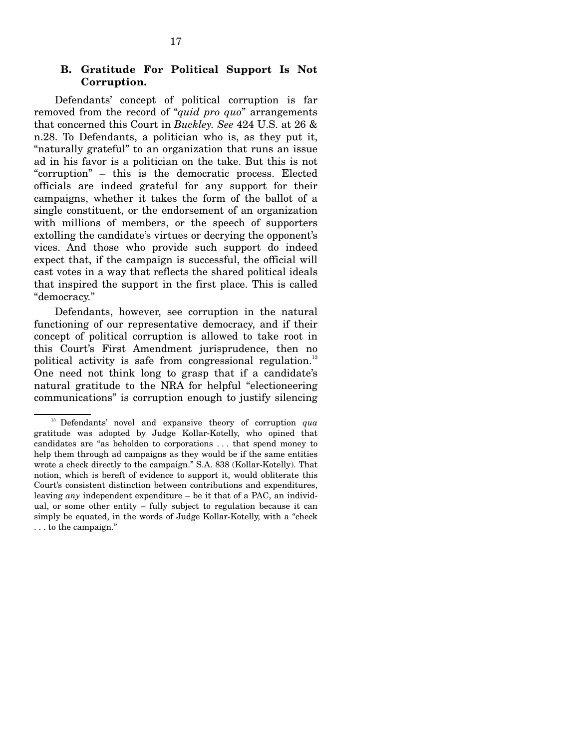Defendants' concept of political corruption is far removed from the record of "*quid pro quo*" arrangements that concerned this Court in *Buckley. See* 424 U.S. at 26 & n.28. To Defendants, a politician who is, as they put it, "naturally grateful" to an organization that runs an issue ad in his favor is a politician on the take. But this is not "corruption" – this is the democratic process. Elected officials are indeed grateful for any support for their campaigns, whether it takes the form of the ballot of a single constituent, or the endorsement of an organization with millions of members, or the speech of supporters extolling the candidate's virtues or decrying the opponent's vices. And those who provide such support do indeed expect that, if the campaign is successful, the official will cast votes in a way that reflects the shared political ideals that inspired the support in the first place. This is called "democracy."

Defendants, however, see corruption in the natural functioning of our representative democracy, and if their concept of political corruption is allowed to take root in this Court's First Amendment jurisprudence, then no political activity is safe from congressional regulation.<sup>13</sup> One need not think long to grasp that if a candidate's natural gratitude to the NRA for helpful "electioneering communications" is corruption enough to justify silencing

<sup>&</sup>lt;sup>13</sup> Defendants' novel and expansive theory of corruption *qua* gratitude was adopted by Judge Kollar-Kotelly, who opined that candidates are "as beholden to corporations . . . that spend money to help them through ad campaigns as they would be if the same entities wrote a check directly to the campaign." S.A. 838 (Kollar-Kotelly). That notion, which is bereft of evidence to support it, would obliterate this Court's consistent distinction between contributions and expenditures, leaving *any* independent expenditure – be it that of a PAC, an individual, or some other entity – fully subject to regulation because it can simply be equated, in the words of Judge Kollar-Kotelly, with a "check . . . to the campaign."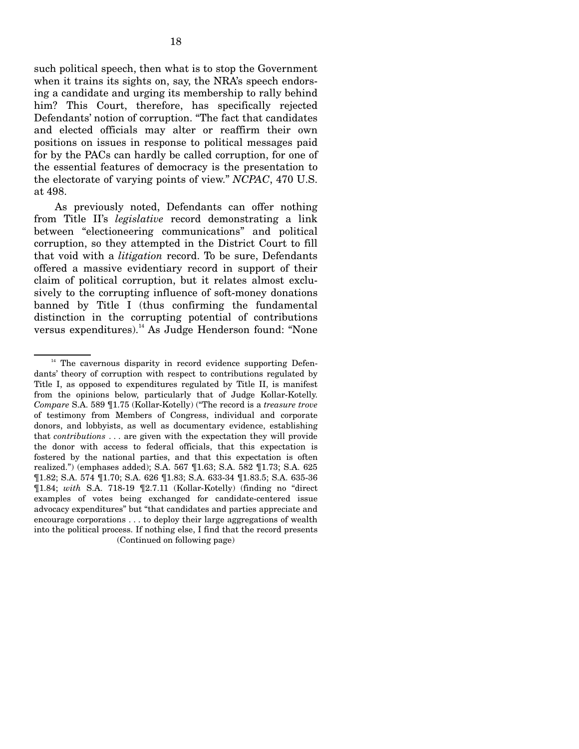such political speech, then what is to stop the Government when it trains its sights on, say, the NRA's speech endorsing a candidate and urging its membership to rally behind him? This Court, therefore, has specifically rejected Defendants' notion of corruption. "The fact that candidates and elected officials may alter or reaffirm their own positions on issues in response to political messages paid for by the PACs can hardly be called corruption, for one of the essential features of democracy is the presentation to the electorate of varying points of view." *NCPAC*, 470 U.S. at 498.

As previously noted, Defendants can offer nothing from Title II's *legislative* record demonstrating a link between "electioneering communications" and political corruption, so they attempted in the District Court to fill that void with a *litigation* record. To be sure, Defendants offered a massive evidentiary record in support of their claim of political corruption, but it relates almost exclusively to the corrupting influence of soft-money donations banned by Title I (thus confirming the fundamental distinction in the corrupting potential of contributions versus expenditures).<sup>14</sup> As Judge Henderson found: "None

 $14$  The cavernous disparity in record evidence supporting Defendants' theory of corruption with respect to contributions regulated by Title I, as opposed to expenditures regulated by Title II, is manifest from the opinions below, particularly that of Judge Kollar-Kotelly. *Compare* S.A. 589 ¶1.75 (Kollar-Kotelly) ("The record is a *treasure trove*  of testimony from Members of Congress, individual and corporate donors, and lobbyists, as well as documentary evidence, establishing that *contributions* . . . are given with the expectation they will provide the donor with access to federal officials, that this expectation is fostered by the national parties, and that this expectation is often realized.") (emphases added); S.A. 567 ¶1.63; S.A. 582 ¶1.73; S.A. 625 ¶1.82; S.A. 574 ¶1.70; S.A. 626 ¶1.83; S.A. 633-34 ¶1.83.5; S.A. 635-36 ¶1.84; *with* S.A. 718-19 ¶2.7.11 (Kollar-Kotelly) (finding no "direct examples of votes being exchanged for candidate-centered issue advocacy expenditures" but "that candidates and parties appreciate and encourage corporations . . . to deploy their large aggregations of wealth into the political process. If nothing else, I find that the record presents (Continued on following page)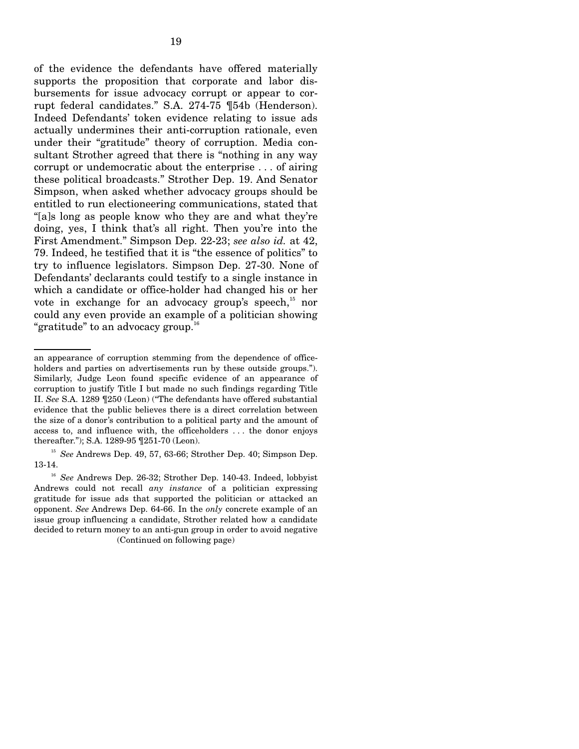of the evidence the defendants have offered materially supports the proposition that corporate and labor disbursements for issue advocacy corrupt or appear to corrupt federal candidates." S.A. 274-75 ¶54b (Henderson). Indeed Defendants' token evidence relating to issue ads actually undermines their anti-corruption rationale, even under their "gratitude" theory of corruption. Media consultant Strother agreed that there is "nothing in any way corrupt or undemocratic about the enterprise . . . of airing these political broadcasts." Strother Dep. 19. And Senator Simpson, when asked whether advocacy groups should be entitled to run electioneering communications, stated that "[a]s long as people know who they are and what they're doing, yes, I think that's all right. Then you're into the First Amendment." Simpson Dep. 22-23; *see also id.* at 42, 79. Indeed, he testified that it is "the essence of politics" to try to influence legislators. Simpson Dep. 27-30. None of Defendants' declarants could testify to a single instance in which a candidate or office-holder had changed his or her vote in exchange for an advocacy group's speech,<sup>15</sup> nor could any even provide an example of a politician showing "gratitude" to an advocacy group.<sup>16</sup>

an appearance of corruption stemming from the dependence of officeholders and parties on advertisements run by these outside groups."). Similarly, Judge Leon found specific evidence of an appearance of corruption to justify Title I but made no such findings regarding Title II. *See* S.A. 1289 ¶250 (Leon) ("The defendants have offered substantial evidence that the public believes there is a direct correlation between the size of a donor's contribution to a political party and the amount of access to, and influence with, the officeholders . . . the donor enjoys thereafter."); S.A. 1289-95 ¶251-70 (Leon).

<sup>&</sup>lt;sup>15</sup> See Andrews Dep. 49, 57, 63-66; Strother Dep. 40; Simpson Dep. 13-14.

<sup>&</sup>lt;sup>16</sup> See Andrews Dep. 26-32; Strother Dep. 140-43. Indeed, lobbyist Andrews could not recall *any instance* of a politician expressing gratitude for issue ads that supported the politician or attacked an opponent. *See* Andrews Dep. 64-66. In the *only* concrete example of an issue group influencing a candidate, Strother related how a candidate decided to return money to an anti-gun group in order to avoid negative (Continued on following page)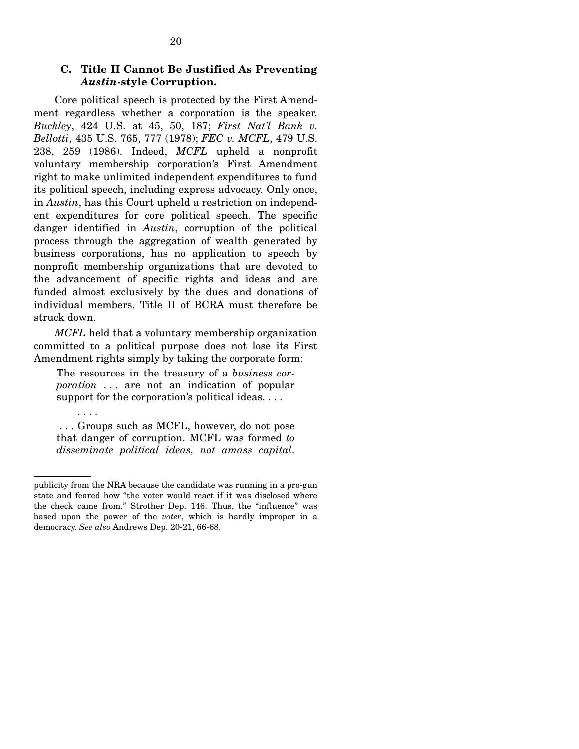### **C. Title II Cannot Be Justified As Preventing**  *Austin***-style Corruption.**

Core political speech is protected by the First Amendment regardless whether a corporation is the speaker. *Buckley*, 424 U.S. at 45, 50, 187; *First Nat'l Bank v. Bellotti*, 435 U.S. 765, 777 (1978); *FEC v. MCFL*, 479 U.S. 238, 259 (1986). Indeed, *MCFL* upheld a nonprofit voluntary membership corporation's First Amendment right to make unlimited independent expenditures to fund its political speech, including express advocacy. Only once, in *Austin*, has this Court upheld a restriction on independent expenditures for core political speech. The specific danger identified in *Austin*, corruption of the political process through the aggregation of wealth generated by business corporations, has no application to speech by nonprofit membership organizations that are devoted to the advancement of specific rights and ideas and are funded almost exclusively by the dues and donations of individual members. Title II of BCRA must therefore be struck down.

*MCFL* held that a voluntary membership organization committed to a political purpose does not lose its First Amendment rights simply by taking the corporate form:

The resources in the treasury of a *business corporation* ... are not an indication of popular support for the corporation's political ideas....

. . . Groups such as MCFL, however, do not pose that danger of corruption. MCFL was formed *to disseminate political ideas, not amass capital*.

. . . .

publicity from the NRA because the candidate was running in a pro-gun state and feared how "the voter would react if it was disclosed where the check came from." Strother Dep. 146. Thus, the "influence" was based upon the power of the *voter*, which is hardly improper in a democracy. *See also* Andrews Dep. 20-21, 66-68.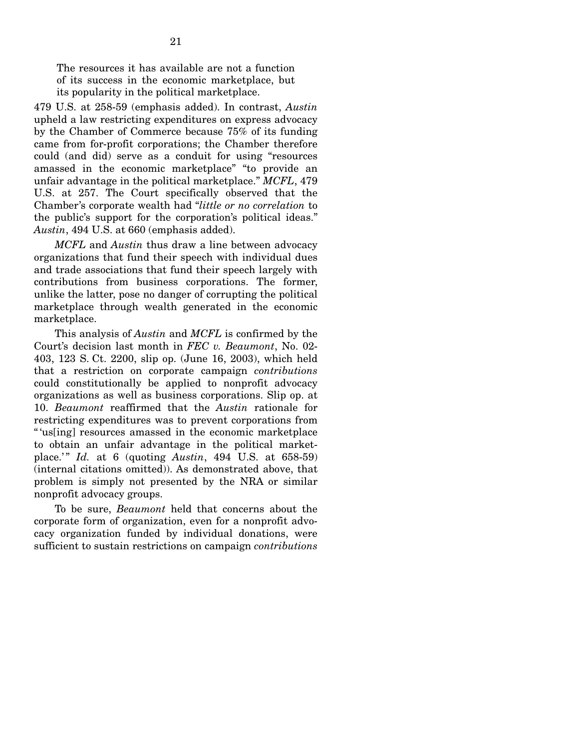The resources it has available are not a function of its success in the economic marketplace, but its popularity in the political marketplace.

479 U.S. at 258-59 (emphasis added). In contrast, *Austin*  upheld a law restricting expenditures on express advocacy by the Chamber of Commerce because 75% of its funding came from for-profit corporations; the Chamber therefore could (and did) serve as a conduit for using "resources amassed in the economic marketplace" "to provide an unfair advantage in the political marketplace." *MCFL*, 479 U.S. at 257. The Court specifically observed that the Chamber's corporate wealth had "*little or no correlation* to the public's support for the corporation's political ideas." *Austin*, 494 U.S. at 660 (emphasis added).

*MCFL* and *Austin* thus draw a line between advocacy organizations that fund their speech with individual dues and trade associations that fund their speech largely with contributions from business corporations. The former, unlike the latter, pose no danger of corrupting the political marketplace through wealth generated in the economic marketplace.

This analysis of *Austin* and *MCFL* is confirmed by the Court's decision last month in *FEC v. Beaumont*, No. 02- 403, 123 S. Ct. 2200, slip op. (June 16, 2003), which held that a restriction on corporate campaign *contributions*  could constitutionally be applied to nonprofit advocacy organizations as well as business corporations. Slip op. at 10. *Beaumont* reaffirmed that the *Austin* rationale for restricting expenditures was to prevent corporations from " 'us[ing] resources amassed in the economic marketplace to obtain an unfair advantage in the political marketplace.'" *Id.* at 6 (quoting *Austin*, 494 U.S. at 658-59) (internal citations omitted)). As demonstrated above, that problem is simply not presented by the NRA or similar nonprofit advocacy groups.

To be sure, *Beaumont* held that concerns about the corporate form of organization, even for a nonprofit advocacy organization funded by individual donations, were sufficient to sustain restrictions on campaign *contributions*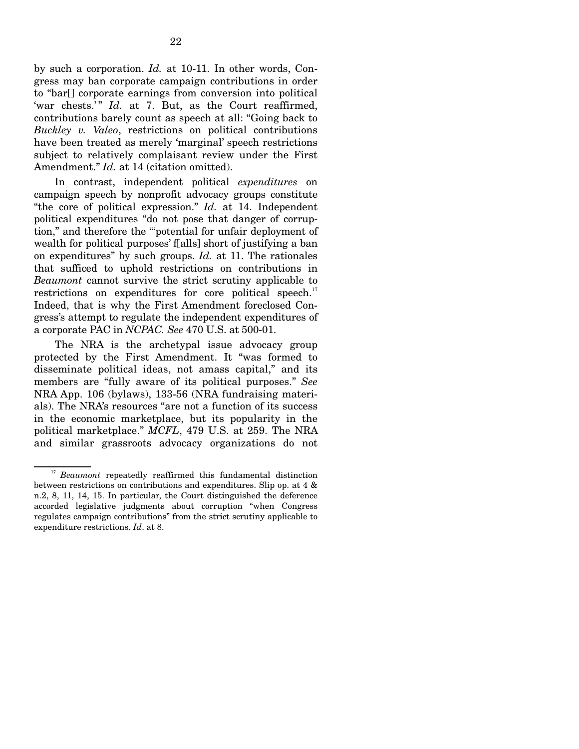by such a corporation. *Id.* at 10-11. In other words, Congress may ban corporate campaign contributions in order to "bar[] corporate earnings from conversion into political 'war chests.'" *Id.* at 7. But, as the Court reaffirmed, contributions barely count as speech at all: "Going back to *Buckley v. Valeo*, restrictions on political contributions have been treated as merely 'marginal' speech restrictions subject to relatively complaisant review under the First Amendment." *Id.* at 14 (citation omitted).

In contrast, independent political *expenditures* on campaign speech by nonprofit advocacy groups constitute "the core of political expression." *Id.* at 14. Independent political expenditures "do not pose that danger of corruption," and therefore the "'potential for unfair deployment of wealth for political purposes' f[alls] short of justifying a ban on expenditures" by such groups. *Id.* at 11. The rationales that sufficed to uphold restrictions on contributions in *Beaumont* cannot survive the strict scrutiny applicable to restrictions on expenditures for core political speech. $17$ Indeed, that is why the First Amendment foreclosed Congress's attempt to regulate the independent expenditures of a corporate PAC in *NCPAC. See* 470 U.S. at 500-01.

The NRA is the archetypal issue advocacy group protected by the First Amendment. It "was formed to disseminate political ideas, not amass capital," and its members are "fully aware of its political purposes." *See*  NRA App. 106 (bylaws), 133-56 (NRA fundraising materials). The NRA's resources "are not a function of its success in the economic marketplace, but its popularity in the political marketplace." *MCFL*, 479 U.S. at 259. The NRA and similar grassroots advocacy organizations do not

<sup>&</sup>lt;sup>17</sup> Beaumont repeatedly reaffirmed this fundamental distinction between restrictions on contributions and expenditures. Slip op. at 4 & n.2, 8, 11, 14, 15. In particular, the Court distinguished the deference accorded legislative judgments about corruption "when Congress regulates campaign contributions" from the strict scrutiny applicable to expenditure restrictions. *Id*. at 8.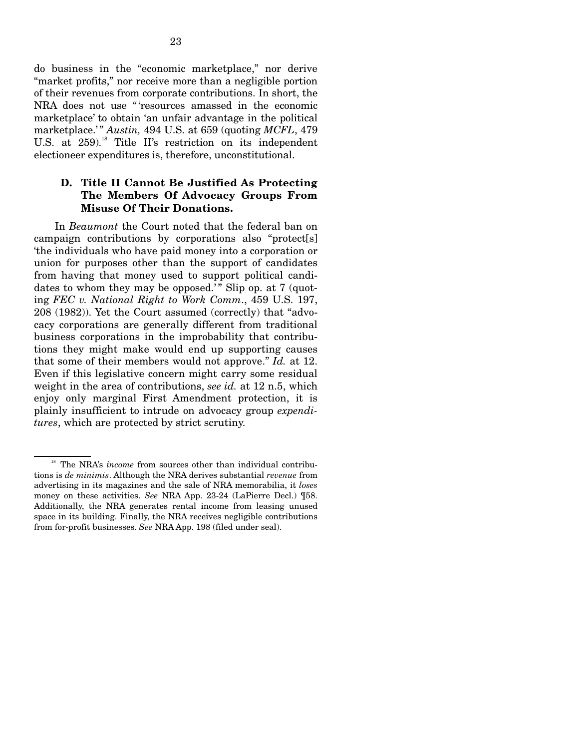do business in the "economic marketplace," nor derive "market profits," nor receive more than a negligible portion of their revenues from corporate contributions. In short, the NRA does not use " 'resources amassed in the economic marketplace' to obtain 'an unfair advantage in the political marketplace.'" *Austin,* 494 U.S. at 659 (quoting *MCFL*, 479 U.S. at 259).<sup>18</sup> Title II's restriction on its independent electioneer expenditures is, therefore, unconstitutional.

## **D. Title II Cannot Be Justified As Protecting The Members Of Advocacy Groups From Misuse Of Their Donations.**

In *Beaumont* the Court noted that the federal ban on campaign contributions by corporations also "protect[s] 'the individuals who have paid money into a corporation or union for purposes other than the support of candidates from having that money used to support political candidates to whom they may be opposed.'" Slip op. at  $7 \text{ (quot-}$ ing *FEC v. National Right to Work Comm*., 459 U.S. 197, 208 (1982)). Yet the Court assumed (correctly) that "advocacy corporations are generally different from traditional business corporations in the improbability that contributions they might make would end up supporting causes that some of their members would not approve." *Id.* at 12. Even if this legislative concern might carry some residual weight in the area of contributions, *see id.* at 12 n.5, which enjoy only marginal First Amendment protection, it is plainly insufficient to intrude on advocacy group *expenditures*, which are protected by strict scrutiny.

<sup>&</sup>lt;sup>18</sup> The NRA's *income* from sources other than individual contributions is *de minimis*. Although the NRA derives substantial *revenue* from advertising in its magazines and the sale of NRA memorabilia, it *loses*  money on these activities. *See* NRA App. 23-24 (LaPierre Decl.) ¶58. Additionally, the NRA generates rental income from leasing unused space in its building. Finally, the NRA receives negligible contributions from for-profit businesses. *See* NRA App. 198 (filed under seal).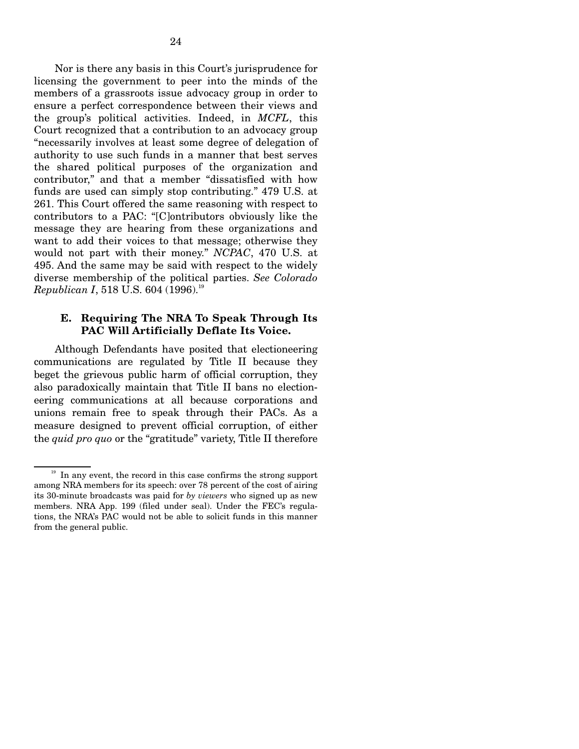Nor is there any basis in this Court's jurisprudence for licensing the government to peer into the minds of the members of a grassroots issue advocacy group in order to ensure a perfect correspondence between their views and the group's political activities. Indeed, in *MCFL*, this Court recognized that a contribution to an advocacy group "necessarily involves at least some degree of delegation of authority to use such funds in a manner that best serves the shared political purposes of the organization and contributor," and that a member "dissatisfied with how funds are used can simply stop contributing." 479 U.S. at 261. This Court offered the same reasoning with respect to contributors to a PAC: "[C]ontributors obviously like the message they are hearing from these organizations and want to add their voices to that message; otherwise they would not part with their money." *NCPAC*, 470 U.S. at 495. And the same may be said with respect to the widely diverse membership of the political parties. *See Colorado Republican I*, 518 U.S. 604 (1996).<sup>19</sup>

### **E. Requiring The NRA To Speak Through Its PAC Will Artificially Deflate Its Voice.**

Although Defendants have posited that electioneering communications are regulated by Title II because they beget the grievous public harm of official corruption, they also paradoxically maintain that Title II bans no electioneering communications at all because corporations and unions remain free to speak through their PACs. As a measure designed to prevent official corruption, of either the *quid pro quo* or the "gratitude" variety, Title II therefore

 $19$  In any event, the record in this case confirms the strong support among NRA members for its speech: over 78 percent of the cost of airing its 30-minute broadcasts was paid for *by viewers* who signed up as new members. NRA App. 199 (filed under seal). Under the FEC's regulations, the NRA's PAC would not be able to solicit funds in this manner from the general public.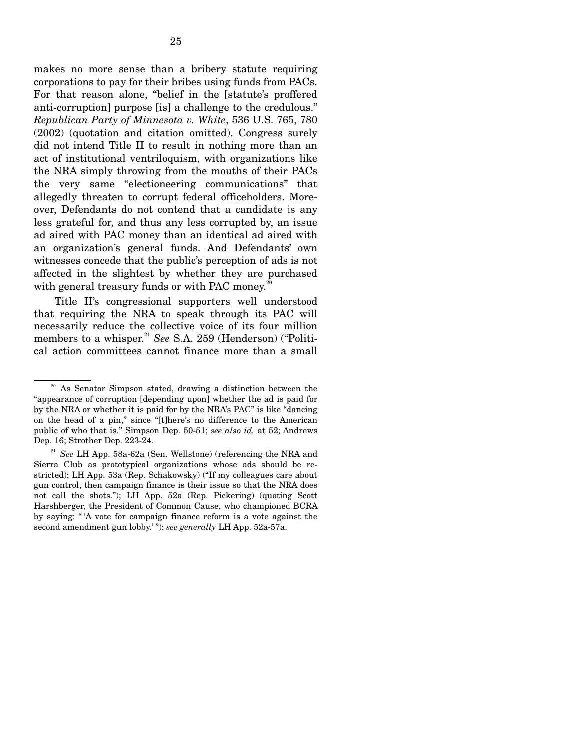makes no more sense than a bribery statute requiring corporations to pay for their bribes using funds from PACs. For that reason alone, "belief in the [statute's proffered anti-corruption] purpose [is] a challenge to the credulous." *Republican Party of Minnesota v. White*, 536 U.S. 765, 780 (2002) (quotation and citation omitted). Congress surely did not intend Title II to result in nothing more than an act of institutional ventriloquism, with organizations like the NRA simply throwing from the mouths of their PACs the very same "electioneering communications" that allegedly threaten to corrupt federal officeholders. Moreover, Defendants do not contend that a candidate is any less grateful for, and thus any less corrupted by, an issue ad aired with PAC money than an identical ad aired with an organization's general funds. And Defendants' own witnesses concede that the public's perception of ads is not affected in the slightest by whether they are purchased with general treasury funds or with PAC money.<sup>20</sup>

Title II's congressional supporters well understood that requiring the NRA to speak through its PAC will necessarily reduce the collective voice of its four million members to a whisper.<sup>21</sup> See S.A. 259 (Henderson) ("Political action committees cannot finance more than a small

<sup>20</sup> As Senator Simpson stated, drawing a distinction between the "appearance of corruption [depending upon] whether the ad is paid for by the NRA or whether it is paid for by the NRA's PAC" is like "dancing on the head of a pin," since "[t]here's no difference to the American public of who that is." Simpson Dep. 50-51; *see also id.* at 52; Andrews Dep. 16; Strother Dep. 223-24.

<sup>21</sup>*See* LH App. 58a-62a (Sen. Wellstone) (referencing the NRA and Sierra Club as prototypical organizations whose ads should be restricted); LH App. 53a (Rep. Schakowsky) ("If my colleagues care about gun control, then campaign finance is their issue so that the NRA does not call the shots."); LH App. 52a (Rep. Pickering) (quoting Scott Harshberger, the President of Common Cause, who championed BCRA by saying: " 'A vote for campaign finance reform is a vote against the second amendment gun lobby.' "); *see generally* LH App. 52a-57a.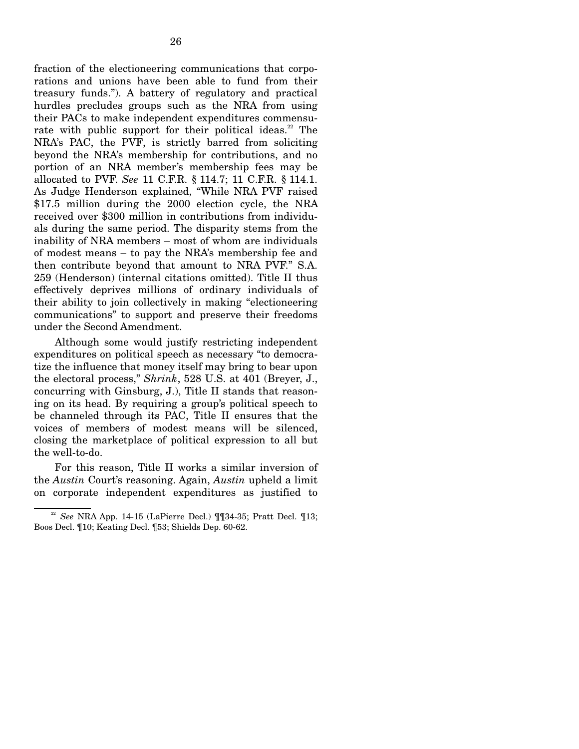fraction of the electioneering communications that corporations and unions have been able to fund from their treasury funds."). A battery of regulatory and practical hurdles precludes groups such as the NRA from using their PACs to make independent expenditures commensurate with public support for their political ideas.<sup>22</sup> The NRA's PAC, the PVF, is strictly barred from soliciting beyond the NRA's membership for contributions, and no portion of an NRA member's membership fees may be allocated to PVF. *See* 11 C.F.R. § 114.7; 11 C.F.R. § 114.1. As Judge Henderson explained, "While NRA PVF raised \$17.5 million during the 2000 election cycle, the NRA received over \$300 million in contributions from individuals during the same period. The disparity stems from the inability of NRA members – most of whom are individuals of modest means – to pay the NRA's membership fee and then contribute beyond that amount to NRA PVF." S.A. 259 (Henderson) (internal citations omitted). Title II thus effectively deprives millions of ordinary individuals of their ability to join collectively in making "electioneering communications" to support and preserve their freedoms under the Second Amendment.

Although some would justify restricting independent expenditures on political speech as necessary "to democratize the influence that money itself may bring to bear upon the electoral process," *Shrink*, 528 U.S. at 401 (Breyer, J., concurring with Ginsburg, J.), Title II stands that reasoning on its head. By requiring a group's political speech to be channeled through its PAC, Title II ensures that the voices of members of modest means will be silenced, closing the marketplace of political expression to all but the well-to-do.

For this reason, Title II works a similar inversion of the *Austin* Court's reasoning. Again, *Austin* upheld a limit on corporate independent expenditures as justified to

<sup>22</sup>*See* NRA App. 14-15 (LaPierre Decl.) ¶¶34-35; Pratt Decl. ¶13; Boos Decl. ¶10; Keating Decl. ¶53; Shields Dep. 60-62.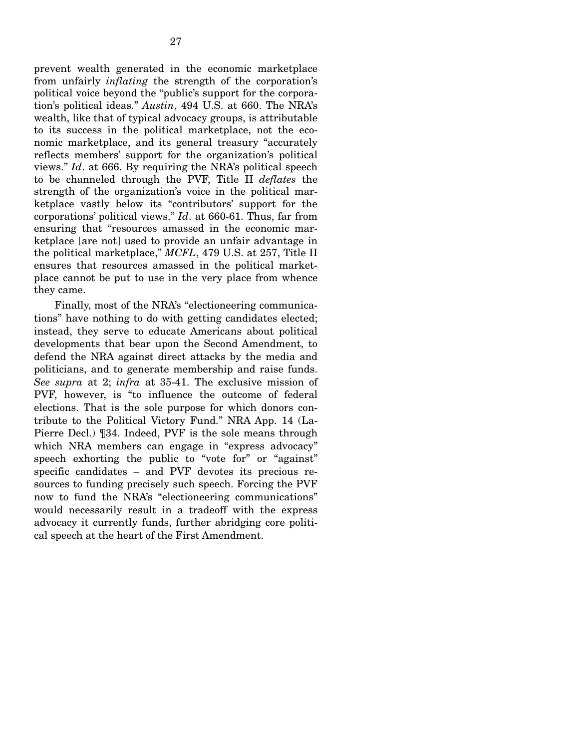prevent wealth generated in the economic marketplace from unfairly *inflating* the strength of the corporation's political voice beyond the "public's support for the corporation's political ideas." *Austin*, 494 U.S. at 660. The NRA's wealth, like that of typical advocacy groups, is attributable to its success in the political marketplace, not the economic marketplace, and its general treasury "accurately reflects members' support for the organization's political views." *Id*. at 666. By requiring the NRA's political speech to be channeled through the PVF, Title II *deflates* the strength of the organization's voice in the political marketplace vastly below its "contributors' support for the corporations' political views." *Id*. at 660-61. Thus, far from ensuring that "resources amassed in the economic marketplace [are not] used to provide an unfair advantage in the political marketplace," *MCFL*, 479 U.S. at 257, Title II ensures that resources amassed in the political marketplace cannot be put to use in the very place from whence they came.

Finally, most of the NRA's "electioneering communications" have nothing to do with getting candidates elected; instead, they serve to educate Americans about political developments that bear upon the Second Amendment, to defend the NRA against direct attacks by the media and politicians, and to generate membership and raise funds. *See supra* at 2; *infra* at 35-41. The exclusive mission of PVF, however, is "to influence the outcome of federal elections. That is the sole purpose for which donors contribute to the Political Victory Fund." NRA App. 14 (La-Pierre Decl.) ¶34. Indeed, PVF is the sole means through which NRA members can engage in "express advocacy" speech exhorting the public to "vote for" or "against" specific candidates – and PVF devotes its precious resources to funding precisely such speech. Forcing the PVF now to fund the NRA's "electioneering communications" would necessarily result in a tradeoff with the express advocacy it currently funds, further abridging core political speech at the heart of the First Amendment.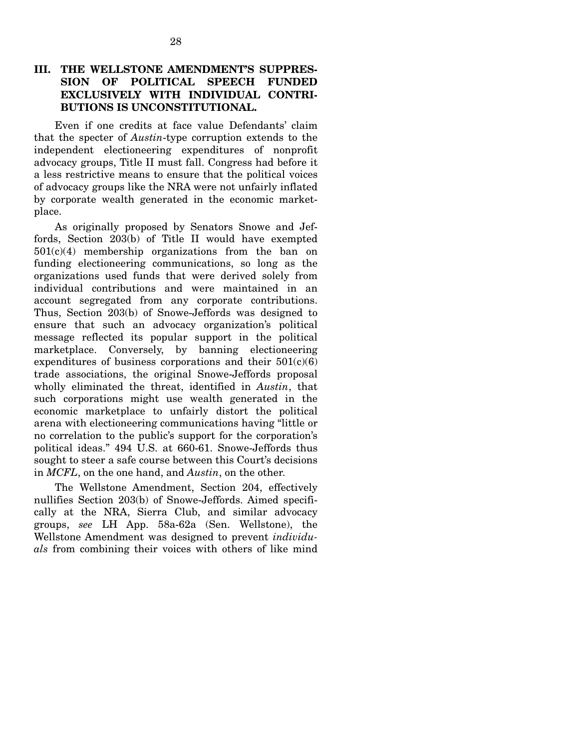## **III. THE WELLSTONE AMENDMENT'S SUPPRES-SION OF POLITICAL SPEECH FUNDED EXCLUSIVELY WITH INDIVIDUAL CONTRI-BUTIONS IS UNCONSTITUTIONAL.**

Even if one credits at face value Defendants' claim that the specter of *Austin*-type corruption extends to the independent electioneering expenditures of nonprofit advocacy groups, Title II must fall. Congress had before it a less restrictive means to ensure that the political voices of advocacy groups like the NRA were not unfairly inflated by corporate wealth generated in the economic marketplace.

As originally proposed by Senators Snowe and Jeffords, Section 203(b) of Title II would have exempted  $501(c)(4)$  membership organizations from the ban on funding electioneering communications, so long as the organizations used funds that were derived solely from individual contributions and were maintained in an account segregated from any corporate contributions. Thus, Section 203(b) of Snowe-Jeffords was designed to ensure that such an advocacy organization's political message reflected its popular support in the political marketplace. Conversely, by banning electioneering expenditures of business corporations and their  $501(c)(6)$ trade associations, the original Snowe-Jeffords proposal wholly eliminated the threat, identified in *Austin*, that such corporations might use wealth generated in the economic marketplace to unfairly distort the political arena with electioneering communications having "little or no correlation to the public's support for the corporation's political ideas." 494 U.S. at 660-61. Snowe-Jeffords thus sought to steer a safe course between this Court's decisions in *MCFL*, on the one hand, and *Austin*, on the other.

The Wellstone Amendment, Section 204, effectively nullifies Section 203(b) of Snowe-Jeffords. Aimed specifically at the NRA, Sierra Club, and similar advocacy groups, *see* LH App. 58a-62a (Sen. Wellstone), the Wellstone Amendment was designed to prevent *individuals* from combining their voices with others of like mind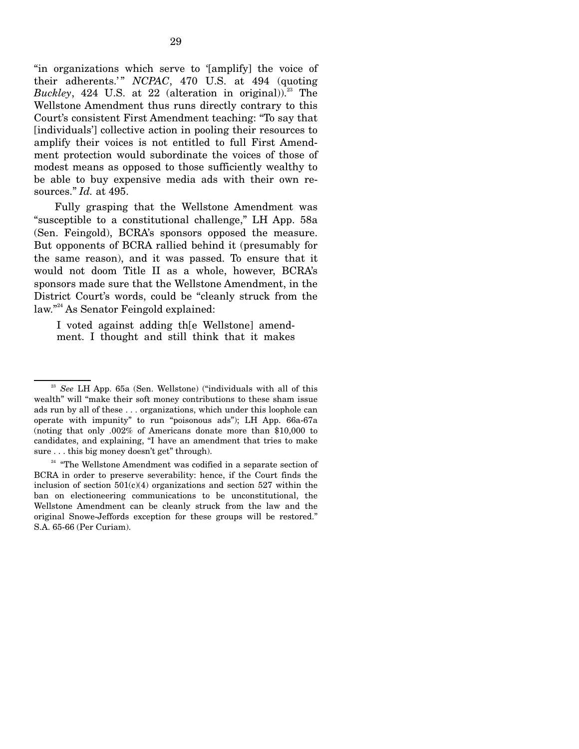"in organizations which serve to '[amplify] the voice of their adherents.'" *NCPAC*, 470 U.S. at 494 (quoting *Buckley*, 424 U.S. at 22 (alteration in original)).<sup>23</sup> The Wellstone Amendment thus runs directly contrary to this Court's consistent First Amendment teaching: "To say that [individuals'] collective action in pooling their resources to amplify their voices is not entitled to full First Amendment protection would subordinate the voices of those of modest means as opposed to those sufficiently wealthy to be able to buy expensive media ads with their own resources." *Id.* at 495.

Fully grasping that the Wellstone Amendment was "susceptible to a constitutional challenge," LH App. 58a (Sen. Feingold), BCRA's sponsors opposed the measure. But opponents of BCRA rallied behind it (presumably for the same reason), and it was passed. To ensure that it would not doom Title II as a whole, however, BCRA's sponsors made sure that the Wellstone Amendment, in the District Court's words, could be "cleanly struck from the law." 24 As Senator Feingold explained:

I voted against adding th[e Wellstone] amendment. I thought and still think that it makes

<sup>&</sup>lt;sup>23</sup> See LH App. 65a (Sen. Wellstone) ("individuals with all of this wealth" will "make their soft money contributions to these sham issue ads run by all of these . . . organizations, which under this loophole can operate with impunity" to run "poisonous ads"); LH App. 66a-67a (noting that only .002% of Americans donate more than \$10,000 to candidates, and explaining, "I have an amendment that tries to make sure . . . this big money doesn't get" through).

<sup>&</sup>lt;sup>24</sup> "The Wellstone Amendment was codified in a separate section of BCRA in order to preserve severability: hence, if the Court finds the inclusion of section  $501(c)(4)$  organizations and section  $527$  within the ban on electioneering communications to be unconstitutional, the Wellstone Amendment can be cleanly struck from the law and the original Snowe-Jeffords exception for these groups will be restored." S.A. 65-66 (Per Curiam).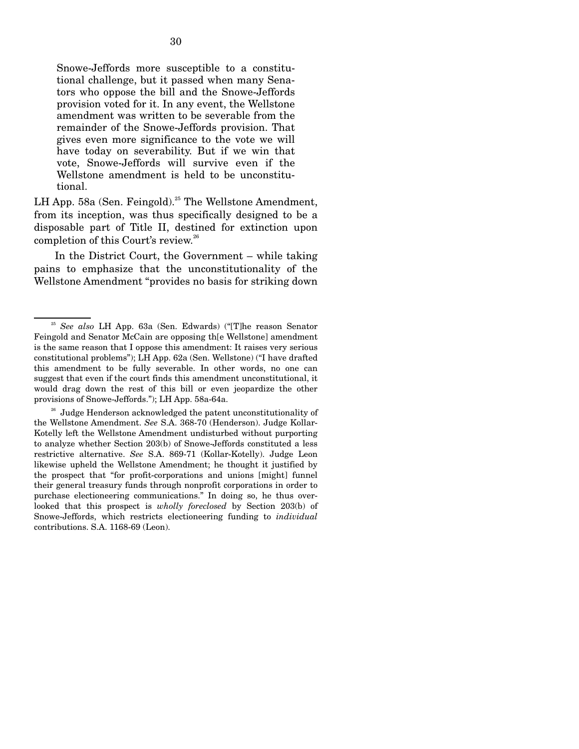Snowe-Jeffords more susceptible to a constitutional challenge, but it passed when many Senators who oppose the bill and the Snowe-Jeffords provision voted for it. In any event, the Wellstone amendment was written to be severable from the remainder of the Snowe-Jeffords provision. That gives even more significance to the vote we will have today on severability. But if we win that vote, Snowe-Jeffords will survive even if the Wellstone amendment is held to be unconstitutional.

LH App. 58a (Sen. Feingold).<sup>25</sup> The Wellstone Amendment, from its inception, was thus specifically designed to be a disposable part of Title II, destined for extinction upon completion of this Court's review.<sup>26</sup>

In the District Court, the Government – while taking pains to emphasize that the unconstitutionality of the Wellstone Amendment "provides no basis for striking down

<sup>26</sup> Judge Henderson acknowledged the patent unconstitutionality of the Wellstone Amendment. *See* S.A. 368-70 (Henderson). Judge Kollar-Kotelly left the Wellstone Amendment undisturbed without purporting to analyze whether Section 203(b) of Snowe-Jeffords constituted a less restrictive alternative. *See* S.A. 869-71 (Kollar-Kotelly). Judge Leon likewise upheld the Wellstone Amendment; he thought it justified by the prospect that "for profit-corporations and unions [might] funnel their general treasury funds through nonprofit corporations in order to purchase electioneering communications." In doing so, he thus overlooked that this prospect is *wholly foreclosed* by Section 203(b) of Snowe-Jeffords, which restricts electioneering funding to *individual*  contributions. S.A. 1168-69 (Leon).

<sup>25</sup>*See also* LH App. 63a (Sen. Edwards) ("[T]he reason Senator Feingold and Senator McCain are opposing th[e Wellstone] amendment is the same reason that I oppose this amendment: It raises very serious constitutional problems"); LH App. 62a (Sen. Wellstone) ("I have drafted this amendment to be fully severable. In other words, no one can suggest that even if the court finds this amendment unconstitutional, it would drag down the rest of this bill or even jeopardize the other provisions of Snowe-Jeffords."); LH App. 58a-64a.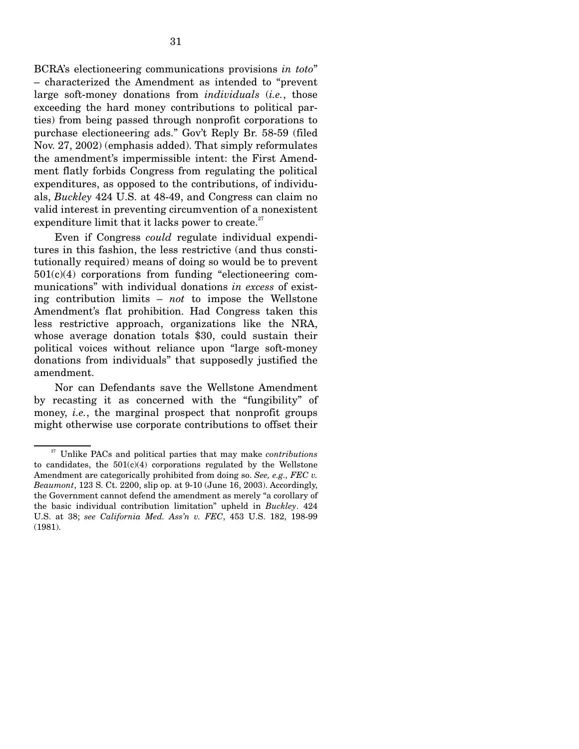BCRA's electioneering communications provisions *in toto*" – characterized the Amendment as intended to "prevent large soft-money donations from *individuals* (*i.e.*, those exceeding the hard money contributions to political parties) from being passed through nonprofit corporations to purchase electioneering ads." Gov't Reply Br. 58-59 (filed Nov. 27, 2002) (emphasis added). That simply reformulates the amendment's impermissible intent: the First Amendment flatly forbids Congress from regulating the political expenditures, as opposed to the contributions, of individuals, *Buckley* 424 U.S. at 48-49, and Congress can claim no valid interest in preventing circumvention of a nonexistent expenditure limit that it lacks power to create. $27$ 

Even if Congress *could* regulate individual expenditures in this fashion, the less restrictive (and thus constitutionally required) means of doing so would be to prevent 501(c)(4) corporations from funding "electioneering communications" with individual donations *in excess* of existing contribution limits – *not* to impose the Wellstone Amendment's flat prohibition. Had Congress taken this less restrictive approach, organizations like the NRA, whose average donation totals \$30, could sustain their political voices without reliance upon "large soft-money donations from individuals" that supposedly justified the amendment.

Nor can Defendants save the Wellstone Amendment by recasting it as concerned with the "fungibility" of money, *i.e.*, the marginal prospect that nonprofit groups might otherwise use corporate contributions to offset their

<sup>27</sup> Unlike PACs and political parties that may make *contributions*  to candidates, the  $501(c)(4)$  corporations regulated by the Wellstone Amendment are categorically prohibited from doing so. *See, e.g., FEC v. Beaumont*, 123 S. Ct. 2200, slip op. at 9-10 (June 16, 2003). Accordingly, the Government cannot defend the amendment as merely "a corollary of the basic individual contribution limitation" upheld in *Buckley*. 424 U.S. at 38; *see California Med. Ass'n v. FEC*, 453 U.S. 182, 198-99 (1981).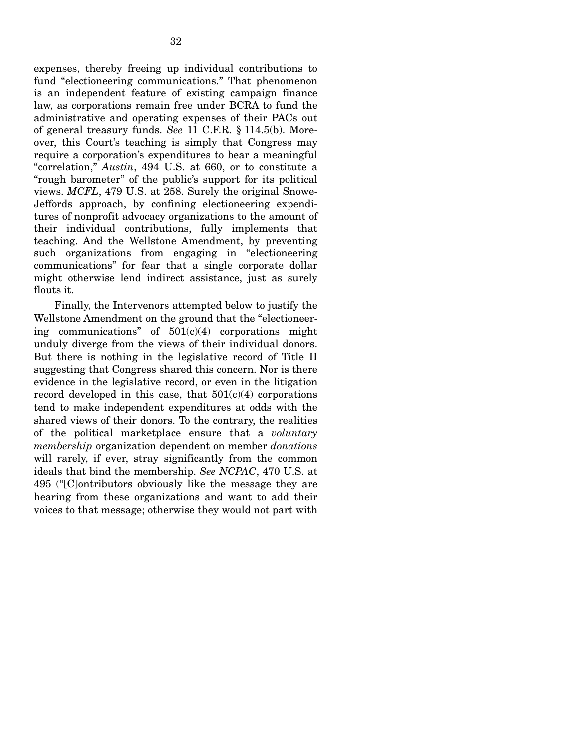expenses, thereby freeing up individual contributions to fund "electioneering communications." That phenomenon is an independent feature of existing campaign finance law, as corporations remain free under BCRA to fund the administrative and operating expenses of their PACs out of general treasury funds. *See* 11 C.F.R. § 114.5(b). Moreover, this Court's teaching is simply that Congress may require a corporation's expenditures to bear a meaningful "correlation," *Austin*, 494 U.S. at 660, or to constitute a "rough barometer" of the public's support for its political views. *MCFL*, 479 U.S. at 258. Surely the original Snowe-Jeffords approach, by confining electioneering expenditures of nonprofit advocacy organizations to the amount of their individual contributions, fully implements that teaching. And the Wellstone Amendment, by preventing such organizations from engaging in "electioneering communications" for fear that a single corporate dollar might otherwise lend indirect assistance, just as surely flouts it.

Finally, the Intervenors attempted below to justify the Wellstone Amendment on the ground that the "electioneering communications" of  $501(c)(4)$  corporations might unduly diverge from the views of their individual donors. But there is nothing in the legislative record of Title II suggesting that Congress shared this concern. Nor is there evidence in the legislative record, or even in the litigation record developed in this case, that  $501(c)(4)$  corporations tend to make independent expenditures at odds with the shared views of their donors. To the contrary, the realities of the political marketplace ensure that a *voluntary membership* organization dependent on member *donations*  will rarely, if ever, stray significantly from the common ideals that bind the membership. *See NCPAC*, 470 U.S. at 495 ("[C]ontributors obviously like the message they are hearing from these organizations and want to add their voices to that message; otherwise they would not part with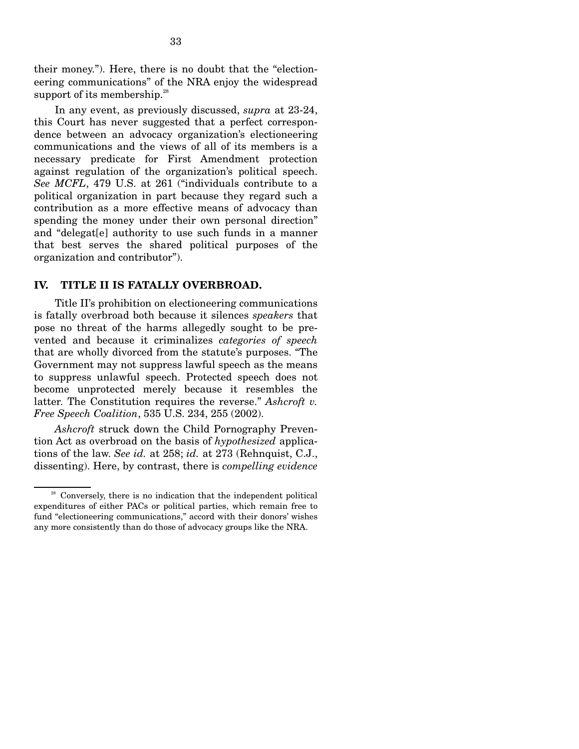their money."). Here, there is no doubt that the "electioneering communications" of the NRA enjoy the widespread support of its membership. $28$ 

In any event, as previously discussed, *supra* at 23-24, this Court has never suggested that a perfect correspondence between an advocacy organization's electioneering communications and the views of all of its members is a necessary predicate for First Amendment protection against regulation of the organization's political speech. *See MCFL*, 479 U.S. at 261 ("individuals contribute to a political organization in part because they regard such a contribution as a more effective means of advocacy than spending the money under their own personal direction" and "delegat[e] authority to use such funds in a manner that best serves the shared political purposes of the organization and contributor").

#### **IV. TITLE II IS FATALLY OVERBROAD.**

Title II's prohibition on electioneering communications is fatally overbroad both because it silences *speakers* that pose no threat of the harms allegedly sought to be prevented and because it criminalizes *categories of speech*  that are wholly divorced from the statute's purposes. "The Government may not suppress lawful speech as the means to suppress unlawful speech. Protected speech does not become unprotected merely because it resembles the latter. The Constitution requires the reverse." *Ashcroft v. Free Speech Coalition*, 535 U.S. 234, 255 (2002).

*Ashcroft* struck down the Child Pornography Prevention Act as overbroad on the basis of *hypothesized* applications of the law. *See id.* at 258; *id.* at 273 (Rehnquist, C.J., dissenting). Here, by contrast, there is *compelling evidence* 

 $28$  Conversely, there is no indication that the independent political expenditures of either PACs or political parties, which remain free to fund "electioneering communications," accord with their donors' wishes any more consistently than do those of advocacy groups like the NRA.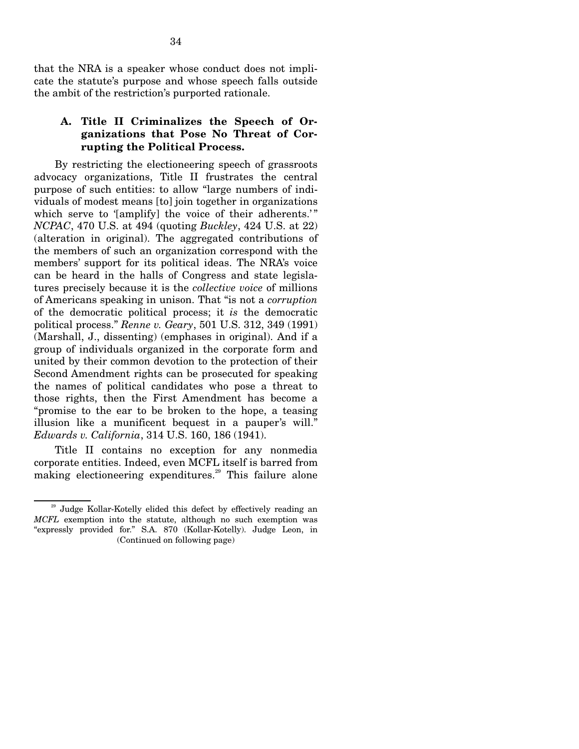that the NRA is a speaker whose conduct does not implicate the statute's purpose and whose speech falls outside the ambit of the restriction's purported rationale.

## **A. Title II Criminalizes the Speech of Organizations that Pose No Threat of Corrupting the Political Process.**

By restricting the electioneering speech of grassroots advocacy organizations, Title II frustrates the central purpose of such entities: to allow "large numbers of individuals of modest means [to] join together in organizations which serve to '[amplify] the voice of their adherents.'" *NCPAC*, 470 U.S. at 494 (quoting *Buckley*, 424 U.S. at 22) (alteration in original). The aggregated contributions of the members of such an organization correspond with the members' support for its political ideas. The NRA's voice can be heard in the halls of Congress and state legislatures precisely because it is the *collective voice* of millions of Americans speaking in unison. That "is not a *corruption*  of the democratic political process; it *is* the democratic political process." *Renne v. Geary*, 501 U.S. 312, 349 (1991) (Marshall, J., dissenting) (emphases in original). And if a group of individuals organized in the corporate form and united by their common devotion to the protection of their Second Amendment rights can be prosecuted for speaking the names of political candidates who pose a threat to those rights, then the First Amendment has become a "promise to the ear to be broken to the hope, a teasing illusion like a munificent bequest in a pauper's will." *Edwards v. California*, 314 U.S. 160, 186 (1941).

Title II contains no exception for any nonmedia corporate entities. Indeed, even MCFL itself is barred from making electioneering expenditures.<sup>29</sup> This failure alone

<sup>&</sup>lt;sup>29</sup> Judge Kollar-Kotelly elided this defect by effectively reading an *MCFL* exemption into the statute, although no such exemption was "expressly provided for." S.A. 870 (Kollar-Kotelly). Judge Leon, in (Continued on following page)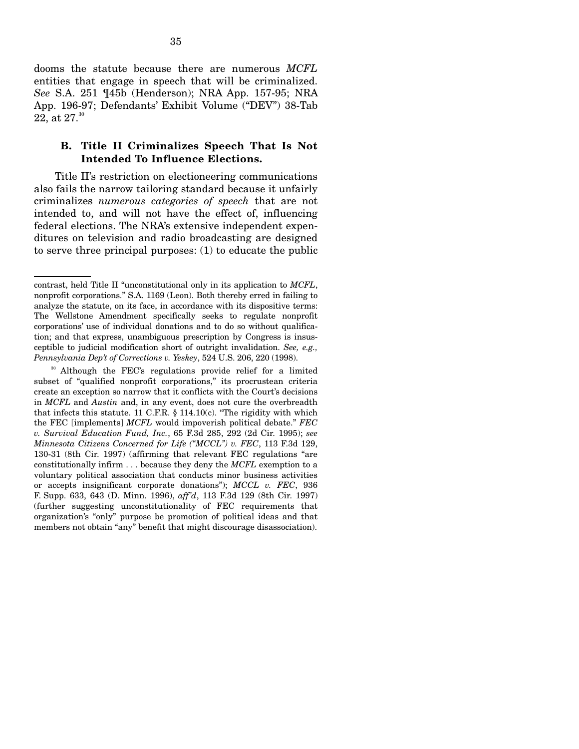dooms the statute because there are numerous *MCFL*  entities that engage in speech that will be criminalized. *See* S.A. 251 ¶45b (Henderson); NRA App. 157-95; NRA App. 196-97; Defendants' Exhibit Volume ("DEV") 38-Tab 22, at  $27.^{30}$ 

## **B. Title II Criminalizes Speech That Is Not Intended To Influence Elections.**

Title II's restriction on electioneering communications also fails the narrow tailoring standard because it unfairly criminalizes *numerous categories of speech* that are not intended to, and will not have the effect of, influencing federal elections. The NRA's extensive independent expenditures on television and radio broadcasting are designed to serve three principal purposes: (1) to educate the public

contrast, held Title II "unconstitutional only in its application to *MCFL*, nonprofit corporations." S.A. 1169 (Leon). Both thereby erred in failing to analyze the statute, on its face, in accordance with its dispositive terms: The Wellstone Amendment specifically seeks to regulate nonprofit corporations' use of individual donations and to do so without qualification; and that express, unambiguous prescription by Congress is insusceptible to judicial modification short of outright invalidation. *See, e.g., Pennsylvania Dep't of Corrections v. Yeskey*, 524 U.S. 206, 220 (1998).

<sup>&</sup>lt;sup>30</sup> Although the FEC's regulations provide relief for a limited subset of "qualified nonprofit corporations," its procrustean criteria create an exception so narrow that it conflicts with the Court's decisions in *MCFL* and *Austin* and, in any event, does not cure the overbreadth that infects this statute. 11 C.F.R. § 114.10(c). "The rigidity with which the FEC [implements] *MCFL* would impoverish political debate." *FEC v. Survival Education Fund, Inc.*, 65 F.3d 285, 292 (2d Cir. 1995); *see Minnesota Citizens Concerned for Life ("MCCL") v. FEC*, 113 F.3d 129, 130-31 (8th Cir. 1997) (affirming that relevant FEC regulations "are constitutionally infirm . . . because they deny the *MCFL* exemption to a voluntary political association that conducts minor business activities or accepts insignificant corporate donations"); *MCCL v. FEC*, 936 F. Supp. 633, 643 (D. Minn. 1996), *aff'd*, 113 F.3d 129 (8th Cir. 1997) (further suggesting unconstitutionality of FEC requirements that organization's "only" purpose be promotion of political ideas and that members not obtain "any" benefit that might discourage disassociation).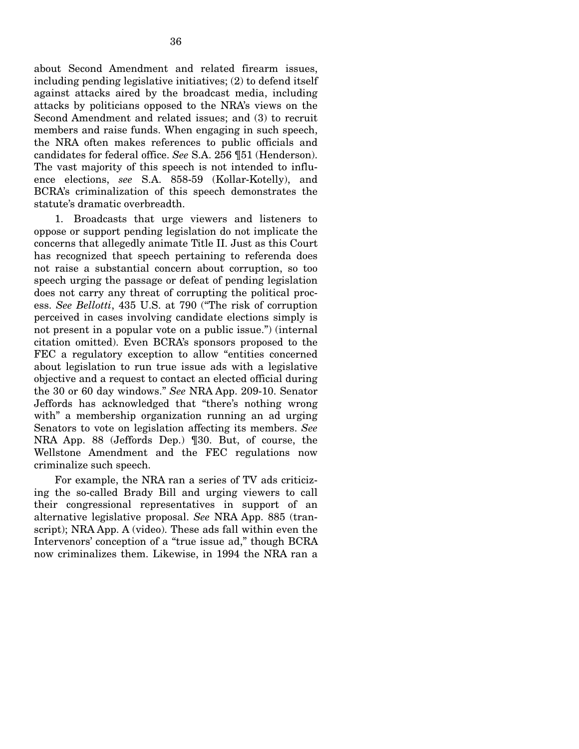about Second Amendment and related firearm issues, including pending legislative initiatives; (2) to defend itself against attacks aired by the broadcast media, including attacks by politicians opposed to the NRA's views on the Second Amendment and related issues; and (3) to recruit members and raise funds. When engaging in such speech, the NRA often makes references to public officials and candidates for federal office. *See* S.A. 256 ¶51 (Henderson). The vast majority of this speech is not intended to influence elections, *see* S.A. 858-59 (Kollar-Kotelly), and BCRA's criminalization of this speech demonstrates the statute's dramatic overbreadth.

1. Broadcasts that urge viewers and listeners to oppose or support pending legislation do not implicate the concerns that allegedly animate Title II. Just as this Court has recognized that speech pertaining to referenda does not raise a substantial concern about corruption, so too speech urging the passage or defeat of pending legislation does not carry any threat of corrupting the political process. *See Bellotti*, 435 U.S. at 790 ("The risk of corruption perceived in cases involving candidate elections simply is not present in a popular vote on a public issue.") (internal citation omitted). Even BCRA's sponsors proposed to the FEC a regulatory exception to allow "entities concerned about legislation to run true issue ads with a legislative objective and a request to contact an elected official during the 30 or 60 day windows." *See* NRA App. 209-10. Senator Jeffords has acknowledged that "there's nothing wrong with" a membership organization running an ad urging Senators to vote on legislation affecting its members. *See*  NRA App. 88 (Jeffords Dep.) ¶30. But, of course, the Wellstone Amendment and the FEC regulations now criminalize such speech.

For example, the NRA ran a series of TV ads criticizing the so-called Brady Bill and urging viewers to call their congressional representatives in support of an alternative legislative proposal. *See* NRA App. 885 (transcript); NRA App. A (video). These ads fall within even the Intervenors' conception of a "true issue ad," though BCRA now criminalizes them. Likewise, in 1994 the NRA ran a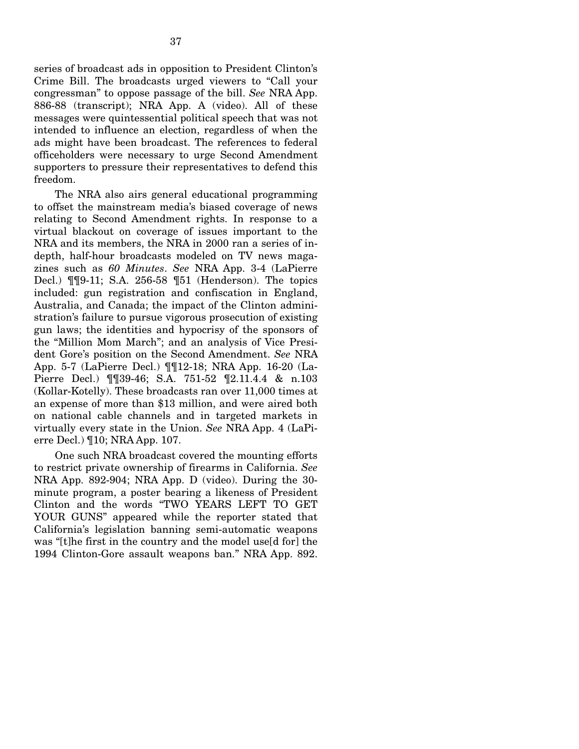series of broadcast ads in opposition to President Clinton's Crime Bill. The broadcasts urged viewers to "Call your congressman" to oppose passage of the bill. *See* NRA App. 886-88 (transcript); NRA App. A (video). All of these messages were quintessential political speech that was not intended to influence an election, regardless of when the ads might have been broadcast. The references to federal officeholders were necessary to urge Second Amendment supporters to pressure their representatives to defend this freedom.

The NRA also airs general educational programming to offset the mainstream media's biased coverage of news relating to Second Amendment rights. In response to a virtual blackout on coverage of issues important to the NRA and its members, the NRA in 2000 ran a series of indepth, half-hour broadcasts modeled on TV news magazines such as *60 Minutes*. *See* NRA App. 3-4 (LaPierre Decl.) ¶¶9-11; S.A. 256-58 ¶51 (Henderson). The topics included: gun registration and confiscation in England, Australia, and Canada; the impact of the Clinton administration's failure to pursue vigorous prosecution of existing gun laws; the identities and hypocrisy of the sponsors of the "Million Mom March"; and an analysis of Vice President Gore's position on the Second Amendment. *See* NRA App. 5-7 (LaPierre Decl.) ¶¶12-18; NRA App. 16-20 (La-Pierre Decl.) ¶¶39-46; S.A. 751-52 ¶2.11.4.4 & n.103 (Kollar-Kotelly). These broadcasts ran over 11,000 times at an expense of more than \$13 million, and were aired both on national cable channels and in targeted markets in virtually every state in the Union. *See* NRA App. 4 (LaPierre Decl.) ¶10; NRA App. 107.

One such NRA broadcast covered the mounting efforts to restrict private ownership of firearms in California. *See*  NRA App. 892-904; NRA App. D (video). During the 30 minute program, a poster bearing a likeness of President Clinton and the words "TWO YEARS LEFT TO GET YOUR GUNS" appeared while the reporter stated that California's legislation banning semi-automatic weapons was "[t]he first in the country and the model use[d for] the 1994 Clinton-Gore assault weapons ban." NRA App. 892.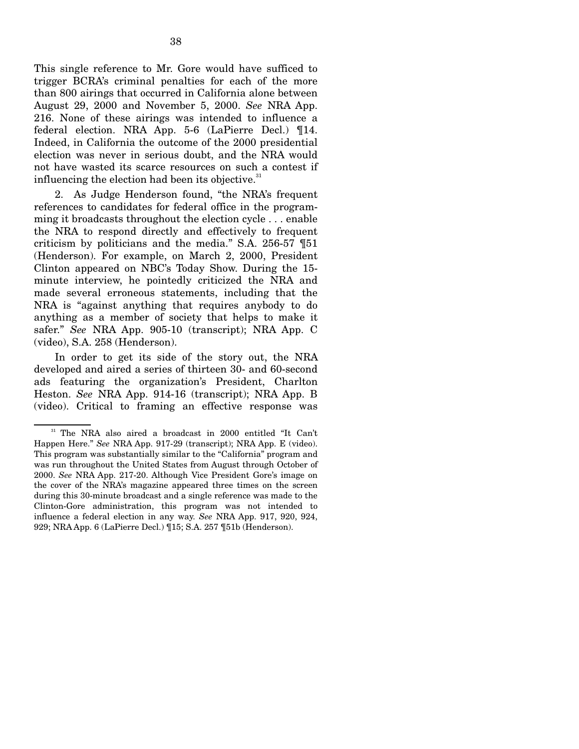This single reference to Mr. Gore would have sufficed to trigger BCRA's criminal penalties for each of the more than 800 airings that occurred in California alone between August 29, 2000 and November 5, 2000. *See* NRA App. 216. None of these airings was intended to influence a federal election. NRA App. 5-6 (LaPierre Decl.) ¶14. Indeed, in California the outcome of the 2000 presidential election was never in serious doubt, and the NRA would not have wasted its scarce resources on such a contest if influencing the election had been its objective. $31$ 

2. As Judge Henderson found, "the NRA's frequent references to candidates for federal office in the programming it broadcasts throughout the election cycle . . . enable the NRA to respond directly and effectively to frequent criticism by politicians and the media." S.A. 256-57 ¶51 (Henderson). For example, on March 2, 2000, President Clinton appeared on NBC's Today Show. During the 15 minute interview, he pointedly criticized the NRA and made several erroneous statements, including that the NRA is "against anything that requires anybody to do anything as a member of society that helps to make it safer." *See* NRA App. 905-10 (transcript); NRA App. C (video), S.A. 258 (Henderson).

In order to get its side of the story out, the NRA developed and aired a series of thirteen 30- and 60-second ads featuring the organization's President, Charlton Heston. *See* NRA App. 914-16 (transcript); NRA App. B (video). Critical to framing an effective response was

<sup>&</sup>lt;sup>31</sup> The NRA also aired a broadcast in 2000 entitled "It Can't Happen Here." *See* NRA App. 917-29 (transcript); NRA App. E (video). This program was substantially similar to the "California" program and was run throughout the United States from August through October of 2000. *See* NRA App. 217-20. Although Vice President Gore's image on the cover of the NRA's magazine appeared three times on the screen during this 30-minute broadcast and a single reference was made to the Clinton-Gore administration, this program was not intended to influence a federal election in any way. *See* NRA App. 917, 920, 924, 929; NRA App. 6 (LaPierre Decl.) ¶15; S.A. 257 ¶51b (Henderson).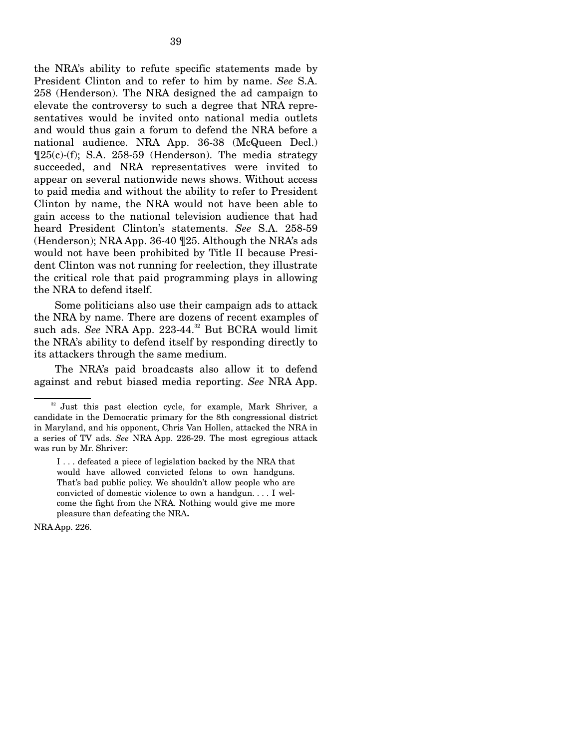the NRA's ability to refute specific statements made by President Clinton and to refer to him by name. *See* S.A. 258 (Henderson). The NRA designed the ad campaign to elevate the controversy to such a degree that NRA representatives would be invited onto national media outlets and would thus gain a forum to defend the NRA before a national audience. NRA App. 36-38 (McQueen Decl.) ¶25(c)-(f); S.A. 258-59 (Henderson). The media strategy succeeded, and NRA representatives were invited to appear on several nationwide news shows. Without access to paid media and without the ability to refer to President Clinton by name, the NRA would not have been able to gain access to the national television audience that had heard President Clinton's statements. *See* S.A. 258-59 (Henderson); NRA App. 36-40 ¶25. Although the NRA's ads would not have been prohibited by Title II because President Clinton was not running for reelection, they illustrate the critical role that paid programming plays in allowing the NRA to defend itself.

Some politicians also use their campaign ads to attack the NRA by name. There are dozens of recent examples of such ads. See NRA App. 223-44.<sup>32</sup> But BCRA would limit the NRA's ability to defend itself by responding directly to its attackers through the same medium.

The NRA's paid broadcasts also allow it to defend against and rebut biased media reporting. *See* NRA App.

NRA App. 226.

<sup>&</sup>lt;sup>32</sup> Just this past election cycle, for example, Mark Shriver, a candidate in the Democratic primary for the 8th congressional district in Maryland, and his opponent, Chris Van Hollen, attacked the NRA in a series of TV ads. *See* NRA App. 226-29. The most egregious attack was run by Mr. Shriver:

I . . . defeated a piece of legislation backed by the NRA that would have allowed convicted felons to own handguns. That's bad public policy. We shouldn't allow people who are convicted of domestic violence to own a handgun. . . . I welcome the fight from the NRA. Nothing would give me more pleasure than defeating the NRA**.**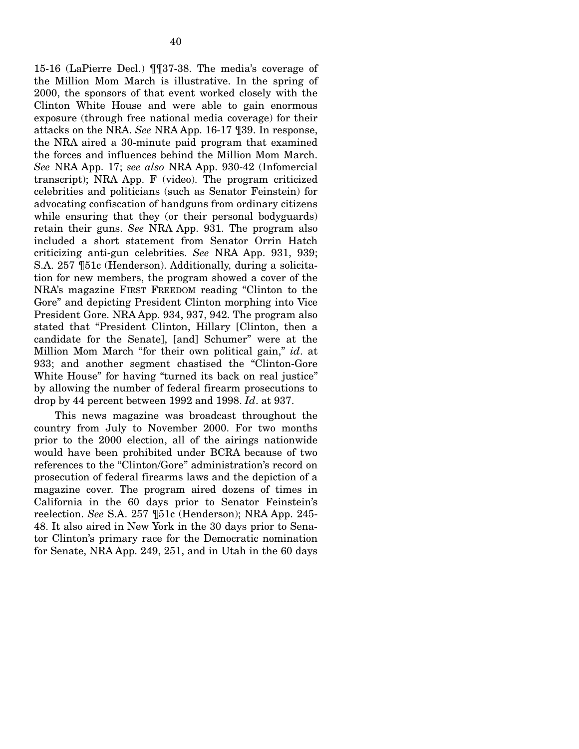15-16 (LaPierre Decl.) ¶¶37-38. The media's coverage of the Million Mom March is illustrative. In the spring of 2000, the sponsors of that event worked closely with the Clinton White House and were able to gain enormous exposure (through free national media coverage) for their attacks on the NRA. *See* NRA App. 16-17 ¶39. In response, the NRA aired a 30-minute paid program that examined the forces and influences behind the Million Mom March. *See* NRA App. 17; *see also* NRA App. 930-42 (Infomercial transcript); NRA App. F (video). The program criticized celebrities and politicians (such as Senator Feinstein) for advocating confiscation of handguns from ordinary citizens while ensuring that they (or their personal bodyguards) retain their guns. *See* NRA App. 931. The program also included a short statement from Senator Orrin Hatch criticizing anti-gun celebrities. *See* NRA App. 931, 939; S.A. 257 ¶51c (Henderson). Additionally, during a solicitation for new members, the program showed a cover of the NRA's magazine FIRST FREEDOM reading "Clinton to the Gore" and depicting President Clinton morphing into Vice President Gore. NRA App. 934, 937, 942. The program also stated that "President Clinton, Hillary [Clinton, then a candidate for the Senate], [and] Schumer" were at the Million Mom March "for their own political gain," *id*. at 933; and another segment chastised the "Clinton-Gore White House" for having "turned its back on real justice" by allowing the number of federal firearm prosecutions to drop by 44 percent between 1992 and 1998. *Id*. at 937.

This news magazine was broadcast throughout the country from July to November 2000. For two months prior to the 2000 election, all of the airings nationwide would have been prohibited under BCRA because of two references to the "Clinton/Gore" administration's record on prosecution of federal firearms laws and the depiction of a magazine cover. The program aired dozens of times in California in the 60 days prior to Senator Feinstein's reelection. *See* S.A. 257 ¶51c (Henderson); NRA App. 245- 48. It also aired in New York in the 30 days prior to Senator Clinton's primary race for the Democratic nomination for Senate, NRA App. 249, 251, and in Utah in the 60 days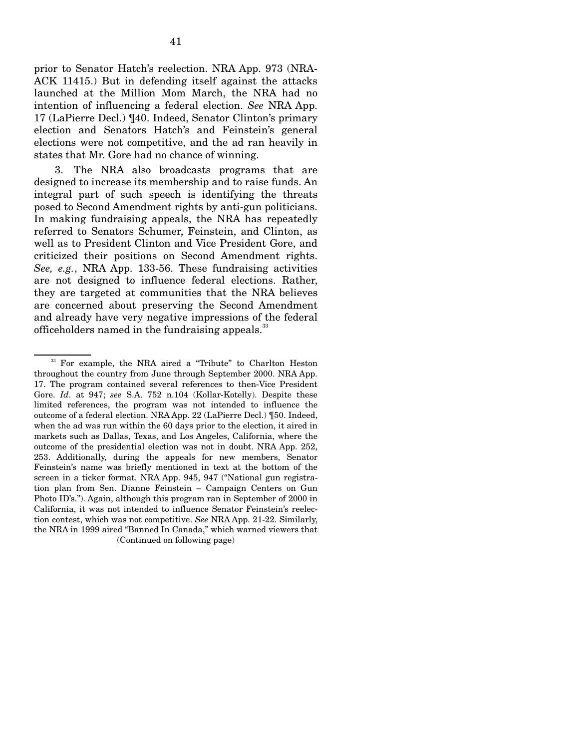prior to Senator Hatch's reelection. NRA App. 973 (NRA-ACK 11415.) But in defending itself against the attacks launched at the Million Mom March, the NRA had no intention of influencing a federal election. *See* NRA App. 17 (LaPierre Decl.) ¶40. Indeed, Senator Clinton's primary election and Senators Hatch's and Feinstein's general elections were not competitive, and the ad ran heavily in states that Mr. Gore had no chance of winning.

3. The NRA also broadcasts programs that are designed to increase its membership and to raise funds. An integral part of such speech is identifying the threats posed to Second Amendment rights by anti-gun politicians. In making fundraising appeals, the NRA has repeatedly referred to Senators Schumer, Feinstein, and Clinton, as well as to President Clinton and Vice President Gore, and criticized their positions on Second Amendment rights. *See, e.g.*, NRA App. 133-56. These fundraising activities are not designed to influence federal elections. Rather, they are targeted at communities that the NRA believes are concerned about preserving the Second Amendment and already have very negative impressions of the federal officeholders named in the fundraising appeals.<sup>33</sup>

<sup>&</sup>lt;sup>33</sup> For example, the NRA aired a "Tribute" to Charlton Heston throughout the country from June through September 2000. NRA App. 17. The program contained several references to then-Vice President Gore. *Id*. at 947; *see* S.A. 752 n.104 (Kollar-Kotelly). Despite these limited references, the program was not intended to influence the outcome of a federal election. NRA App. 22 (LaPierre Decl.) ¶50. Indeed, when the ad was run within the 60 days prior to the election, it aired in markets such as Dallas, Texas, and Los Angeles, California, where the outcome of the presidential election was not in doubt. NRA App. 252, 253. Additionally, during the appeals for new members, Senator Feinstein's name was briefly mentioned in text at the bottom of the screen in a ticker format. NRA App. 945, 947 ("National gun registration plan from Sen. Dianne Feinstein – Campaign Centers on Gun Photo ID's."). Again, although this program ran in September of 2000 in California, it was not intended to influence Senator Feinstein's reelection contest, which was not competitive. *See* NRA App. 21-22. Similarly, the NRA in 1999 aired "Banned In Canada," which warned viewers that (Continued on following page)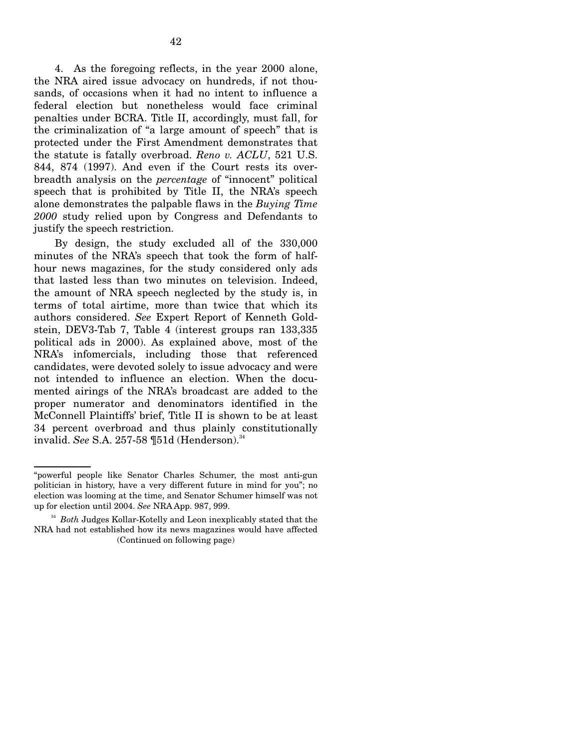4. As the foregoing reflects, in the year 2000 alone, the NRA aired issue advocacy on hundreds, if not thousands, of occasions when it had no intent to influence a federal election but nonetheless would face criminal penalties under BCRA. Title II, accordingly, must fall, for the criminalization of "a large amount of speech" that is protected under the First Amendment demonstrates that the statute is fatally overbroad. *Reno v. ACLU*, 521 U.S. 844, 874 (1997). And even if the Court rests its overbreadth analysis on the *percentage* of "innocent" political speech that is prohibited by Title II, the NRA's speech alone demonstrates the palpable flaws in the *Buying Time 2000* study relied upon by Congress and Defendants to justify the speech restriction.

By design, the study excluded all of the 330,000 minutes of the NRA's speech that took the form of halfhour news magazines, for the study considered only ads that lasted less than two minutes on television. Indeed, the amount of NRA speech neglected by the study is, in terms of total airtime, more than twice that which its authors considered. *See* Expert Report of Kenneth Goldstein, DEV3-Tab 7, Table 4 (interest groups ran 133,335 political ads in 2000). As explained above, most of the NRA's infomercials, including those that referenced candidates, were devoted solely to issue advocacy and were not intended to influence an election. When the documented airings of the NRA's broadcast are added to the proper numerator and denominators identified in the McConnell Plaintiffs' brief, Title II is shown to be at least 34 percent overbroad and thus plainly constitutionally invalid. *See* S.A. 257-58 ¶51d (Henderson).<sup>34</sup>

<sup>&</sup>quot;powerful people like Senator Charles Schumer, the most anti-gun politician in history, have a very different future in mind for you"; no election was looming at the time, and Senator Schumer himself was not up for election until 2004. *See* NRA App. 987, 999.

<sup>&</sup>lt;sup>34</sup> Both Judges Kollar-Kotelly and Leon inexplicably stated that the NRA had not established how its news magazines would have affected (Continued on following page)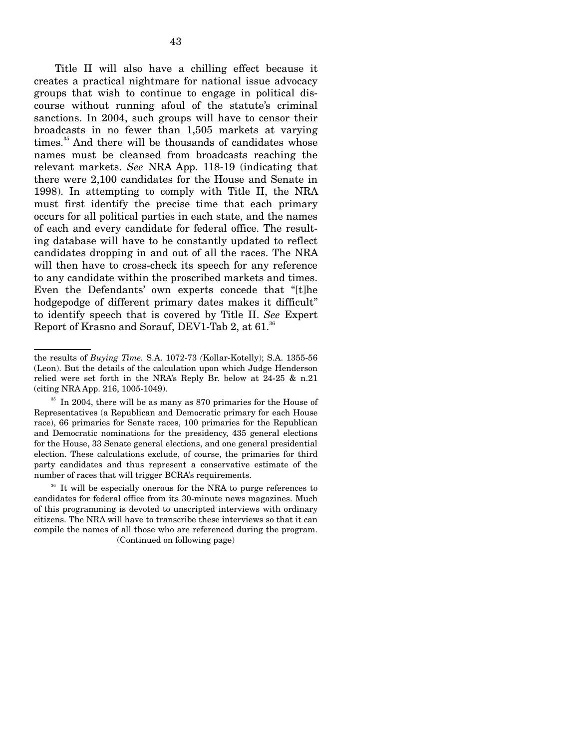Title II will also have a chilling effect because it creates a practical nightmare for national issue advocacy groups that wish to continue to engage in political discourse without running afoul of the statute's criminal sanctions. In 2004, such groups will have to censor their broadcasts in no fewer than 1,505 markets at varying times.<sup>35</sup> And there will be thousands of candidates whose names must be cleansed from broadcasts reaching the relevant markets. *See* NRA App. 118-19 (indicating that there were 2,100 candidates for the House and Senate in 1998). In attempting to comply with Title II, the NRA must first identify the precise time that each primary occurs for all political parties in each state, and the names of each and every candidate for federal office. The resulting database will have to be constantly updated to reflect candidates dropping in and out of all the races. The NRA will then have to cross-check its speech for any reference to any candidate within the proscribed markets and times. Even the Defendants' own experts concede that "[t]he hodgepodge of different primary dates makes it difficult" to identify speech that is covered by Title II. *See* Expert Report of Krasno and Sorauf, DEV1-Tab 2, at 61.<sup>36</sup>

(Continued on following page)

the results of *Buying Time.* S.A. 1072-73 *(*Kollar-Kotelly); S.A. 1355-56 (Leon). But the details of the calculation upon which Judge Henderson relied were set forth in the NRA's Reply Br. below at 24-25 & n.21 (citing NRA App. 216, 1005-1049).

<sup>&</sup>lt;sup>35</sup> In 2004, there will be as many as 870 primaries for the House of Representatives (a Republican and Democratic primary for each House race), 66 primaries for Senate races, 100 primaries for the Republican and Democratic nominations for the presidency, 435 general elections for the House, 33 Senate general elections, and one general presidential election. These calculations exclude, of course, the primaries for third party candidates and thus represent a conservative estimate of the number of races that will trigger BCRA's requirements.

<sup>&</sup>lt;sup>36</sup> It will be especially onerous for the NRA to purge references to candidates for federal office from its 30-minute news magazines. Much of this programming is devoted to unscripted interviews with ordinary citizens. The NRA will have to transcribe these interviews so that it can compile the names of all those who are referenced during the program.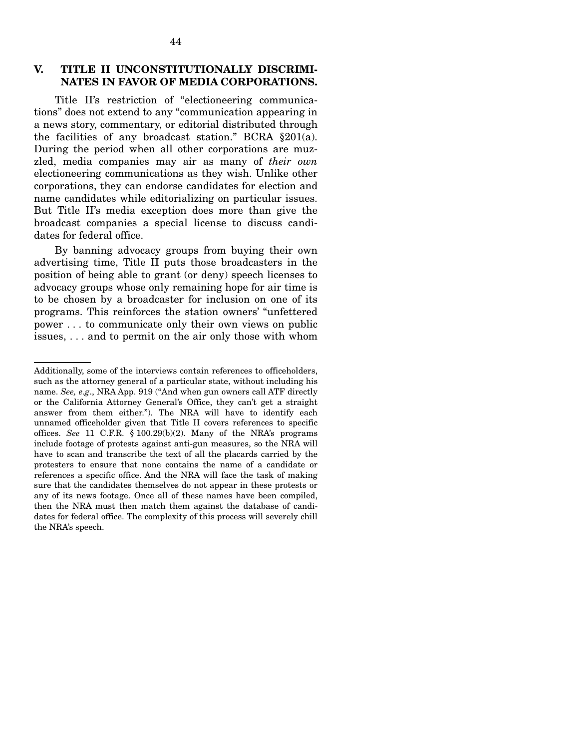## **V. TITLE II UNCONSTITUTIONALLY DISCRIMI-NATES IN FAVOR OF MEDIA CORPORATIONS.**

Title II's restriction of "electioneering communications" does not extend to any "communication appearing in a news story, commentary, or editorial distributed through the facilities of any broadcast station." BCRA §201(a). During the period when all other corporations are muzzled, media companies may air as many of *their own*  electioneering communications as they wish. Unlike other corporations, they can endorse candidates for election and name candidates while editorializing on particular issues. But Title II's media exception does more than give the broadcast companies a special license to discuss candidates for federal office.

By banning advocacy groups from buying their own advertising time, Title II puts those broadcasters in the position of being able to grant (or deny) speech licenses to advocacy groups whose only remaining hope for air time is to be chosen by a broadcaster for inclusion on one of its programs. This reinforces the station owners' "unfettered power . . . to communicate only their own views on public issues, . . . and to permit on the air only those with whom

Additionally, some of the interviews contain references to officeholders, such as the attorney general of a particular state, without including his name. *See, e.g*., NRA App. 919 ("And when gun owners call ATF directly or the California Attorney General's Office, they can't get a straight answer from them either."). The NRA will have to identify each unnamed officeholder given that Title II covers references to specific offices. *See* 11 C.F.R. § 100.29(b)(2). Many of the NRA's programs include footage of protests against anti-gun measures, so the NRA will have to scan and transcribe the text of all the placards carried by the protesters to ensure that none contains the name of a candidate or references a specific office. And the NRA will face the task of making sure that the candidates themselves do not appear in these protests or any of its news footage. Once all of these names have been compiled, then the NRA must then match them against the database of candidates for federal office. The complexity of this process will severely chill the NRA's speech.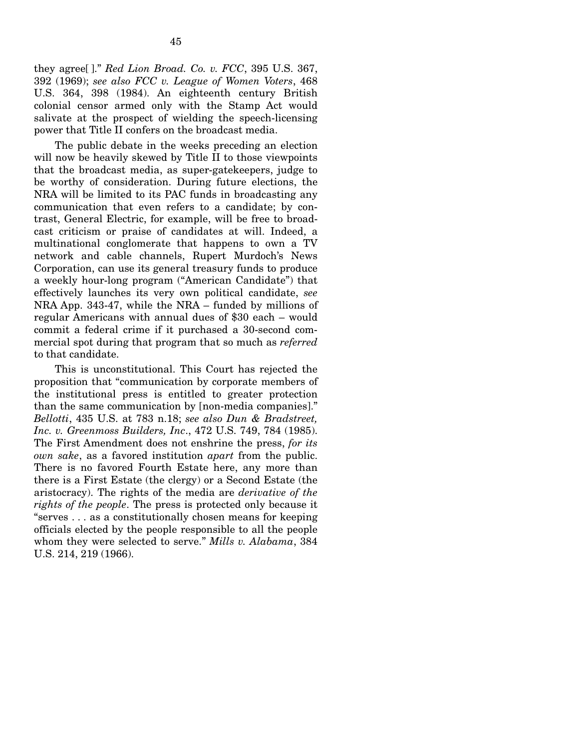they agree[ ]." *Red Lion Broad. Co. v. FCC*, 395 U.S. 367, 392 (1969); *see also FCC v. League of Women Voters*, 468 U.S. 364, 398 (1984). An eighteenth century British colonial censor armed only with the Stamp Act would salivate at the prospect of wielding the speech-licensing power that Title II confers on the broadcast media.

The public debate in the weeks preceding an election will now be heavily skewed by Title II to those viewpoints that the broadcast media, as super-gatekeepers, judge to be worthy of consideration. During future elections, the NRA will be limited to its PAC funds in broadcasting any communication that even refers to a candidate; by contrast, General Electric, for example, will be free to broadcast criticism or praise of candidates at will. Indeed, a multinational conglomerate that happens to own a TV network and cable channels, Rupert Murdoch's News Corporation, can use its general treasury funds to produce a weekly hour-long program ("American Candidate") that effectively launches its very own political candidate, *see*  NRA App. 343-47, while the NRA – funded by millions of regular Americans with annual dues of \$30 each – would commit a federal crime if it purchased a 30-second commercial spot during that program that so much as *referred*  to that candidate.

This is unconstitutional. This Court has rejected the proposition that "communication by corporate members of the institutional press is entitled to greater protection than the same communication by [non-media companies]." *Bellotti*, 435 U.S. at 783 n.18; *see also Dun & Bradstreet, Inc. v. Greenmoss Builders, Inc*., 472 U.S. 749, 784 (1985). The First Amendment does not enshrine the press, *for its own sake*, as a favored institution *apart* from the public. There is no favored Fourth Estate here, any more than there is a First Estate (the clergy) or a Second Estate (the aristocracy). The rights of the media are *derivative of the rights of the people*. The press is protected only because it "serves . . . as a constitutionally chosen means for keeping officials elected by the people responsible to all the people whom they were selected to serve." *Mills v. Alabama*, 384 U.S. 214, 219 (1966).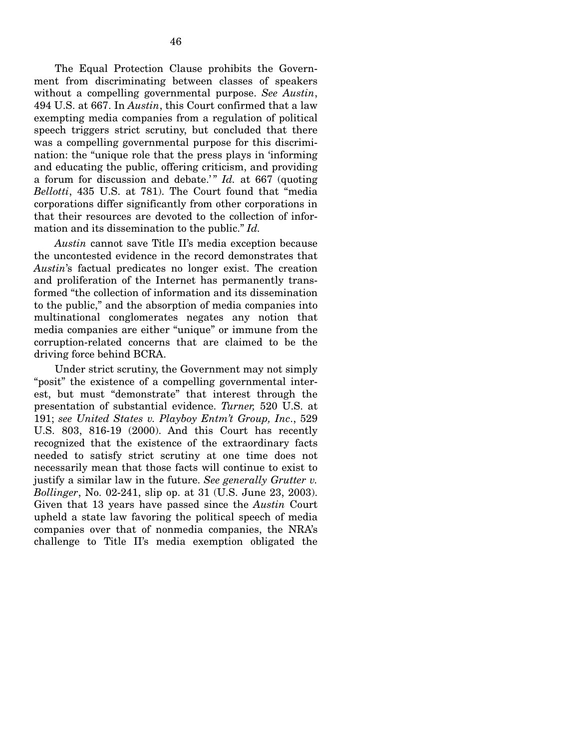The Equal Protection Clause prohibits the Government from discriminating between classes of speakers without a compelling governmental purpose. *See Austin*, 494 U.S. at 667. In *Austin*, this Court confirmed that a law exempting media companies from a regulation of political speech triggers strict scrutiny, but concluded that there was a compelling governmental purpose for this discrimination: the "unique role that the press plays in 'informing and educating the public, offering criticism, and providing a forum for discussion and debate.'" *Id.* at 667 (quoting *Bellotti*, 435 U.S. at 781). The Court found that "media corporations differ significantly from other corporations in that their resources are devoted to the collection of information and its dissemination to the public." *Id.* 

*Austin* cannot save Title II's media exception because the uncontested evidence in the record demonstrates that *Austin*'s factual predicates no longer exist. The creation and proliferation of the Internet has permanently transformed "the collection of information and its dissemination to the public," and the absorption of media companies into multinational conglomerates negates any notion that media companies are either "unique" or immune from the corruption-related concerns that are claimed to be the driving force behind BCRA.

Under strict scrutiny, the Government may not simply "posit" the existence of a compelling governmental interest, but must "demonstrate" that interest through the presentation of substantial evidence. *Turner,* 520 U.S. at 191; *see United States v. Playboy Entm't Group, Inc*., 529 U.S. 803, 816-19 (2000). And this Court has recently recognized that the existence of the extraordinary facts needed to satisfy strict scrutiny at one time does not necessarily mean that those facts will continue to exist to justify a similar law in the future. *See generally Grutter v. Bollinger*, No. 02-241, slip op. at 31 (U.S. June 23, 2003). Given that 13 years have passed since the *Austin* Court upheld a state law favoring the political speech of media companies over that of nonmedia companies, the NRA's challenge to Title II's media exemption obligated the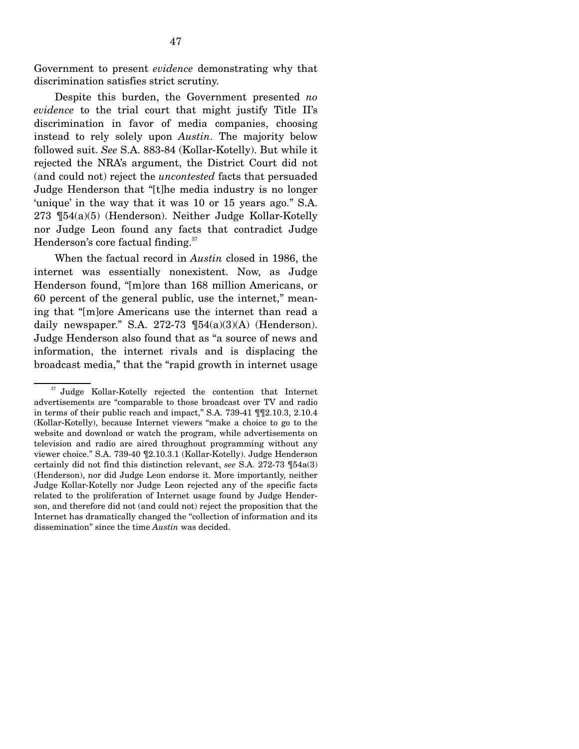Government to present *evidence* demonstrating why that discrimination satisfies strict scrutiny.

Despite this burden, the Government presented *no evidence* to the trial court that might justify Title II's discrimination in favor of media companies, choosing instead to rely solely upon *Austin*. The majority below followed suit. *See* S.A. 883-84 (Kollar-Kotelly). But while it rejected the NRA's argument, the District Court did not (and could not) reject the *uncontested* facts that persuaded Judge Henderson that "[t]he media industry is no longer 'unique' in the way that it was 10 or 15 years ago." S.A. 273 ¶54(a)(5) (Henderson). Neither Judge Kollar-Kotelly nor Judge Leon found any facts that contradict Judge Henderson's core factual finding.<sup>37</sup>

When the factual record in *Austin* closed in 1986, the internet was essentially nonexistent. Now, as Judge Henderson found, "[m]ore than 168 million Americans, or 60 percent of the general public, use the internet," meaning that "[m]ore Americans use the internet than read a daily newspaper." S.A. 272-73  $\P(54(a)(3)(A)$  (Henderson). Judge Henderson also found that as "a source of news and information, the internet rivals and is displacing the broadcast media," that the "rapid growth in internet usage

<sup>&</sup>lt;sup>37</sup> Judge Kollar-Kotelly rejected the contention that Internet advertisements are "comparable to those broadcast over TV and radio in terms of their public reach and impact," S.A. 739-41 ¶¶2.10.3, 2.10.4 (Kollar-Kotelly), because Internet viewers "make a choice to go to the website and download or watch the program, while advertisements on television and radio are aired throughout programming without any viewer choice." S.A. 739-40 ¶2.10.3.1 (Kollar-Kotelly). Judge Henderson certainly did not find this distinction relevant, *see* S.A. 272-73 ¶54a(3) (Henderson), nor did Judge Leon endorse it. More importantly, neither Judge Kollar-Kotelly nor Judge Leon rejected any of the specific facts related to the proliferation of Internet usage found by Judge Henderson, and therefore did not (and could not) reject the proposition that the Internet has dramatically changed the "collection of information and its dissemination" since the time *Austin* was decided.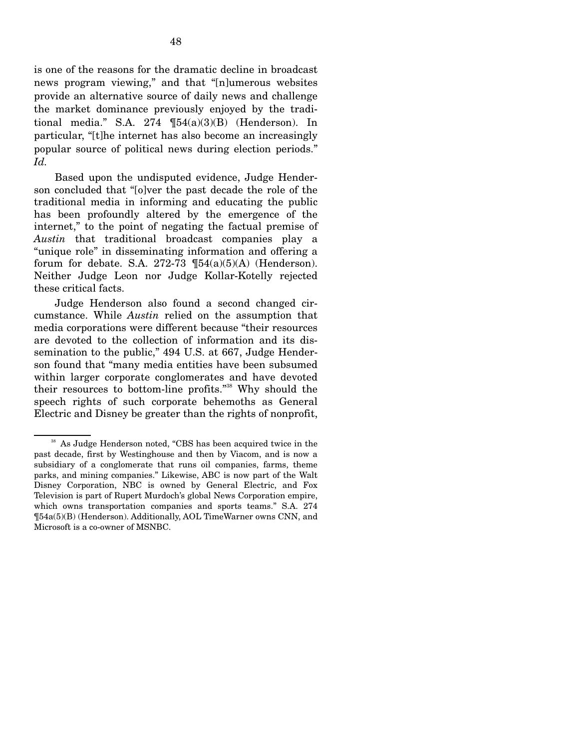is one of the reasons for the dramatic decline in broadcast news program viewing," and that "[n]umerous websites provide an alternative source of daily news and challenge the market dominance previously enjoyed by the traditional media." S.A. 274  $\P54(a)(3)(B)$  (Henderson). In particular, "[t]he internet has also become an increasingly popular source of political news during election periods." *Id.* 

Based upon the undisputed evidence, Judge Henderson concluded that "[o]ver the past decade the role of the traditional media in informing and educating the public has been profoundly altered by the emergence of the internet," to the point of negating the factual premise of *Austin* that traditional broadcast companies play a "unique role" in disseminating information and offering a forum for debate. S.A. 272-73  $\P 54(a)(5)(A)$  (Henderson). Neither Judge Leon nor Judge Kollar-Kotelly rejected these critical facts.

Judge Henderson also found a second changed circumstance. While *Austin* relied on the assumption that media corporations were different because "their resources are devoted to the collection of information and its dissemination to the public," 494 U.S. at 667, Judge Henderson found that "many media entities have been subsumed within larger corporate conglomerates and have devoted their resources to bottom-line profits."38 Why should the speech rights of such corporate behemoths as General Electric and Disney be greater than the rights of nonprofit,

<sup>38</sup> As Judge Henderson noted, "CBS has been acquired twice in the past decade, first by Westinghouse and then by Viacom, and is now a subsidiary of a conglomerate that runs oil companies, farms, theme parks, and mining companies." Likewise, ABC is now part of the Walt Disney Corporation, NBC is owned by General Electric, and Fox Television is part of Rupert Murdoch's global News Corporation empire, which owns transportation companies and sports teams." S.A. 274 ¶54a(5)(B) (Henderson). Additionally, AOL TimeWarner owns CNN, and Microsoft is a co-owner of MSNBC.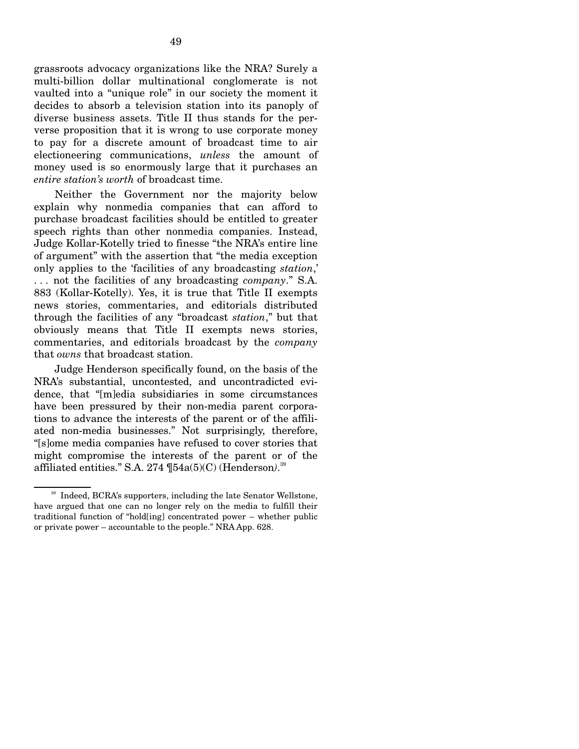grassroots advocacy organizations like the NRA? Surely a multi-billion dollar multinational conglomerate is not vaulted into a "unique role" in our society the moment it decides to absorb a television station into its panoply of diverse business assets. Title II thus stands for the perverse proposition that it is wrong to use corporate money to pay for a discrete amount of broadcast time to air electioneering communications, *unless* the amount of money used is so enormously large that it purchases an *entire station's worth* of broadcast time.

Neither the Government nor the majority below explain why nonmedia companies that can afford to purchase broadcast facilities should be entitled to greater speech rights than other nonmedia companies. Instead, Judge Kollar-Kotelly tried to finesse "the NRA's entire line of argument" with the assertion that "the media exception only applies to the 'facilities of any broadcasting *station*,' . . . not the facilities of any broadcasting *company*." S.A. 883 (Kollar-Kotelly). Yes, it is true that Title II exempts news stories, commentaries, and editorials distributed through the facilities of any "broadcast *station*," but that obviously means that Title II exempts news stories, commentaries, and editorials broadcast by the *company*  that *owns* that broadcast station.

Judge Henderson specifically found, on the basis of the NRA's substantial, uncontested, and uncontradicted evidence, that "[m]edia subsidiaries in some circumstances have been pressured by their non-media parent corporations to advance the interests of the parent or of the affiliated non-media businesses." Not surprisingly, therefore, "[s]ome media companies have refused to cover stories that might compromise the interests of the parent or of the affiliated entities." S.A. 274  $\P54a(5)(C)$  (Henderson).<sup>39</sup>

<sup>&</sup>lt;sup>39</sup> Indeed, BCRA's supporters, including the late Senator Wellstone, have argued that one can no longer rely on the media to fulfill their traditional function of "hold[ing] concentrated power – whether public or private power – accountable to the people." NRA App. 628.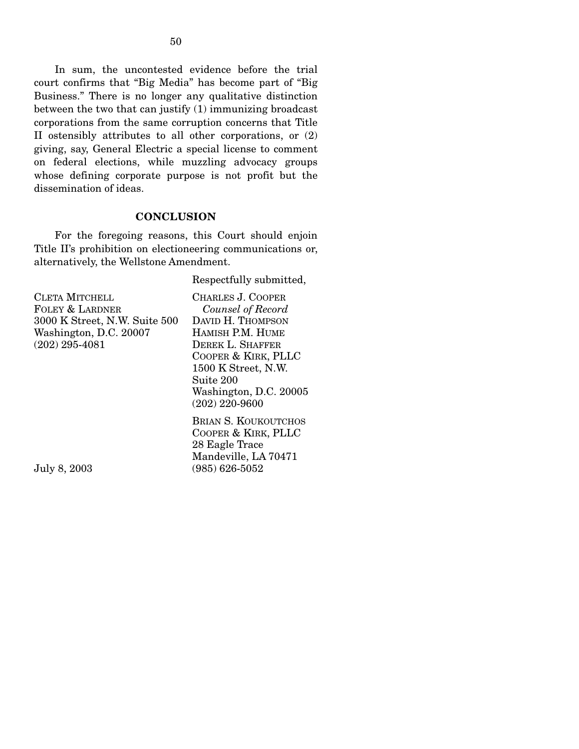In sum, the uncontested evidence before the trial court confirms that "Big Media" has become part of "Big Business." There is no longer any qualitative distinction between the two that can justify (1) immunizing broadcast corporations from the same corruption concerns that Title II ostensibly attributes to all other corporations, or (2) giving, say, General Electric a special license to comment on federal elections, while muzzling advocacy groups whose defining corporate purpose is not profit but the dissemination of ideas.

## **CONCLUSION**

For the foregoing reasons, this Court should enjoin Title II's prohibition on electioneering communications or, alternatively, the Wellstone Amendment.

Respectfully submitted,

| CLETA MITCHELL                | CHARLES J. COOPER           |
|-------------------------------|-----------------------------|
| FOLEY & LARDNER               | Counsel of Record           |
| 3000 K Street, N.W. Suite 500 | DAVID H. THOMPSON           |
| Washington, D.C. 20007        | HAMISH P.M. HUME            |
| $(202)$ 295-4081              | DEREK L. SHAFFER            |
|                               | COOPER & KIRK, PLLC         |
|                               | 1500 K Street, N.W.         |
|                               | Suite 200                   |
|                               | Washington, D.C. 20005      |
|                               | $(202)$ 220-9600            |
|                               | <b>BRIAN S. KOUKOUTCHOS</b> |
|                               | COOPER & KIRK, PLLC         |
|                               | 28 Eagle Trace              |
|                               | Mandeville, LA 70471        |
| July 8, 2003                  | $(985) 626 - 5052$          |

July 8, 2003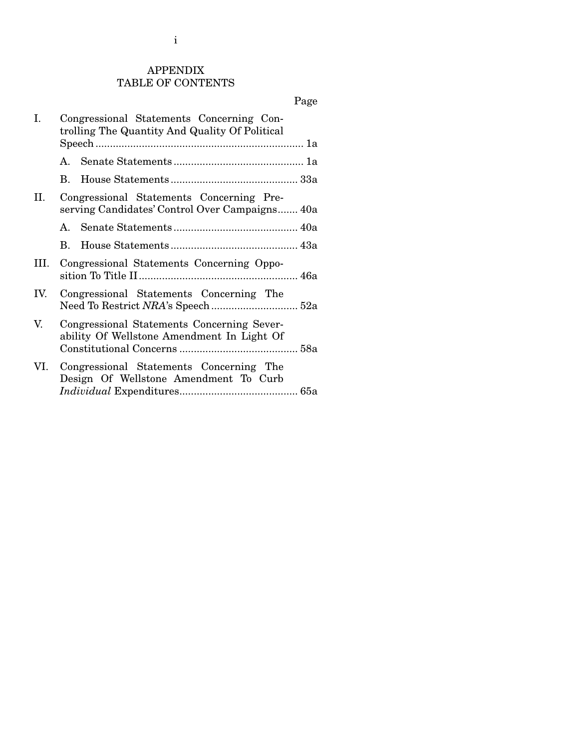i

## APPENDIX TABLE OF CONTENTS

# Page

| I.   | Congressional Statements Concerning Con-<br>trolling The Quantity And Quality Of Political |  |
|------|--------------------------------------------------------------------------------------------|--|
|      |                                                                                            |  |
|      | B.                                                                                         |  |
| II.  | Congressional Statements Concerning Pre-<br>serving Candidates' Control Over Campaigns 40a |  |
|      |                                                                                            |  |
|      | B.                                                                                         |  |
| III. | Congressional Statements Concerning Oppo-                                                  |  |
| IV.  | Congressional Statements Concerning The                                                    |  |
| V.   | Congressional Statements Concerning Sever-<br>ability Of Wellstone Amendment In Light Of   |  |
| VI.  | Congressional Statements Concerning The<br>Design Of Wellstone Amendment To Curb           |  |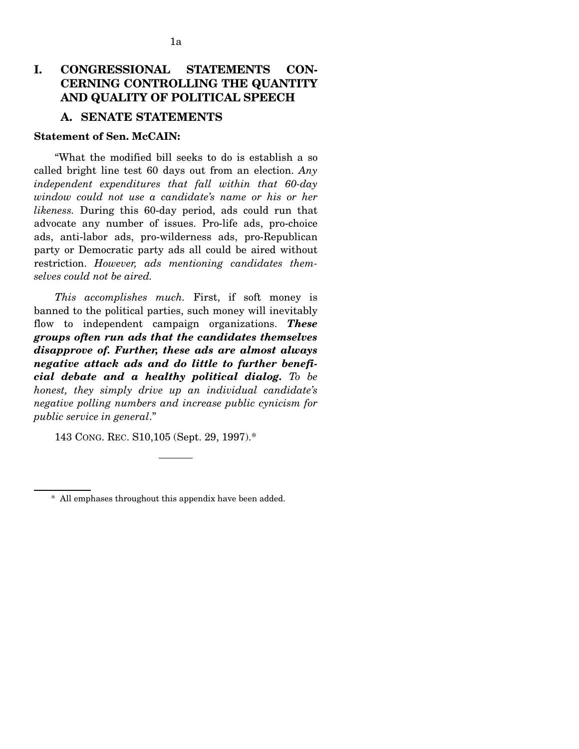# **I. CONGRESSIONAL STATEMENTS CON-CERNING CONTROLLING THE QUANTITY AND QUALITY OF POLITICAL SPEECH**

## **A. SENATE STATEMENTS**

## **Statement of Sen. McCAIN:**

"What the modified bill seeks to do is establish a so called bright line test 60 days out from an election. *Any independent expenditures that fall within that 60-day window could not use a candidate's name or his or her likeness.* During this 60-day period, ads could run that advocate any number of issues. Pro-life ads, pro-choice ads, anti-labor ads, pro-wilderness ads, pro-Republican party or Democratic party ads all could be aired without restriction. *However, ads mentioning candidates themselves could not be aired.* 

*This accomplishes much.* First, if soft money is banned to the political parties, such money will inevitably flow to independent campaign organizations. *These groups often run ads that the candidates themselves disapprove of. Further, these ads are almost always negative attack ads and do little to further beneficial debate and a healthy political dialog. To be honest, they simply drive up an individual candidate's negative polling numbers and increase public cynicism for public service in general*."

143 CONG. REC. S10,105 (Sept. 29, 1997).\*

<sup>\*</sup> All emphases throughout this appendix have been added.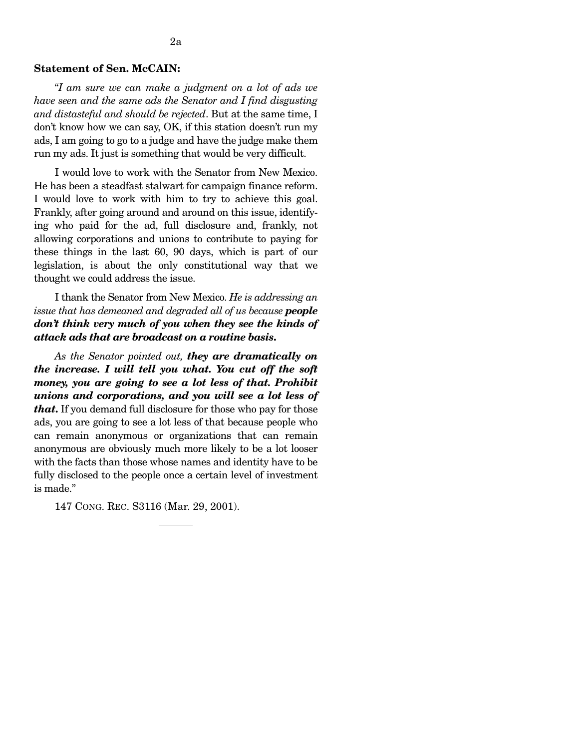## **Statement of Sen. McCAIN:**

"*I am sure we can make a judgment on a lot of ads we have seen and the same ads the Senator and I find disgusting and distasteful and should be rejected*. But at the same time, I don't know how we can say, OK, if this station doesn't run my ads, I am going to go to a judge and have the judge make them run my ads. It just is something that would be very difficult.

I would love to work with the Senator from New Mexico. He has been a steadfast stalwart for campaign finance reform. I would love to work with him to try to achieve this goal. Frankly, after going around and around on this issue, identifying who paid for the ad, full disclosure and, frankly, not allowing corporations and unions to contribute to paying for these things in the last 60, 90 days, which is part of our legislation, is about the only constitutional way that we thought we could address the issue.

I thank the Senator from New Mexico. *He is addressing an issue that has demeaned and degraded all of us because people don't think very much of you when they see the kinds of attack ads that are broadcast on a routine basis***.** 

*As the Senator pointed out, they are dramatically on the increase. I will tell you what. You cut off the soft money, you are going to see a lot less of that. Prohibit unions and corporations, and you will see a lot less of that***.** If you demand full disclosure for those who pay for those ads, you are going to see a lot less of that because people who can remain anonymous or organizations that can remain anonymous are obviously much more likely to be a lot looser with the facts than those whose names and identity have to be fully disclosed to the people once a certain level of investment is made."

147 CONG. REC. S3116 (Mar. 29, 2001).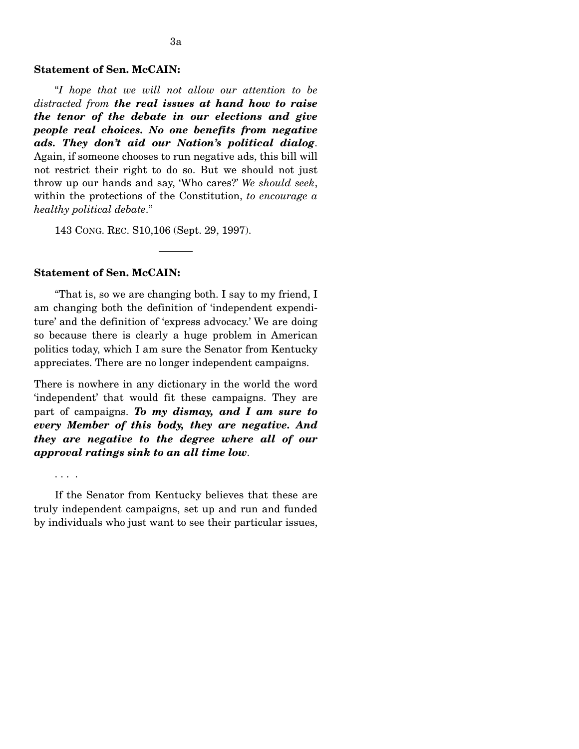#### **Statement of Sen. McCAIN:**

"*I hope that we will not allow our attention to be distracted from the real issues at hand how to raise the tenor of the debate in our elections and give people real choices. No one benefits from negative ads. They don't aid our Nation's political dialog*. Again, if someone chooses to run negative ads, this bill will not restrict their right to do so. But we should not just throw up our hands and say, 'Who cares?' *We should seek*, within the protections of the Constitution, *to encourage a healthy political debate*."

143 CONG. REC. S10,106 (Sept. 29, 1997).

#### **Statement of Sen. McCAIN:**

"That is, so we are changing both. I say to my friend, I am changing both the definition of 'independent expenditure' and the definition of 'express advocacy.' We are doing so because there is clearly a huge problem in American politics today, which I am sure the Senator from Kentucky appreciates. There are no longer independent campaigns.

There is nowhere in any dictionary in the world the word 'independent' that would fit these campaigns. They are part of campaigns. *To my dismay, and I am sure to every Member of this body, they are negative. And they are negative to the degree where all of our approval ratings sink to an all time low*.

. . . .

If the Senator from Kentucky believes that these are truly independent campaigns, set up and run and funded by individuals who just want to see their particular issues,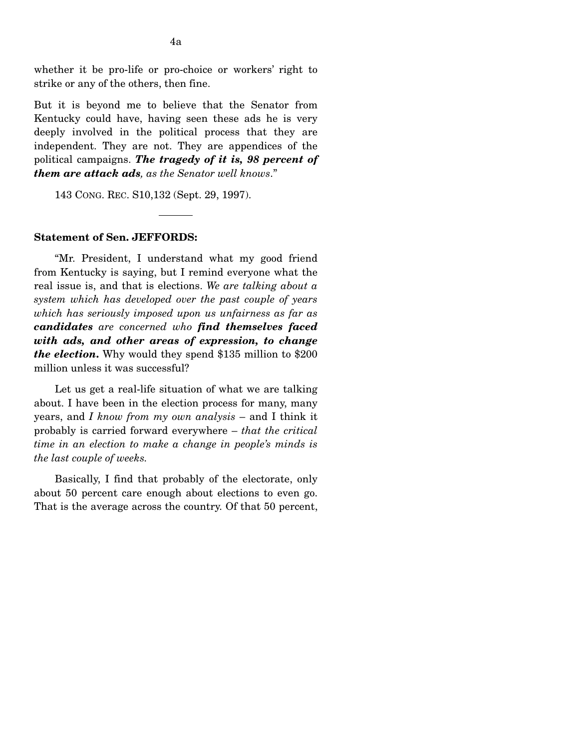whether it be pro-life or pro-choice or workers' right to strike or any of the others, then fine.

But it is beyond me to believe that the Senator from Kentucky could have, having seen these ads he is very deeply involved in the political process that they are independent. They are not. They are appendices of the political campaigns. *The tragedy of it is, 98 percent of them are attack ads, as the Senator well knows*."

143 CONG. REC. S10,132 (Sept. 29, 1997).

#### **Statement of Sen. JEFFORDS:**

"Mr. President, I understand what my good friend from Kentucky is saying, but I remind everyone what the real issue is, and that is elections. *We are talking about a system which has developed over the past couple of years which has seriously imposed upon us unfairness as far as candidates are concerned who find themselves faced with ads, and other areas of expression, to change the election***.** Why would they spend \$135 million to \$200 million unless it was successful?

Let us get a real-life situation of what we are talking about. I have been in the election process for many, many years, and *I know from my own analysis* – and I think it probably is carried forward everywhere – *that the critical time in an election to make a change in people's minds is the last couple of weeks.* 

Basically, I find that probably of the electorate, only about 50 percent care enough about elections to even go. That is the average across the country. Of that 50 percent,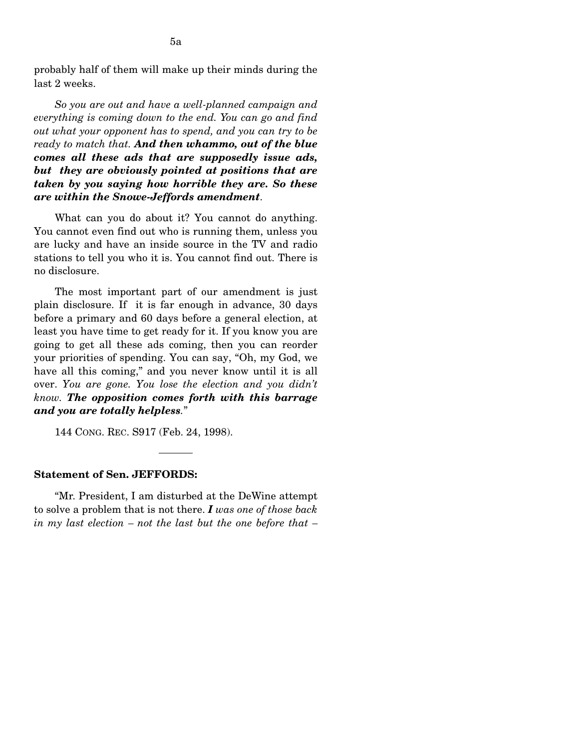5a

*So you are out and have a well-planned campaign and everything is coming down to the end. You can go and find out what your opponent has to spend, and you can try to be ready to match that. And then whammo, out of the blue comes all these ads that are supposedly issue ads, but they are obviously pointed at positions that are taken by you saying how horrible they are. So these are within the Snowe-Jeffords amendment*.

What can you do about it? You cannot do anything. You cannot even find out who is running them, unless you are lucky and have an inside source in the TV and radio stations to tell you who it is. You cannot find out. There is no disclosure.

The most important part of our amendment is just plain disclosure. If it is far enough in advance, 30 days before a primary and 60 days before a general election, at least you have time to get ready for it. If you know you are going to get all these ads coming, then you can reorder your priorities of spending. You can say, "Oh, my God, we have all this coming," and you never know until it is all over. *You are gone. You lose the election and you didn't know. The opposition comes forth with this barrage and you are totally helpless.*"

144 CONG. REC. S917 (Feb. 24, 1998).

## **Statement of Sen. JEFFORDS:**

"Mr. President, I am disturbed at the DeWine attempt to solve a problem that is not there. *I was one of those back in my last election – not the last but the one before that –*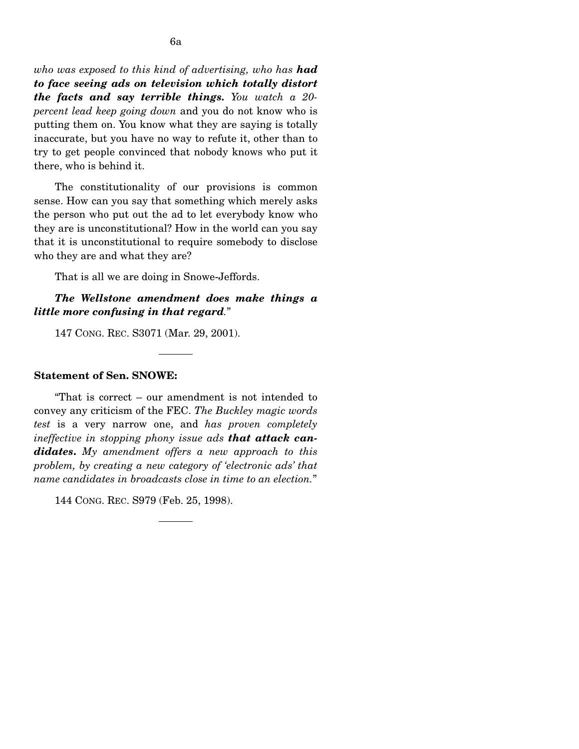*who was exposed to this kind of advertising, who has had to face seeing ads on television which totally distort the facts and say terrible things. You watch a 20 percent lead keep going down* and you do not know who is putting them on. You know what they are saying is totally inaccurate, but you have no way to refute it, other than to try to get people convinced that nobody knows who put it there, who is behind it.

The constitutionality of our provisions is common sense. How can you say that something which merely asks the person who put out the ad to let everybody know who they are is unconstitutional? How in the world can you say that it is unconstitutional to require somebody to disclose who they are and what they are?

That is all we are doing in Snowe-Jeffords.

## *The Wellstone amendment does make things a little more confusing in that regard.*"

147 CONG. REC. S3071 (Mar. 29, 2001).

### **Statement of Sen. SNOWE:**

"That is correct – our amendment is not intended to convey any criticism of the FEC. *The Buckley magic words test* is a very narrow one, and *has proven completely ineffective in stopping phony issue ads that attack candidates***.** *My amendment offers a new approach to this problem, by creating a new category of 'electronic ads' that name candidates in broadcasts close in time to an election.*"

144 CONG. REC. S979 (Feb. 25, 1998).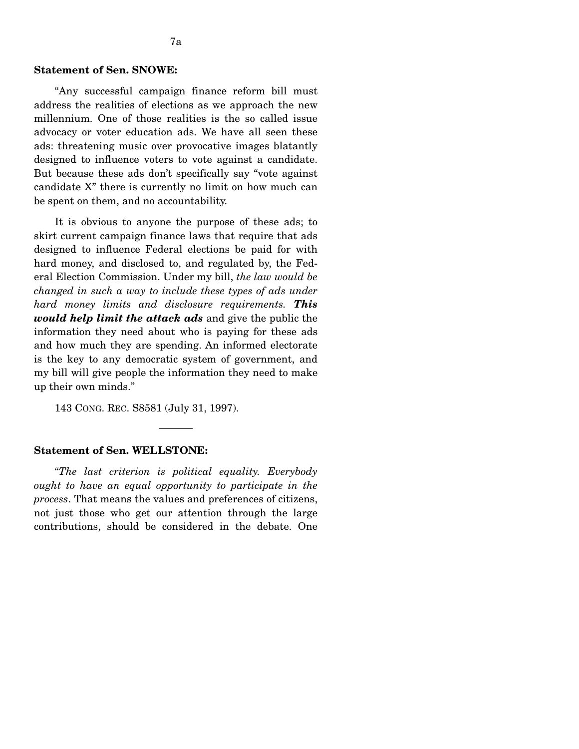### **Statement of Sen. SNOWE:**

"Any successful campaign finance reform bill must address the realities of elections as we approach the new millennium. One of those realities is the so called issue advocacy or voter education ads. We have all seen these ads: threatening music over provocative images blatantly designed to influence voters to vote against a candidate. But because these ads don't specifically say "vote against candidate X" there is currently no limit on how much can be spent on them, and no accountability.

It is obvious to anyone the purpose of these ads; to skirt current campaign finance laws that require that ads designed to influence Federal elections be paid for with hard money, and disclosed to, and regulated by, the Federal Election Commission. Under my bill, *the law would be changed in such a way to include these types of ads under hard money limits and disclosure requirements. This would help limit the attack ads* and give the public the information they need about who is paying for these ads and how much they are spending. An informed electorate is the key to any democratic system of government, and my bill will give people the information they need to make up their own minds."

143 CONG. REC. S8581 (July 31, 1997).

## **Statement of Sen. WELLSTONE:**

"*The last criterion is political equality. Everybody ought to have an equal opportunity to participate in the process*. That means the values and preferences of citizens, not just those who get our attention through the large contributions, should be considered in the debate. One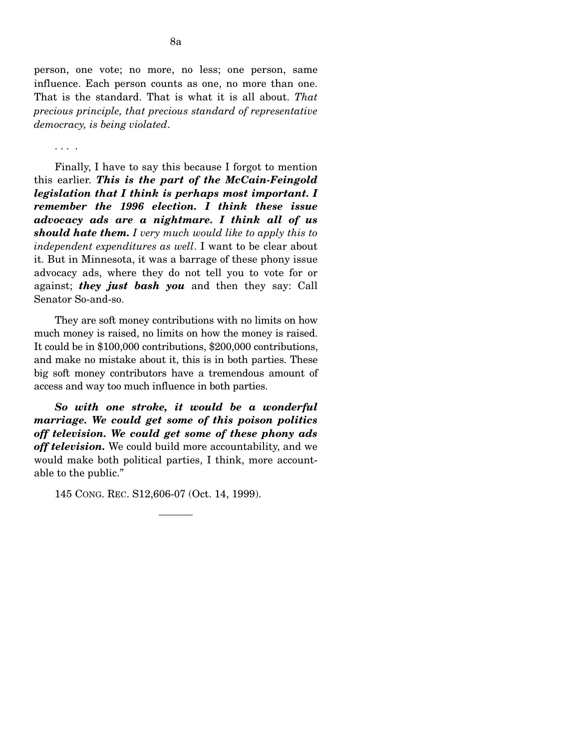person, one vote; no more, no less; one person, same influence. Each person counts as one, no more than one. That is the standard. That is what it is all about. *That precious principle, that precious standard of representative democracy, is being violated*.

. . . .

Finally, I have to say this because I forgot to mention this earlier. *This is the part of the McCain-Feingold legislation that I think is perhaps most important. I remember the 1996 election. I think these issue advocacy ads are a nightmare. I think all of us should hate them. I very much would like to apply this to independent expenditures as well*. I want to be clear about it. But in Minnesota, it was a barrage of these phony issue advocacy ads, where they do not tell you to vote for or against; *they just bash you* and then they say: Call Senator So-and-so.

They are soft money contributions with no limits on how much money is raised, no limits on how the money is raised. It could be in \$100,000 contributions, \$200,000 contributions, and make no mistake about it, this is in both parties. These big soft money contributors have a tremendous amount of access and way too much influence in both parties.

*So with one stroke, it would be a wonderful marriage. We could get some of this poison politics off television. We could get some of these phony ads off television.* We could build more accountability, and we would make both political parties, I think, more accountable to the public."

145 CONG. REC. S12,606-07 (Oct. 14, 1999).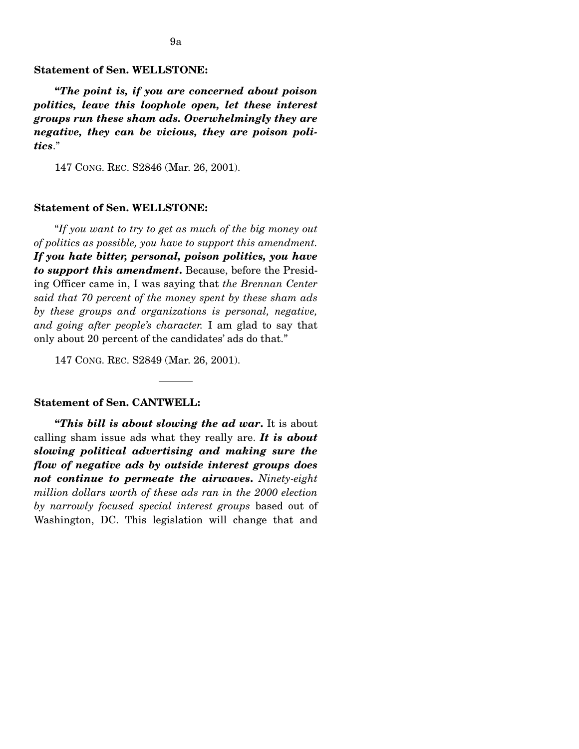## **Statement of Sen. WELLSTONE:**

**"***The point is, if you are concerned about poison politics, leave this loophole open, let these interest groups run these sham ads. Overwhelmingly they are negative, they can be vicious, they are poison politics*."

147 CONG. REC. S2846 (Mar. 26, 2001).

### **Statement of Sen. WELLSTONE:**

"*If you want to try to get as much of the big money out of politics as possible, you have to support this amendment. If you hate bitter, personal, poison politics, you have to support this amendment***.** Because, before the Presiding Officer came in, I was saying that *the Brennan Center said that 70 percent of the money spent by these sham ads by these groups and organizations is personal, negative, and going after people's character.* I am glad to say that only about 20 percent of the candidates' ads do that."

147 CONG. REC. S2849 (Mar. 26, 2001).

## **Statement of Sen. CANTWELL:**

**"***This bill is about slowing the ad war***.** It is about calling sham issue ads what they really are. *It is about slowing political advertising and making sure the flow of negative ads by outside interest groups does not continue to permeate the airwaves***.** *Ninety-eight million dollars worth of these ads ran in the 2000 election by narrowly focused special interest groups* based out of Washington, DC. This legislation will change that and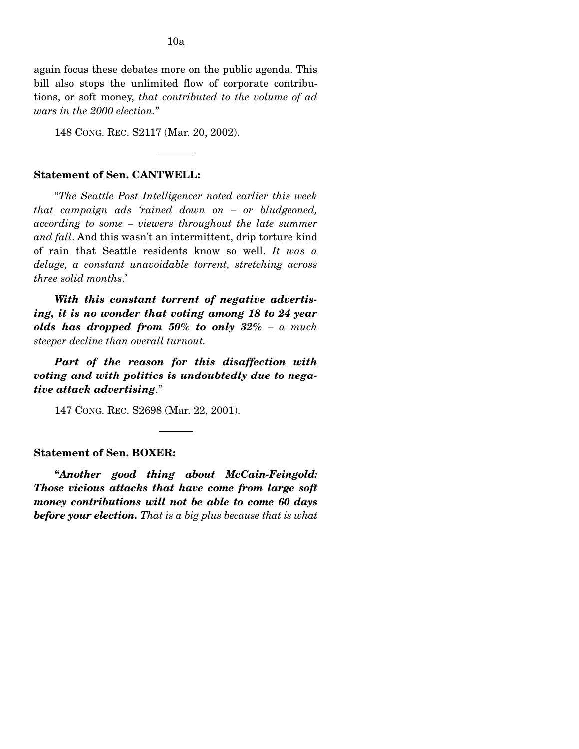again focus these debates more on the public agenda. This bill also stops the unlimited flow of corporate contributions, or soft money, *that contributed to the volume of ad wars in the 2000 election.*"

148 CONG. REC. S2117 (Mar. 20, 2002).

## **Statement of Sen. CANTWELL:**

"*The Seattle Post Intelligencer noted earlier this week that campaign ads 'rained down on – or bludgeoned, according to some – viewers throughout the late summer and fall*. And this wasn't an intermittent, drip torture kind of rain that Seattle residents know so well. *It was a deluge, a constant unavoidable torrent, stretching across three solid months*.'

*With this constant torrent of negative advertising, it is no wonder that voting among 18 to 24 year olds has dropped from 50% to only 32% – a much steeper decline than overall turnout.* 

*Part of the reason for this disaffection with voting and with politics is undoubtedly due to negative attack advertising*."

147 CONG. REC. S2698 (Mar. 22, 2001).

### **Statement of Sen. BOXER:**

**"***Another good thing about McCain-Feingold: Those vicious attacks that have come from large soft money contributions will not be able to come 60 days before your election. That is a big plus because that is what*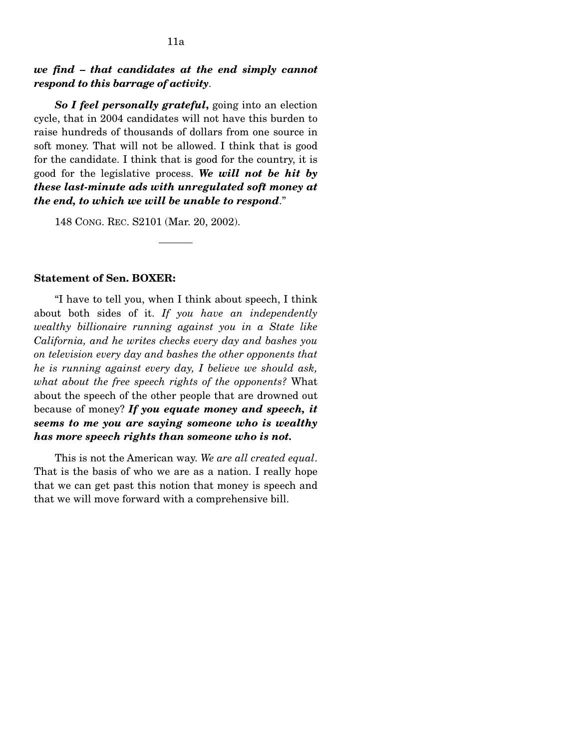## *we find – that candidates at the end simply cannot respond to this barrage of activity*.

*So I feel personally grateful***,** going into an election cycle, that in 2004 candidates will not have this burden to raise hundreds of thousands of dollars from one source in soft money. That will not be allowed. I think that is good for the candidate. I think that is good for the country, it is good for the legislative process. *We will not be hit by these last-minute ads with unregulated soft money at the end, to which we will be unable to respond*."

148 CONG. REC. S2101 (Mar. 20, 2002).

## **Statement of Sen. BOXER:**

"I have to tell you, when I think about speech, I think about both sides of it. *If you have an independently wealthy billionaire running against you in a State like California, and he writes checks every day and bashes you on television every day and bashes the other opponents that he is running against every day, I believe we should ask, what about the free speech rights of the opponents?* What about the speech of the other people that are drowned out because of money? *If you equate money and speech, it seems to me you are saying someone who is wealthy has more speech rights than someone who is not.* 

This is not the American way. *We are all created equal*. That is the basis of who we are as a nation. I really hope that we can get past this notion that money is speech and that we will move forward with a comprehensive bill.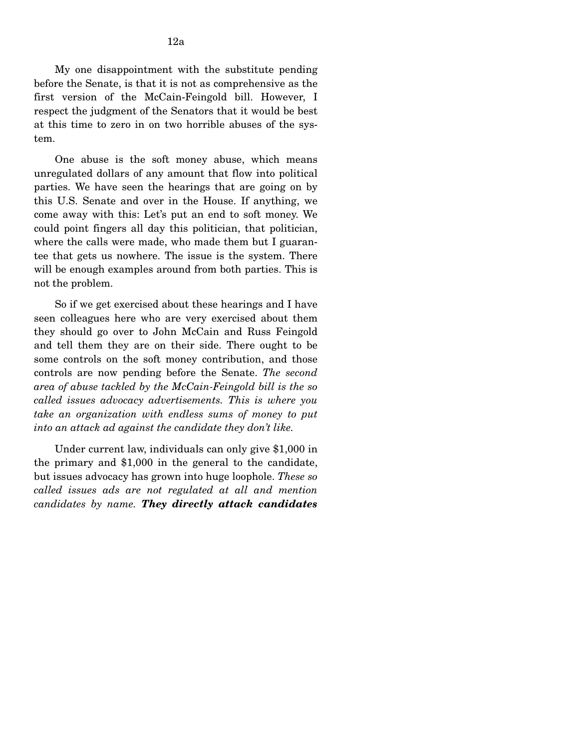My one disappointment with the substitute pending before the Senate, is that it is not as comprehensive as the first version of the McCain-Feingold bill. However, I respect the judgment of the Senators that it would be best at this time to zero in on two horrible abuses of the system.

One abuse is the soft money abuse, which means unregulated dollars of any amount that flow into political parties. We have seen the hearings that are going on by this U.S. Senate and over in the House. If anything, we come away with this: Let's put an end to soft money. We could point fingers all day this politician, that politician, where the calls were made, who made them but I guarantee that gets us nowhere. The issue is the system. There will be enough examples around from both parties. This is not the problem.

So if we get exercised about these hearings and I have seen colleagues here who are very exercised about them they should go over to John McCain and Russ Feingold and tell them they are on their side. There ought to be some controls on the soft money contribution, and those controls are now pending before the Senate. *The second area of abuse tackled by the McCain-Feingold bill is the so called issues advocacy advertisements. This is where you take an organization with endless sums of money to put into an attack ad against the candidate they don't like.* 

Under current law, individuals can only give \$1,000 in the primary and \$1,000 in the general to the candidate, but issues advocacy has grown into huge loophole. *These so called issues ads are not regulated at all and mention candidates by name. They directly attack candidates*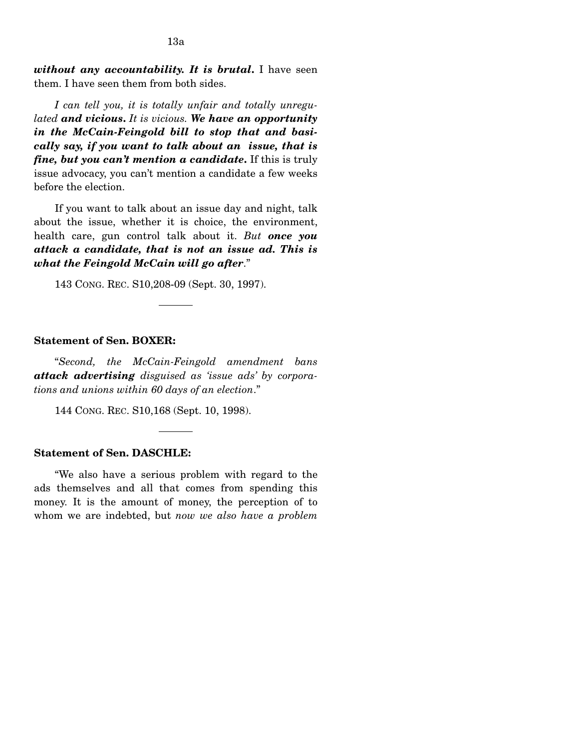*without any accountability. It is brutal***.** I have seen them. I have seen them from both sides.

*I can tell you, it is totally unfair and totally unregulated and vicious***.** *It is vicious. We have an opportunity in the McCain-Feingold bill to stop that and basically say, if you want to talk about an issue, that is fine, but you can't mention a candidate***.** If this is truly issue advocacy, you can't mention a candidate a few weeks before the election.

If you want to talk about an issue day and night, talk about the issue, whether it is choice, the environment, health care, gun control talk about it. *But once you attack a candidate, that is not an issue ad. This is what the Feingold McCain will go after*."

143 CONG. REC. S10,208-09 (Sept. 30, 1997).

## **Statement of Sen. BOXER:**

"*Second, the McCain-Feingold amendment bans attack advertising disguised as 'issue ads' by corporations and unions within 60 days of an election*."

144 CONG. REC. S10,168 (Sept. 10, 1998).

### **Statement of Sen. DASCHLE:**

"We also have a serious problem with regard to the ads themselves and all that comes from spending this money. It is the amount of money, the perception of to whom we are indebted, but *now we also have a problem*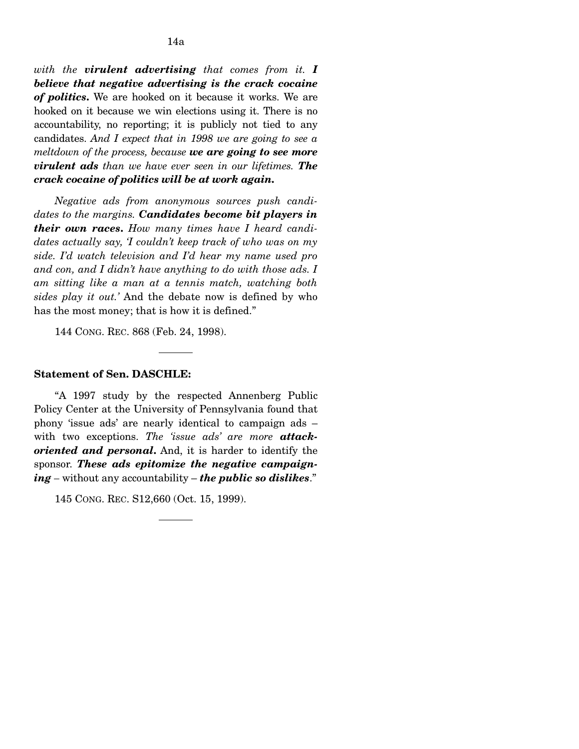*with the virulent advertising that comes from it. I believe that negative advertising is the crack cocaine of politics***.** We are hooked on it because it works. We are hooked on it because we win elections using it. There is no accountability, no reporting; it is publicly not tied to any candidates. *And I expect that in 1998 we are going to see a meltdown of the process, because we are going to see more virulent ads than we have ever seen in our lifetimes. The crack cocaine of politics will be at work again***.** 

*Negative ads from anonymous sources push candidates to the margins. Candidates become bit players in their own races***.** *How many times have I heard candidates actually say, 'I couldn't keep track of who was on my side. I'd watch television and I'd hear my name used pro and con, and I didn't have anything to do with those ads. I am sitting like a man at a tennis match, watching both sides play it out.'* And the debate now is defined by who has the most money; that is how it is defined."

144 CONG. REC. 868 (Feb. 24, 1998).

## **Statement of Sen. DASCHLE:**

"A 1997 study by the respected Annenberg Public Policy Center at the University of Pennsylvania found that phony 'issue ads' are nearly identical to campaign ads – with two exceptions. *The 'issue ads' are more attackoriented and personal***.** And, it is harder to identify the sponsor. *These ads epitomize the negative campaigning –* without any accountability – *the public so dislikes*."

145 CONG. REC. S12,660 (Oct. 15, 1999).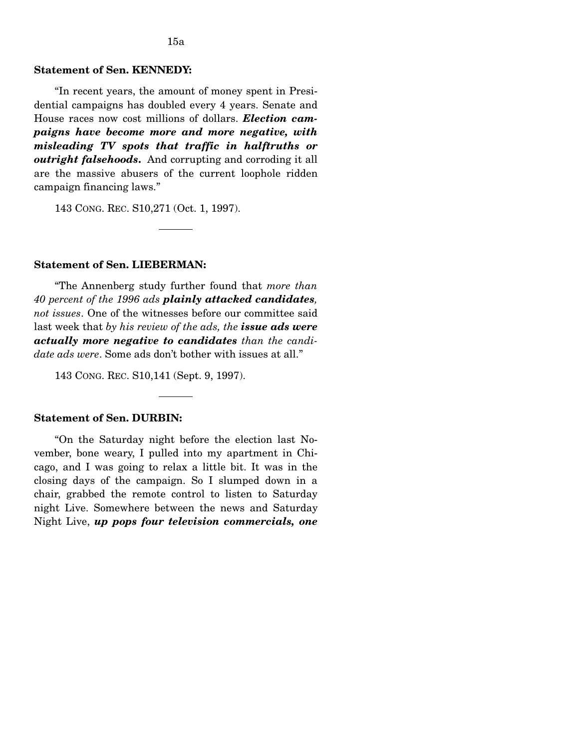# **Statement of Sen. KENNEDY:**

"In recent years, the amount of money spent in Presidential campaigns has doubled every 4 years. Senate and House races now cost millions of dollars. *Election campaigns have become more and more negative, with misleading TV spots that traffic in halftruths or outright falsehoods***.** And corrupting and corroding it all are the massive abusers of the current loophole ridden campaign financing laws."

143 CONG. REC. S10,271 (Oct. 1, 1997).

#### **Statement of Sen. LIEBERMAN:**

"The Annenberg study further found that *more than 40 percent of the 1996 ads plainly attacked candidates, not issues*. One of the witnesses before our committee said last week that *by his review of the ads, the issue ads were actually more negative to candidates than the candidate ads were*. Some ads don't bother with issues at all."

143 CONG. REC. S10,141 (Sept. 9, 1997).

## **Statement of Sen. DURBIN:**

"On the Saturday night before the election last November, bone weary, I pulled into my apartment in Chicago, and I was going to relax a little bit. It was in the closing days of the campaign. So I slumped down in a chair, grabbed the remote control to listen to Saturday night Live. Somewhere between the news and Saturday Night Live, *up pops four television commercials, one*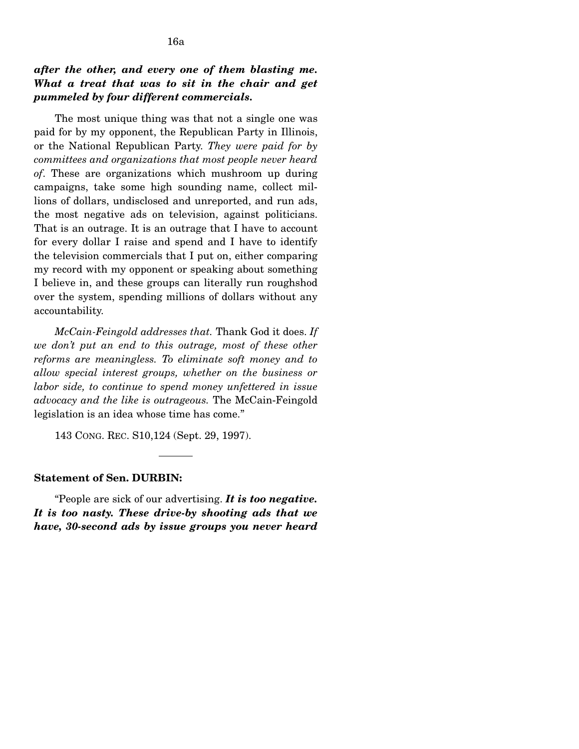# *after the other, and every one of them blasting me. What a treat that was to sit in the chair and get pummeled by four different commercials.*

The most unique thing was that not a single one was paid for by my opponent, the Republican Party in Illinois, or the National Republican Party. *They were paid for by committees and organizations that most people never heard of*. These are organizations which mushroom up during campaigns, take some high sounding name, collect millions of dollars, undisclosed and unreported, and run ads, the most negative ads on television, against politicians. That is an outrage. It is an outrage that I have to account for every dollar I raise and spend and I have to identify the television commercials that I put on, either comparing my record with my opponent or speaking about something I believe in, and these groups can literally run roughshod over the system, spending millions of dollars without any accountability.

*McCain-Feingold addresses that.* Thank God it does. *If we don't put an end to this outrage, most of these other reforms are meaningless. To eliminate soft money and to allow special interest groups, whether on the business or labor side, to continue to spend money unfettered in issue advocacy and the like is outrageous.* The McCain-Feingold legislation is an idea whose time has come."

143 CONG. REC. S10,124 (Sept. 29, 1997).

## **Statement of Sen. DURBIN:**

"People are sick of our advertising. *It is too negative. It is too nasty. These drive-by shooting ads that we have, 30-second ads by issue groups you never heard*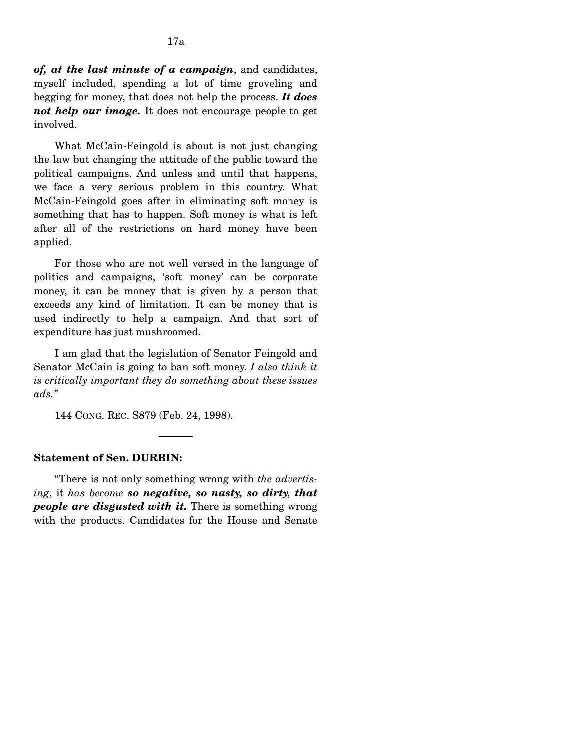*of, at the last minute of a campaign*, and candidates, myself included, spending a lot of time groveling and begging for money, that does not help the process. *It does not help our image.* It does not encourage people to get involved.

What McCain-Feingold is about is not just changing the law but changing the attitude of the public toward the political campaigns. And unless and until that happens, we face a very serious problem in this country. What McCain-Feingold goes after in eliminating soft money is something that has to happen. Soft money is what is left after all of the restrictions on hard money have been applied.

For those who are not well versed in the language of politics and campaigns, 'soft money' can be corporate money, it can be money that is given by a person that exceeds any kind of limitation. It can be money that is used indirectly to help a campaign. And that sort of expenditure has just mushroomed.

I am glad that the legislation of Senator Feingold and Senator McCain is going to ban soft money. *I also think it is critically important they do something about these issues ads."* 

144 CONG. REC. S879 (Feb. 24, 1998).

#### **Statement of Sen. DURBIN:**

"There is not only something wrong with *the advertising*, it *has become so negative, so nasty, so dirty, that people are disgusted with it.* There is something wrong with the products. Candidates for the House and Senate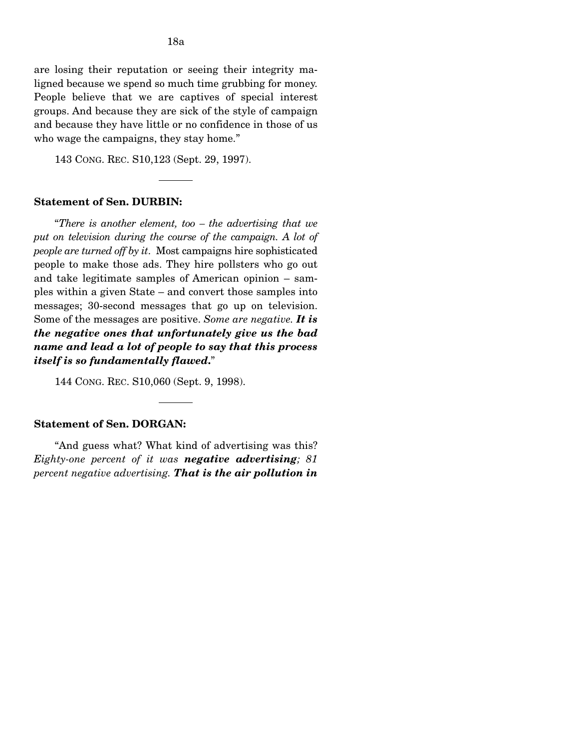are losing their reputation or seeing their integrity maligned because we spend so much time grubbing for money. People believe that we are captives of special interest groups. And because they are sick of the style of campaign and because they have little or no confidence in those of us who wage the campaigns, they stay home."

143 CONG. REC. S10,123 (Sept. 29, 1997).

#### **Statement of Sen. DURBIN:**

"*There is another element, too – the advertising that we*  put on television during the course of the campaign. A lot of *people are turned off by it*. Most campaigns hire sophisticated people to make those ads. They hire pollsters who go out and take legitimate samples of American opinion – samples within a given State – and convert those samples into messages; 30-second messages that go up on television. Some of the messages are positive. *Some are negative. It is the negative ones that unfortunately give us the bad name and lead a lot of people to say that this process itself is so fundamentally flawed***.**"

144 CONG. REC. S10,060 (Sept. 9, 1998).

## **Statement of Sen. DORGAN:**

"And guess what? What kind of advertising was this? *Eighty-one percent of it was negative advertising; 81 percent negative advertising. That is the air pollution in*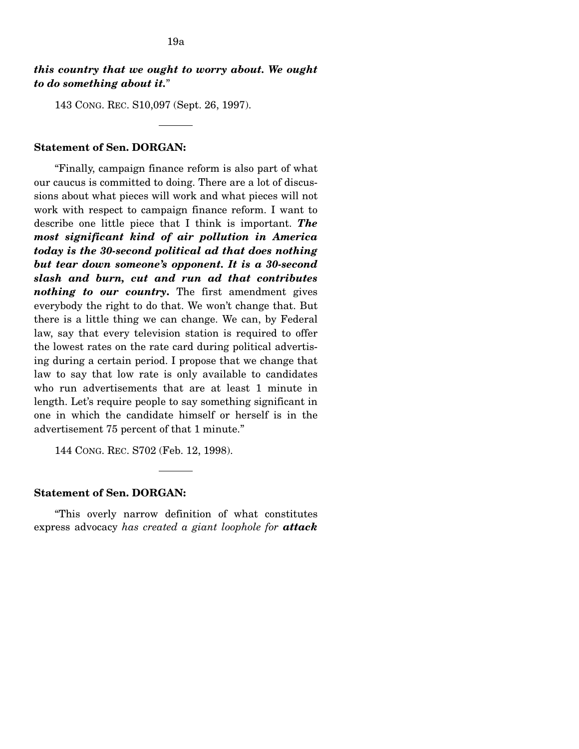# *this country that we ought to worry about. We ought to do something about it.*"

143 CONG. REC. S10,097 (Sept. 26, 1997).

## **Statement of Sen. DORGAN:**

"Finally, campaign finance reform is also part of what our caucus is committed to doing. There are a lot of discussions about what pieces will work and what pieces will not work with respect to campaign finance reform. I want to describe one little piece that I think is important. *The most significant kind of air pollution in America today is the 30-second political ad that does nothing but tear down someone's opponent. It is a 30-second slash and burn, cut and run ad that contributes nothing to our country***.** The first amendment gives everybody the right to do that. We won't change that. But there is a little thing we can change. We can, by Federal law, say that every television station is required to offer the lowest rates on the rate card during political advertising during a certain period. I propose that we change that law to say that low rate is only available to candidates who run advertisements that are at least 1 minute in length. Let's require people to say something significant in one in which the candidate himself or herself is in the advertisement 75 percent of that 1 minute."

144 CONG. REC. S702 (Feb. 12, 1998).

#### **Statement of Sen. DORGAN:**

"This overly narrow definition of what constitutes express advocacy *has created a giant loophole for attack*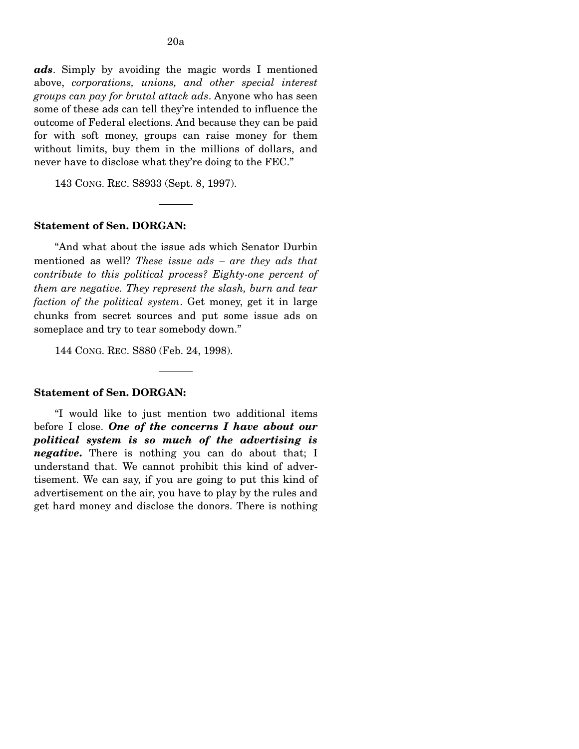*ads*. Simply by avoiding the magic words I mentioned above, *corporations, unions, and other special interest groups can pay for brutal attack ads*. Anyone who has seen some of these ads can tell they're intended to influence the outcome of Federal elections. And because they can be paid for with soft money, groups can raise money for them without limits, buy them in the millions of dollars, and never have to disclose what they're doing to the FEC."

143 CONG. REC. S8933 (Sept. 8, 1997).

#### **Statement of Sen. DORGAN:**

"And what about the issue ads which Senator Durbin mentioned as well? *These issue ads – are they ads that contribute to this political process? Eighty-one percent of them are negative. They represent the slash, burn and tear faction of the political system*. Get money, get it in large chunks from secret sources and put some issue ads on someplace and try to tear somebody down."

144 CONG. REC. S880 (Feb. 24, 1998).

#### **Statement of Sen. DORGAN:**

"I would like to just mention two additional items before I close. *One of the concerns I have about our political system is so much of the advertising is negative***.** There is nothing you can do about that; I understand that. We cannot prohibit this kind of advertisement. We can say, if you are going to put this kind of advertisement on the air, you have to play by the rules and get hard money and disclose the donors. There is nothing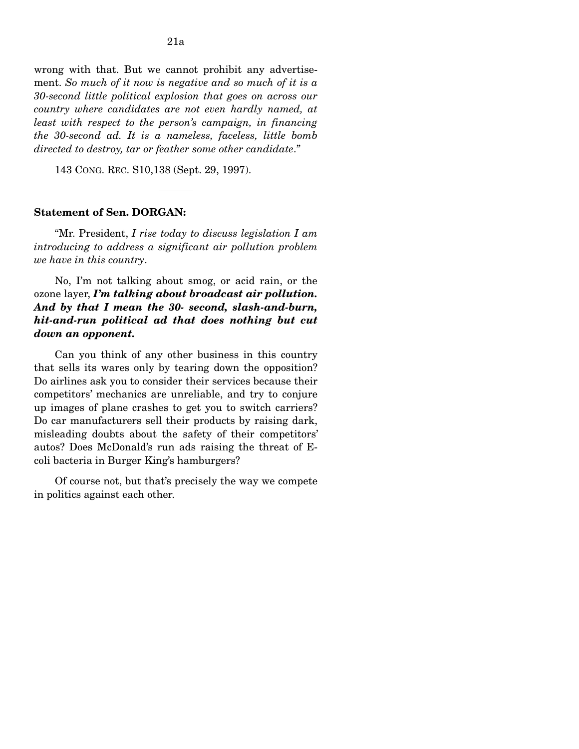wrong with that. But we cannot prohibit any advertisement. *So much of it now is negative and so much of it is a 30-second little political explosion that goes on across our country where candidates are not even hardly named, at least with respect to the person's campaign, in financing the 30-second ad. It is a nameless, faceless, little bomb directed to destroy, tar or feather some other candidate*."

143 CONG. REC. S10,138 (Sept. 29, 1997).

## **Statement of Sen. DORGAN:**

"Mr. President, *I rise today to discuss legislation I am introducing to address a significant air pollution problem we have in this country*.

No, I'm not talking about smog, or acid rain, or the ozone layer, *I'm talking about broadcast air pollution. And by that I mean the 30- second, slash-and-burn, hit-and-run political ad that does nothing but cut down an opponent.* 

Can you think of any other business in this country that sells its wares only by tearing down the opposition? Do airlines ask you to consider their services because their competitors' mechanics are unreliable, and try to conjure up images of plane crashes to get you to switch carriers? Do car manufacturers sell their products by raising dark, misleading doubts about the safety of their competitors' autos? Does McDonald's run ads raising the threat of Ecoli bacteria in Burger King's hamburgers?

Of course not, but that's precisely the way we compete in politics against each other.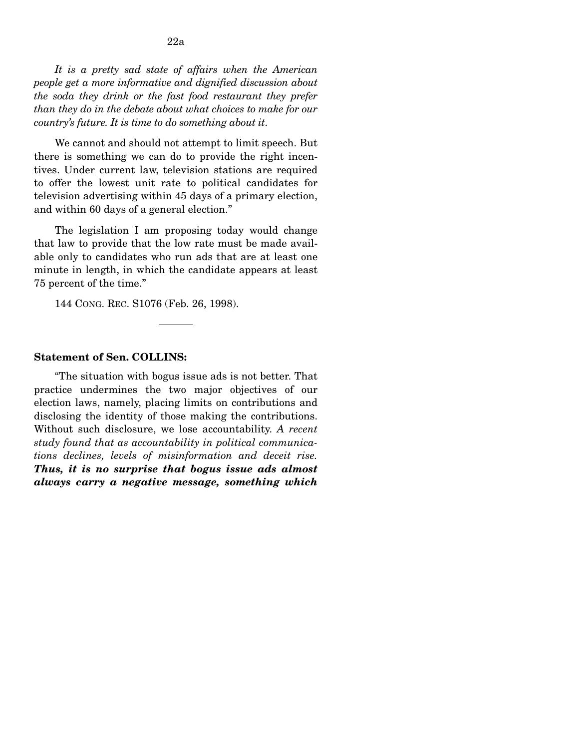*It is a pretty sad state of affairs when the American people get a more informative and dignified discussion about the soda they drink or the fast food restaurant they prefer than they do in the debate about what choices to make for our country's future. It is time to do something about it*.

We cannot and should not attempt to limit speech. But there is something we can do to provide the right incentives. Under current law, television stations are required to offer the lowest unit rate to political candidates for television advertising within 45 days of a primary election, and within 60 days of a general election."

The legislation I am proposing today would change that law to provide that the low rate must be made available only to candidates who run ads that are at least one minute in length, in which the candidate appears at least 75 percent of the time."

144 CONG. REC. S1076 (Feb. 26, 1998).

#### **Statement of Sen. COLLINS:**

"The situation with bogus issue ads is not better. That practice undermines the two major objectives of our election laws, namely, placing limits on contributions and disclosing the identity of those making the contributions. Without such disclosure, we lose accountability. *A recent study found that as accountability in political communications declines, levels of misinformation and deceit rise. Thus, it is no surprise that bogus issue ads almost always carry a negative message, something which*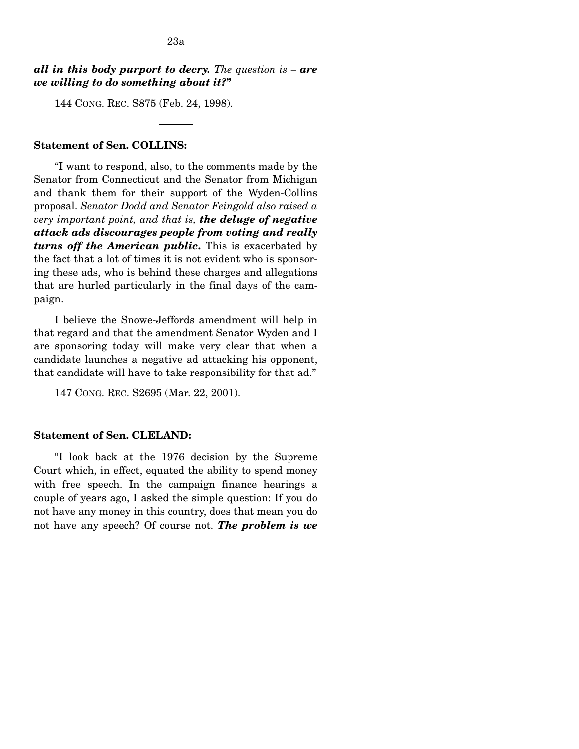# *all in this body purport to decry. The question is – are we willing to do something about it?***"**

144 CONG. REC. S875 (Feb. 24, 1998).

## **Statement of Sen. COLLINS:**

"I want to respond, also, to the comments made by the Senator from Connecticut and the Senator from Michigan and thank them for their support of the Wyden-Collins proposal. *Senator Dodd and Senator Feingold also raised a very important point, and that is, the deluge of negative attack ads discourages people from voting and really turns off the American public***.** This is exacerbated by the fact that a lot of times it is not evident who is sponsoring these ads, who is behind these charges and allegations that are hurled particularly in the final days of the campaign.

I believe the Snowe-Jeffords amendment will help in that regard and that the amendment Senator Wyden and I are sponsoring today will make very clear that when a candidate launches a negative ad attacking his opponent, that candidate will have to take responsibility for that ad."

147 CONG. REC. S2695 (Mar. 22, 2001).

#### **Statement of Sen. CLELAND:**

"I look back at the 1976 decision by the Supreme Court which, in effect, equated the ability to spend money with free speech. In the campaign finance hearings a couple of years ago, I asked the simple question: If you do not have any money in this country, does that mean you do not have any speech? Of course not. *The problem is we*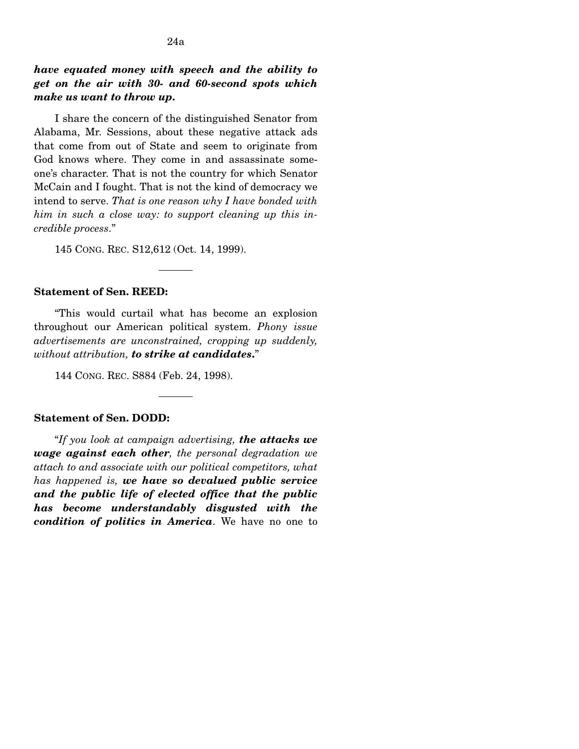*have equated money with speech and the ability to get on the air with 30- and 60-second spots which make us want to throw up***.** 

I share the concern of the distinguished Senator from Alabama, Mr. Sessions, about these negative attack ads that come from out of State and seem to originate from God knows where. They come in and assassinate someone's character. That is not the country for which Senator McCain and I fought. That is not the kind of democracy we intend to serve. *That is one reason why I have bonded with him in such a close way: to support cleaning up this incredible process*."

145 CONG. REC. S12,612 (Oct. 14, 1999).

### **Statement of Sen. REED:**

"This would curtail what has become an explosion throughout our American political system. *Phony issue advertisements are unconstrained, cropping up suddenly, without attribution, to strike at candidates***.**"

144 CONG. REC. S884 (Feb. 24, 1998).

## **Statement of Sen. DODD:**

"*If you look at campaign advertising, the attacks we wage against each other, the personal degradation we attach to and associate with our political competitors, what has happened is, we have so devalued public service and the public life of elected office that the public has become understandably disgusted with the condition of politics in America*. We have no one to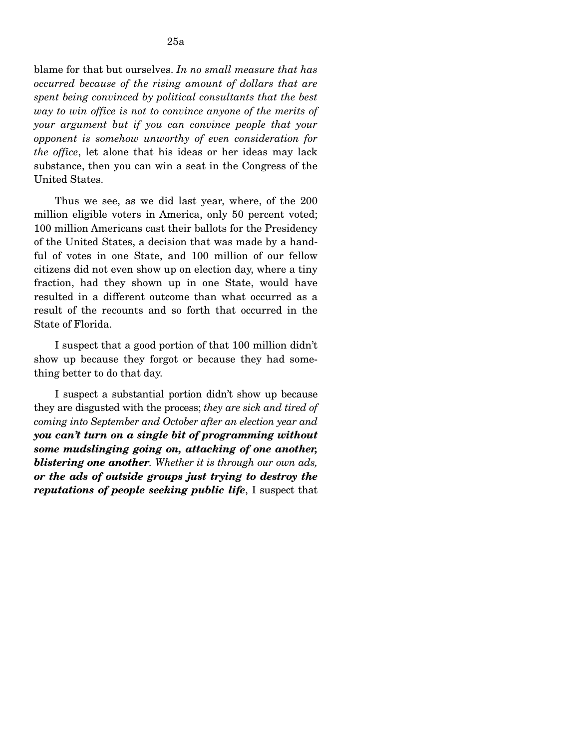blame for that but ourselves. *In no small measure that has occurred because of the rising amount of dollars that are spent being convinced by political consultants that the best way to win office is not to convince anyone of the merits of your argument but if you can convince people that your opponent is somehow unworthy of even consideration for the office*, let alone that his ideas or her ideas may lack substance, then you can win a seat in the Congress of the United States.

Thus we see, as we did last year, where, of the 200 million eligible voters in America, only 50 percent voted; 100 million Americans cast their ballots for the Presidency of the United States, a decision that was made by a handful of votes in one State, and 100 million of our fellow citizens did not even show up on election day, where a tiny fraction, had they shown up in one State, would have resulted in a different outcome than what occurred as a result of the recounts and so forth that occurred in the State of Florida.

I suspect that a good portion of that 100 million didn't show up because they forgot or because they had something better to do that day.

I suspect a substantial portion didn't show up because they are disgusted with the process; *they are sick and tired of coming into September and October after an election year and you can't turn on a single bit of programming without some mudslinging going on, attacking of one another, blistering one another. Whether it is through our own ads, or the ads of outside groups just trying to destroy the reputations of people seeking public life*, I suspect that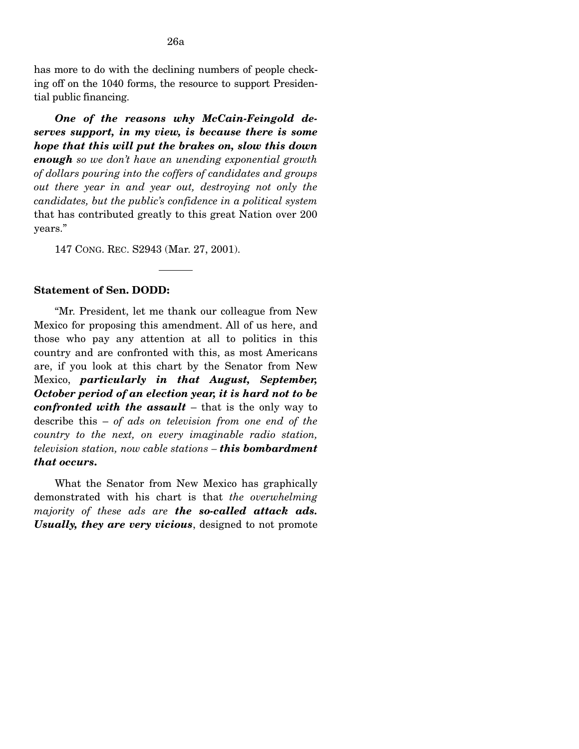has more to do with the declining numbers of people checking off on the 1040 forms, the resource to support Presidential public financing.

*One of the reasons why McCain-Feingold deserves support, in my view, is because there is some hope that this will put the brakes on, slow this down enough so we don't have an unending exponential growth of dollars pouring into the coffers of candidates and groups out there year in and year out, destroying not only the candidates, but the public's confidence in a political system*  that has contributed greatly to this great Nation over 200 years."

147 CONG. REC. S2943 (Mar. 27, 2001).

## **Statement of Sen. DODD:**

"Mr. President, let me thank our colleague from New Mexico for proposing this amendment. All of us here, and those who pay any attention at all to politics in this country and are confronted with this, as most Americans are, if you look at this chart by the Senator from New Mexico, *particularly in that August, September, October period of an election year, it is hard not to be confronted with the assault* – that is the only way to describe this – *of ads on television from one end of the country to the next, on every imaginable radio station, television station, now cable stations – this bombardment that occurs***.** 

What the Senator from New Mexico has graphically demonstrated with his chart is that *the overwhelming majority of these ads are the so-called attack ads. Usually, they are very vicious*, designed to not promote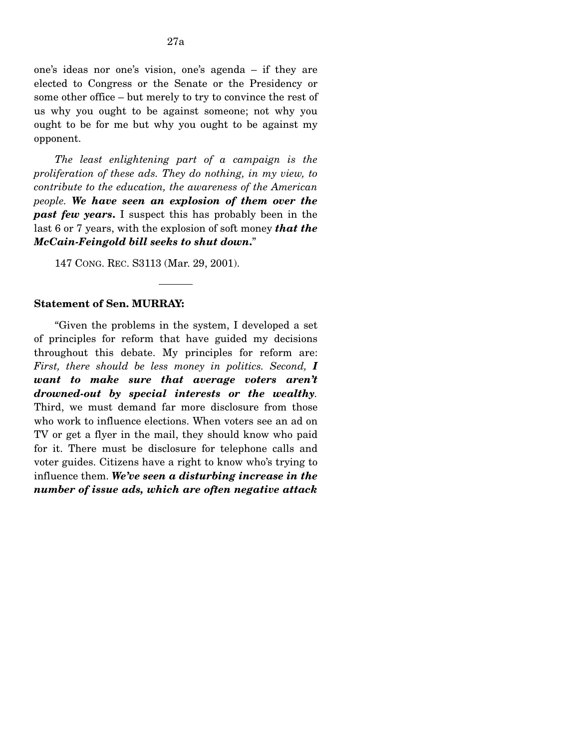*The least enlightening part of a campaign is the proliferation of these ads. They do nothing, in my view, to contribute to the education, the awareness of the American people. We have seen an explosion of them over the past few years***.** I suspect this has probably been in the last 6 or 7 years, with the explosion of soft money *that the McCain-Feingold bill seeks to shut down***.**"

147 CONG. REC. S3113 (Mar. 29, 2001).

## **Statement of Sen. MURRAY:**

"Given the problems in the system, I developed a set of principles for reform that have guided my decisions throughout this debate. My principles for reform are: *First, there should be less money in politics. Second, I want to make sure that average voters aren't drowned-out by special interests or the wealthy.*  Third, we must demand far more disclosure from those who work to influence elections. When voters see an ad on TV or get a flyer in the mail, they should know who paid for it. There must be disclosure for telephone calls and voter guides. Citizens have a right to know who's trying to influence them. *We've seen a disturbing increase in the number of issue ads, which are often negative attack*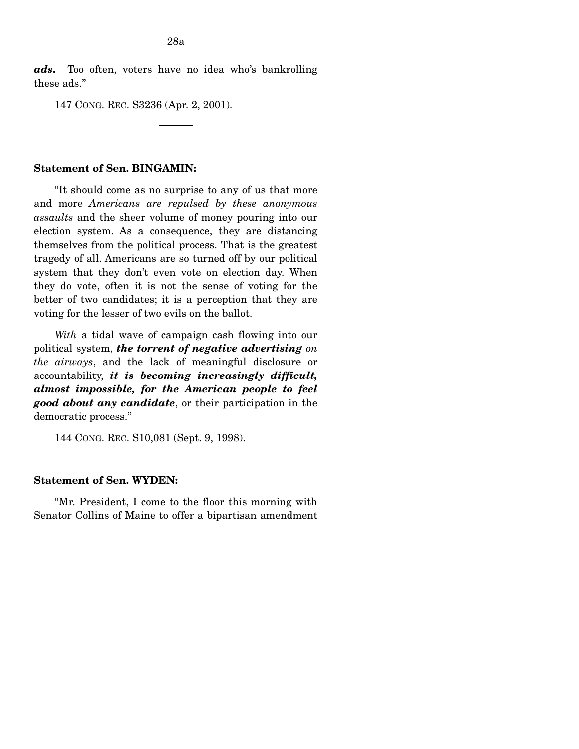*ads***.** Too often, voters have no idea who's bankrolling these ads."

147 CONG. REC. S3236 (Apr. 2, 2001).

### **Statement of Sen. BINGAMIN:**

"It should come as no surprise to any of us that more and more *Americans are repulsed by these anonymous assaults* and the sheer volume of money pouring into our election system. As a consequence, they are distancing themselves from the political process. That is the greatest tragedy of all. Americans are so turned off by our political system that they don't even vote on election day. When they do vote, often it is not the sense of voting for the better of two candidates; it is a perception that they are voting for the lesser of two evils on the ballot.

*With* a tidal wave of campaign cash flowing into our political system, *the torrent of negative advertising on the airways*, and the lack of meaningful disclosure or accountability, *it is becoming increasingly difficult, almost impossible, for the American people to feel good about any candidate*, or their participation in the democratic process."

144 CONG. REC. S10,081 (Sept. 9, 1998).

## **Statement of Sen. WYDEN:**

"Mr. President, I come to the floor this morning with Senator Collins of Maine to offer a bipartisan amendment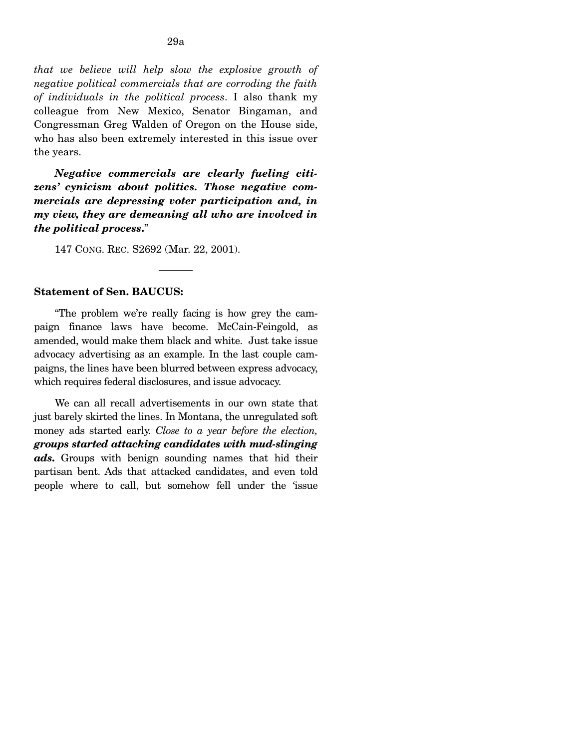*that we believe will help slow the explosive growth of negative political commercials that are corroding the faith of individuals in the political process*. I also thank my colleague from New Mexico, Senator Bingaman, and Congressman Greg Walden of Oregon on the House side, who has also been extremely interested in this issue over the years.

*Negative commercials are clearly fueling citizens' cynicism about politics. Those negative commercials are depressing voter participation and, in my view, they are demeaning all who are involved in the political process***.**"

147 CONG. REC. S2692 (Mar. 22, 2001).

### **Statement of Sen. BAUCUS:**

"The problem we're really facing is how grey the campaign finance laws have become. McCain-Feingold, as amended, would make them black and white. Just take issue advocacy advertising as an example. In the last couple campaigns, the lines have been blurred between express advocacy, which requires federal disclosures, and issue advocacy.

We can all recall advertisements in our own state that just barely skirted the lines. In Montana, the unregulated soft money ads started early. *Close to a year before the election, groups started attacking candidates with mud-slinging ads***.** Groups with benign sounding names that hid their partisan bent. Ads that attacked candidates, and even told people where to call, but somehow fell under the 'issue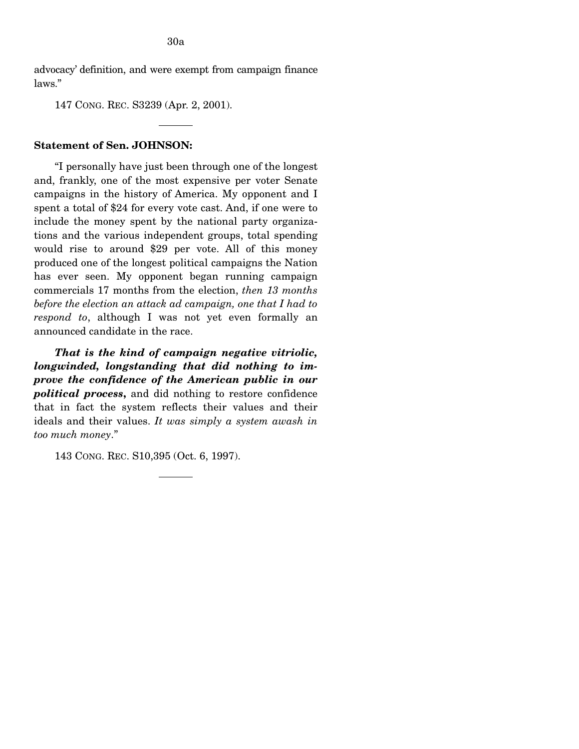advocacy' definition, and were exempt from campaign finance laws."

147 CONG. REC. S3239 (Apr. 2, 2001).

# **Statement of Sen. JOHNSON:**

"I personally have just been through one of the longest and, frankly, one of the most expensive per voter Senate campaigns in the history of America. My opponent and I spent a total of \$24 for every vote cast. And, if one were to include the money spent by the national party organizations and the various independent groups, total spending would rise to around \$29 per vote. All of this money produced one of the longest political campaigns the Nation has ever seen. My opponent began running campaign commercials 17 months from the election, *then 13 months before the election an attack ad campaign, one that I had to respond to*, although I was not yet even formally an announced candidate in the race.

*That is the kind of campaign negative vitriolic, longwinded, longstanding that did nothing to improve the confidence of the American public in our political process***,** and did nothing to restore confidence that in fact the system reflects their values and their ideals and their values. *It was simply a system awash in too much money*."

143 CONG. REC. S10,395 (Oct. 6, 1997).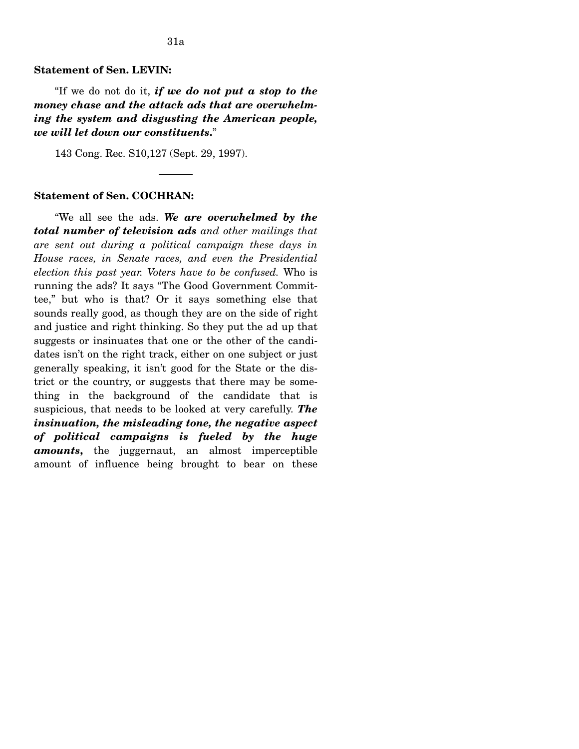#### **Statement of Sen. LEVIN:**

"If we do not do it, *if we do not put a stop to the money chase and the attack ads that are overwhelming the system and disgusting the American people, we will let down our constituents***.**"

143 Cong. Rec. S10,127 (Sept. 29, 1997).

#### **Statement of Sen. COCHRAN:**

"We all see the ads. *We are overwhelmed by the total number of television ads and other mailings that are sent out during a political campaign these days in House races, in Senate races, and even the Presidential election this past year. Voters have to be confused.* Who is running the ads? It says "The Good Government Committee," but who is that? Or it says something else that sounds really good, as though they are on the side of right and justice and right thinking. So they put the ad up that suggests or insinuates that one or the other of the candidates isn't on the right track, either on one subject or just generally speaking, it isn't good for the State or the district or the country, or suggests that there may be something in the background of the candidate that is suspicious, that needs to be looked at very carefully. *The insinuation, the misleading tone, the negative aspect of political campaigns is fueled by the huge amounts***,** the juggernaut, an almost imperceptible amount of influence being brought to bear on these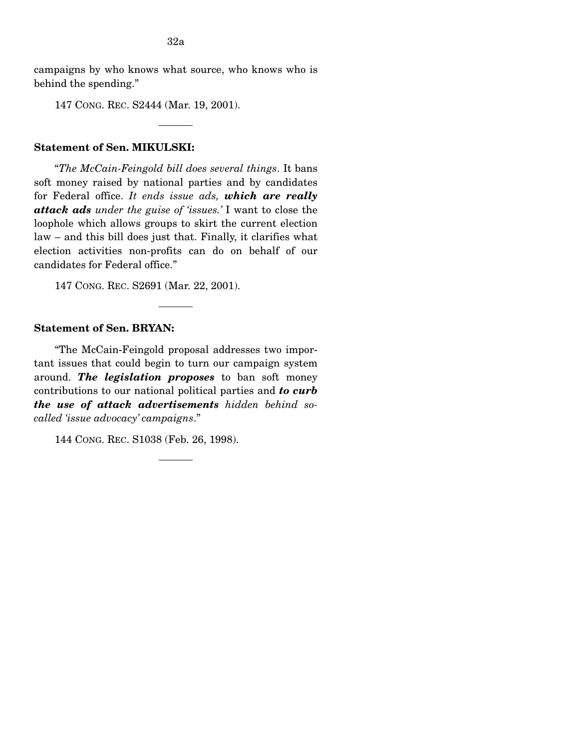campaigns by who knows what source, who knows who is behind the spending."

147 CONG. REC. S2444 (Mar. 19, 2001).

# **Statement of Sen. MIKULSKI:**

"*The McCain-Feingold bill does several things*. It bans soft money raised by national parties and by candidates for Federal office. *It ends issue ads, which are really attack ads under the guise of 'issues.'* I want to close the loophole which allows groups to skirt the current election law – and this bill does just that. Finally, it clarifies what election activities non-profits can do on behalf of our candidates for Federal office."

147 CONG. REC. S2691 (Mar. 22, 2001).

# **Statement of Sen. BRYAN:**

"The McCain-Feingold proposal addresses two important issues that could begin to turn our campaign system around. *The legislation proposes* to ban soft money contributions to our national political parties and *to curb the use of attack advertisements hidden behind socalled 'issue advocacy' campaigns*."

144 CONG. REC. S1038 (Feb. 26, 1998).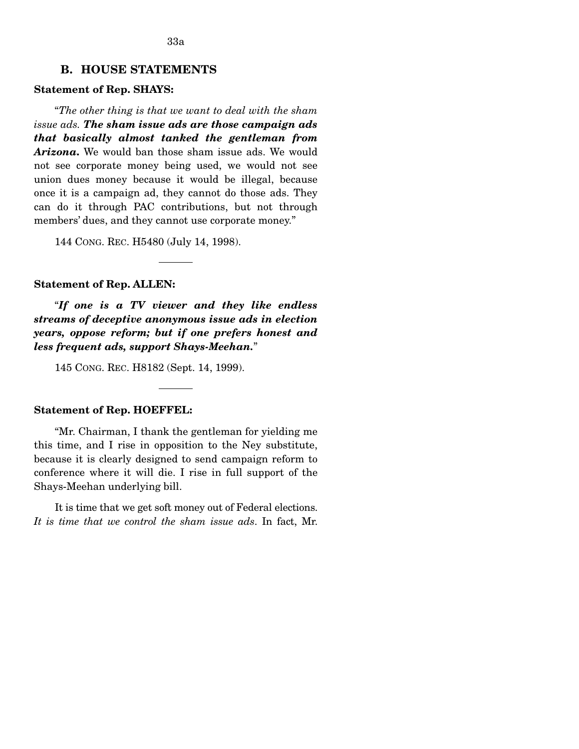# **B. HOUSE STATEMENTS**

## **Statement of Rep. SHAYS:**

"*The other thing is that we want to deal with the sham issue ads. The sham issue ads are those campaign ads that basically almost tanked the gentleman from Arizona***.** We would ban those sham issue ads. We would not see corporate money being used, we would not see union dues money because it would be illegal, because once it is a campaign ad, they cannot do those ads. They can do it through PAC contributions, but not through members' dues, and they cannot use corporate money."

144 CONG. REC. H5480 (July 14, 1998).

#### **Statement of Rep. ALLEN:**

"*If one is a TV viewer and they like endless streams of deceptive anonymous issue ads in election years, oppose reform; but if one prefers honest and less frequent ads, support Shays-Meehan.*"

145 CONG. REC. H8182 (Sept. 14, 1999).

## **Statement of Rep. HOEFFEL:**

"Mr. Chairman, I thank the gentleman for yielding me this time, and I rise in opposition to the Ney substitute, because it is clearly designed to send campaign reform to conference where it will die. I rise in full support of the Shays-Meehan underlying bill.

It is time that we get soft money out of Federal elections. *It is time that we control the sham issue ads*. In fact, Mr.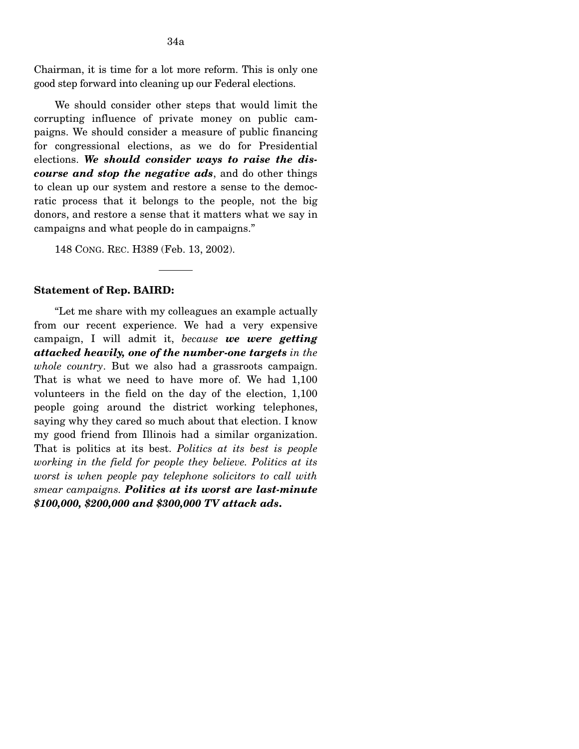Chairman, it is time for a lot more reform. This is only one good step forward into cleaning up our Federal elections.

We should consider other steps that would limit the corrupting influence of private money on public campaigns. We should consider a measure of public financing for congressional elections, as we do for Presidential elections. *We should consider ways to raise the discourse and stop the negative ads*, and do other things to clean up our system and restore a sense to the democratic process that it belongs to the people, not the big donors, and restore a sense that it matters what we say in campaigns and what people do in campaigns."

148 CONG. REC. H389 (Feb. 13, 2002).

#### **Statement of Rep. BAIRD:**

"Let me share with my colleagues an example actually from our recent experience. We had a very expensive campaign, I will admit it, *because we were getting attacked heavily, one of the number-one targets in the whole country*. But we also had a grassroots campaign. That is what we need to have more of. We had 1,100 volunteers in the field on the day of the election, 1,100 people going around the district working telephones, saying why they cared so much about that election. I know my good friend from Illinois had a similar organization. That is politics at its best. *Politics at its best is people working in the field for people they believe. Politics at its worst is when people pay telephone solicitors to call with smear campaigns. Politics at its worst are last-minute \$100,000, \$200,000 and \$300,000 TV attack ads***.**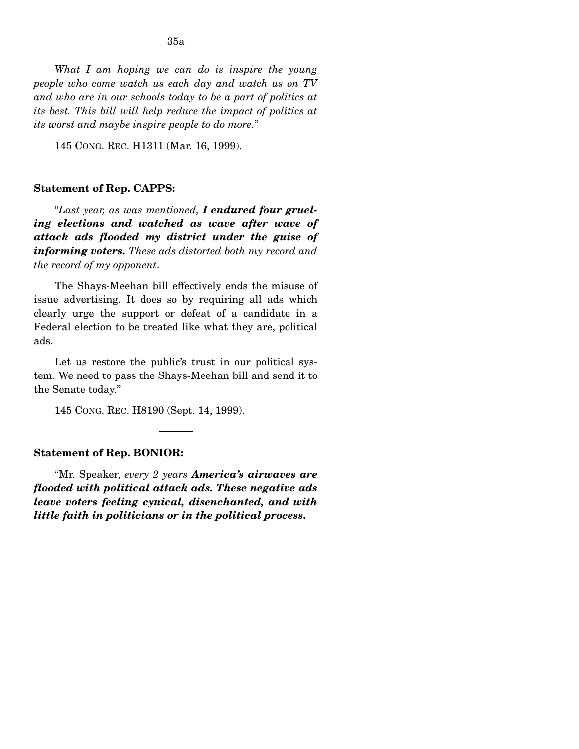*What I am hoping we can do is inspire the young people who come watch us each day and watch us on TV and who are in our schools today to be a part of politics at its best. This bill will help reduce the impact of politics at its worst and maybe inspire people to do more.*"

145 CONG. REC. H1311 (Mar. 16, 1999).

#### **Statement of Rep. CAPPS:**

"*Last year, as was mentioned, I endured four grueling elections and watched as wave after wave of attack ads flooded my district under the guise of informing voters. These ads distorted both my record and the record of my opponent*.

The Shays-Meehan bill effectively ends the misuse of issue advertising. It does so by requiring all ads which clearly urge the support or defeat of a candidate in a Federal election to be treated like what they are, political ads.

Let us restore the public's trust in our political system. We need to pass the Shays-Meehan bill and send it to the Senate today."

145 CONG. REC. H8190 (Sept. 14, 1999).

#### **Statement of Rep. BONIOR:**

"Mr. Speaker, *every 2 years America's airwaves are flooded with political attack ads. These negative ads leave voters feeling cynical, disenchanted, and with little faith in politicians or in the political process***.**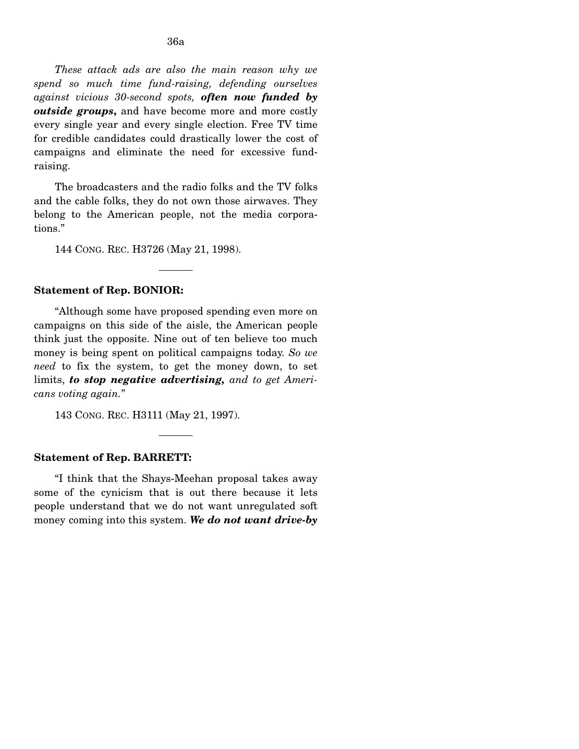*These attack ads are also the main reason why we spend so much time fund-raising, defending ourselves against vicious 30-second spots, often now funded by outside groups***,** and have become more and more costly every single year and every single election. Free TV time for credible candidates could drastically lower the cost of campaigns and eliminate the need for excessive fundraising.

The broadcasters and the radio folks and the TV folks and the cable folks, they do not own those airwaves. They belong to the American people, not the media corporations."

144 CONG. REC. H3726 (May 21, 1998).

#### **Statement of Rep. BONIOR:**

"Although some have proposed spending even more on campaigns on this side of the aisle, the American people think just the opposite. Nine out of ten believe too much money is being spent on political campaigns today. *So we need* to fix the system, to get the money down, to set limits, *to stop negative advertising, and to get Americans voting again.*"

143 CONG. REC. H3111 (May 21, 1997).

## **Statement of Rep. BARRETT:**

"I think that the Shays-Meehan proposal takes away some of the cynicism that is out there because it lets people understand that we do not want unregulated soft money coming into this system. *We do not want drive-by*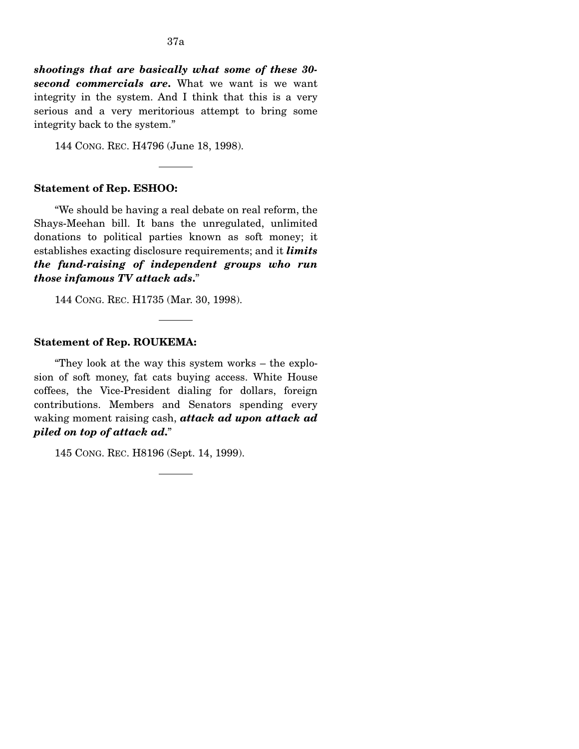*shootings that are basically what some of these 30 second commercials are***.** What we want is we want integrity in the system. And I think that this is a very serious and a very meritorious attempt to bring some integrity back to the system."

144 CONG. REC. H4796 (June 18, 1998).

# **Statement of Rep. ESHOO:**

"We should be having a real debate on real reform, the Shays-Meehan bill. It bans the unregulated, unlimited donations to political parties known as soft money; it establishes exacting disclosure requirements; and it *limits the fund-raising of independent groups who run those infamous TV attack ads***.**"

144 CONG. REC. H1735 (Mar. 30, 1998).

#### **Statement of Rep. ROUKEMA:**

"They look at the way this system works – the explosion of soft money, fat cats buying access. White House coffees, the Vice-President dialing for dollars, foreign contributions. Members and Senators spending every waking moment raising cash, *attack ad upon attack ad piled on top of attack ad***.**"

145 CONG. REC. H8196 (Sept. 14, 1999).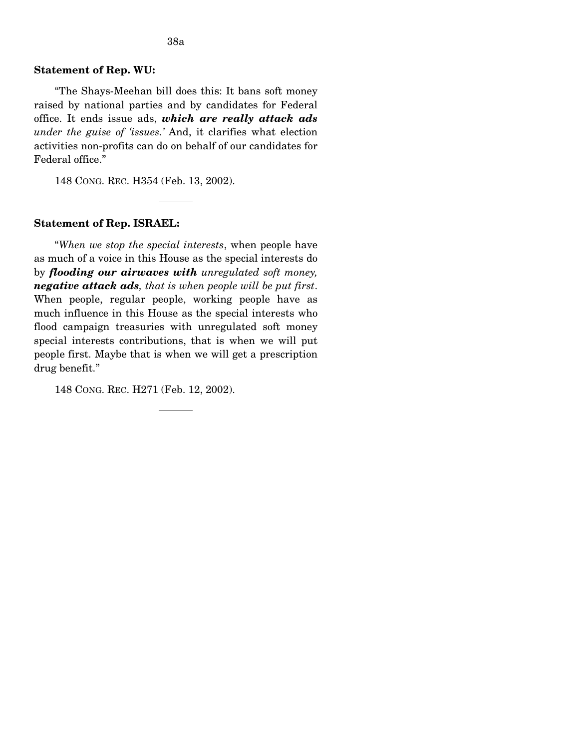#### **Statement of Rep. WU:**

"The Shays-Meehan bill does this: It bans soft money raised by national parties and by candidates for Federal office. It ends issue ads, *which are really attack ads under the guise of 'issues.'* And, it clarifies what election activities non-profits can do on behalf of our candidates for Federal office."

148 CONG. REC. H354 (Feb. 13, 2002).

#### **Statement of Rep. ISRAEL:**

"*When we stop the special interests*, when people have as much of a voice in this House as the special interests do by *flooding our airwaves with unregulated soft money, negative attack ads, that is when people will be put first*. When people, regular people, working people have as much influence in this House as the special interests who flood campaign treasuries with unregulated soft money special interests contributions, that is when we will put people first. Maybe that is when we will get a prescription drug benefit."

148 CONG. REC. H271 (Feb. 12, 2002).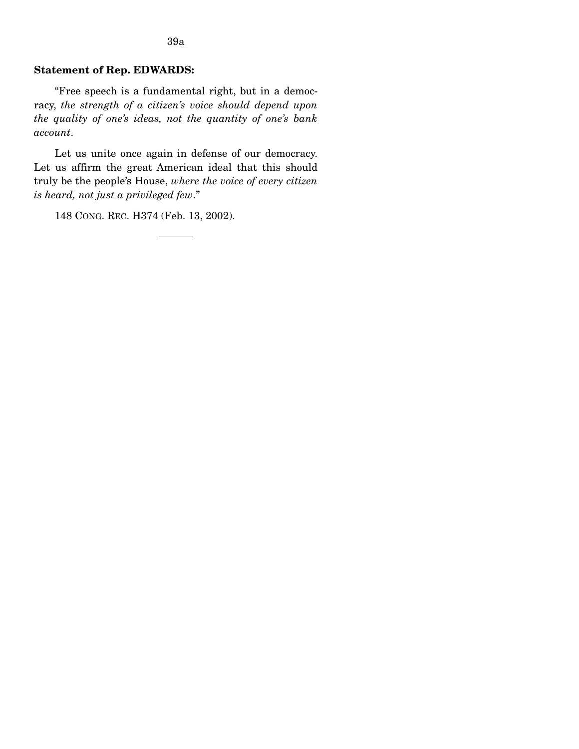### 39a

## **Statement of Rep. EDWARDS:**

"Free speech is a fundamental right, but in a democracy, *the strength of a citizen's voice should depend upon the quality of one's ideas, not the quantity of one's bank account*.

Let us unite once again in defense of our democracy. Let us affirm the great American ideal that this should truly be the people's House, *where the voice of every citizen is heard, not just a privileged few*."

148 CONG. REC. H374 (Feb. 13, 2002).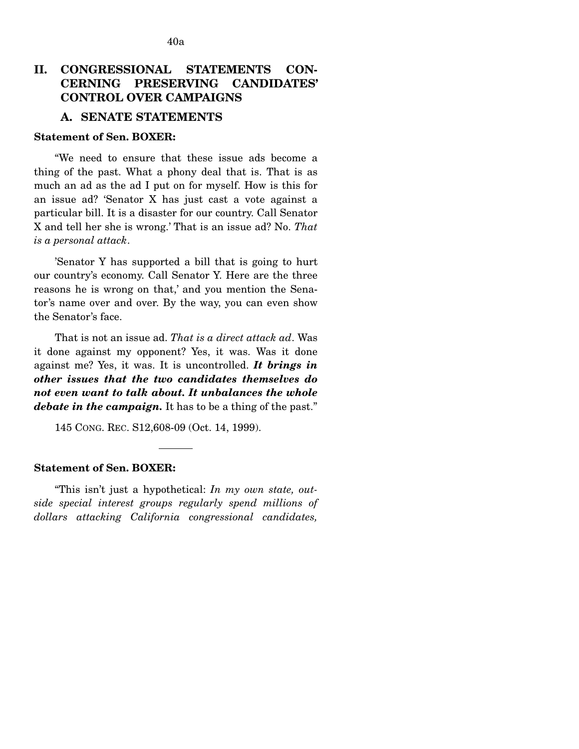# **II. CONGRESSIONAL STATEMENTS CON-CERNING PRESERVING CANDIDATES' CONTROL OVER CAMPAIGNS**

# **A. SENATE STATEMENTS**

### **Statement of Sen. BOXER:**

"We need to ensure that these issue ads become a thing of the past. What a phony deal that is. That is as much an ad as the ad I put on for myself. How is this for an issue ad? 'Senator X has just cast a vote against a particular bill. It is a disaster for our country. Call Senator X and tell her she is wrong.' That is an issue ad? No. *That is a personal attack*.

'Senator Y has supported a bill that is going to hurt our country's economy. Call Senator Y. Here are the three reasons he is wrong on that,' and you mention the Senator's name over and over. By the way, you can even show the Senator's face.

That is not an issue ad. *That is a direct attack ad*. Was it done against my opponent? Yes, it was. Was it done against me? Yes, it was. It is uncontrolled. *It brings in other issues that the two candidates themselves do not even want to talk about. It unbalances the whole debate in the campaign.* It has to be a thing of the past."

145 CONG. REC. S12,608-09 (Oct. 14, 1999).

# **Statement of Sen. BOXER:**

"This isn't just a hypothetical: *In my own state, outside special interest groups regularly spend millions of dollars attacking California congressional candidates,*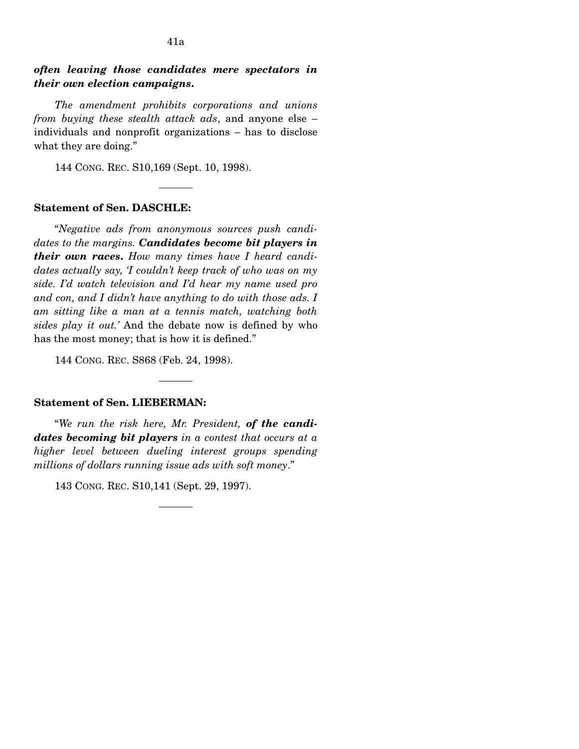# *often leaving those candidates mere spectators in their own election campaigns***.**

*The amendment prohibits corporations and unions from buying these stealth attack ads*, and anyone else – individuals and nonprofit organizations – has to disclose what they are doing."

144 CONG. REC. S10,169 (Sept. 10, 1998).

## **Statement of Sen. DASCHLE:**

"*Negative ads from anonymous sources push candidates to the margins. Candidates become bit players in their own races***.** *How many times have I heard candidates actually say, 'I couldn't keep track of who was on my side. I'd watch television and I'd hear my name used pro and con, and I didn't have anything to do with those ads. I am sitting like a man at a tennis match, watching both sides play it out.'* And the debate now is defined by who has the most money; that is how it is defined."

144 CONG. REC. S868 (Feb. 24, 1998).

## **Statement of Sen. LIEBERMAN:**

"*We run the risk here, Mr. President, of the candidates becoming bit players in a contest that occurs at a higher level between dueling interest groups spending millions of dollars running issue ads with soft money*."

143 CONG. REC. S10,141 (Sept. 29, 1997).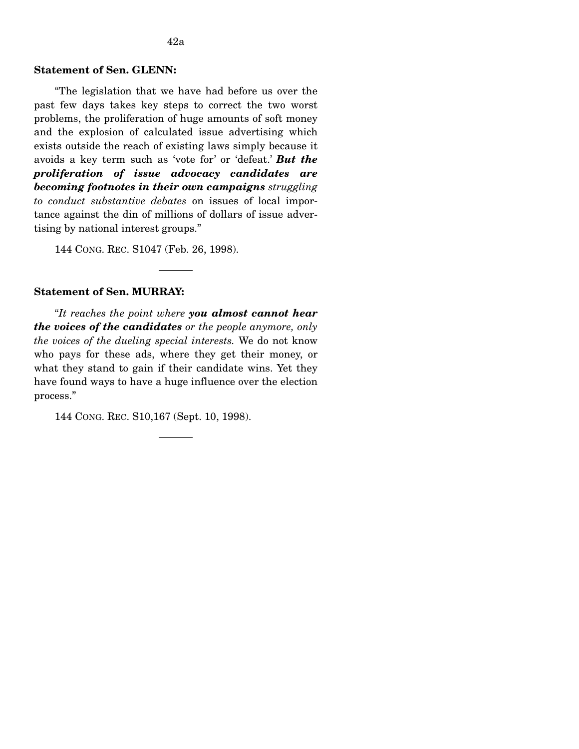## **Statement of Sen. GLENN:**

"The legislation that we have had before us over the past few days takes key steps to correct the two worst problems, the proliferation of huge amounts of soft money and the explosion of calculated issue advertising which exists outside the reach of existing laws simply because it avoids a key term such as 'vote for' or 'defeat.' *But the proliferation of issue advocacy candidates are becoming footnotes in their own campaigns struggling to conduct substantive debates* on issues of local importance against the din of millions of dollars of issue advertising by national interest groups."

144 CONG. REC. S1047 (Feb. 26, 1998).

#### **Statement of Sen. MURRAY:**

"*It reaches the point where you almost cannot hear the voices of the candidates or the people anymore, only the voices of the dueling special interests.* We do not know who pays for these ads, where they get their money, or what they stand to gain if their candidate wins. Yet they have found ways to have a huge influence over the election process."

144 CONG. REC. S10,167 (Sept. 10, 1998).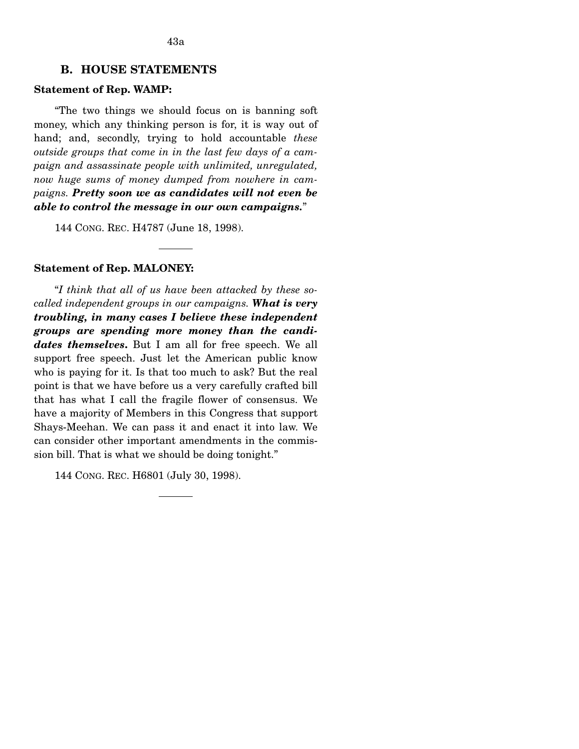# **B. HOUSE STATEMENTS**

## **Statement of Rep. WAMP:**

"The two things we should focus on is banning soft money, which any thinking person is for, it is way out of hand; and, secondly, trying to hold accountable *these outside groups that come in in the last few days of a campaign and assassinate people with unlimited, unregulated, now huge sums of money dumped from nowhere in campaigns. Pretty soon we as candidates will not even be able to control the message in our own campaigns.*"

144 CONG. REC. H4787 (June 18, 1998).

#### **Statement of Rep. MALONEY:**

"*I think that all of us have been attacked by these socalled independent groups in our campaigns. What is very troubling, in many cases I believe these independent groups are spending more money than the candidates themselves***.** But I am all for free speech. We all support free speech. Just let the American public know who is paying for it. Is that too much to ask? But the real point is that we have before us a very carefully crafted bill that has what I call the fragile flower of consensus. We have a majority of Members in this Congress that support Shays-Meehan. We can pass it and enact it into law. We can consider other important amendments in the commission bill. That is what we should be doing tonight."

144 CONG. REC. H6801 (July 30, 1998).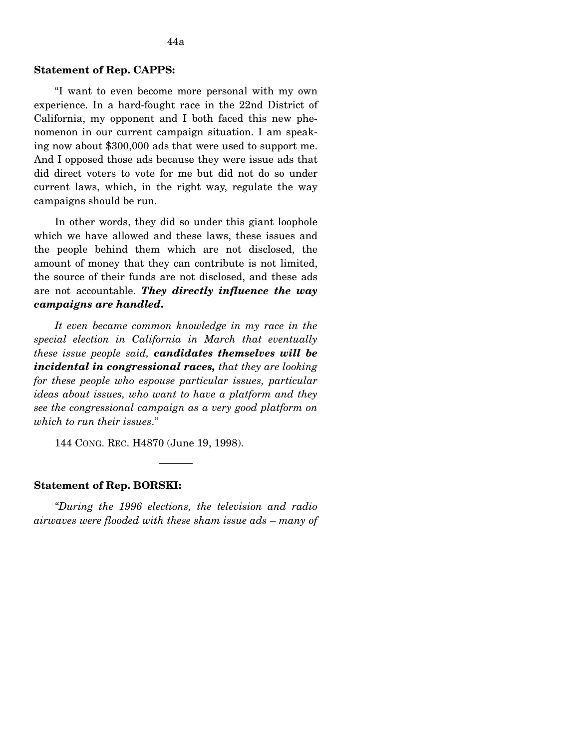#### **Statement of Rep. CAPPS:**

"I want to even become more personal with my own experience. In a hard-fought race in the 22nd District of California, my opponent and I both faced this new phenomenon in our current campaign situation. I am speaking now about \$300,000 ads that were used to support me. And I opposed those ads because they were issue ads that did direct voters to vote for me but did not do so under current laws, which, in the right way, regulate the way campaigns should be run.

In other words, they did so under this giant loophole which we have allowed and these laws, these issues and the people behind them which are not disclosed, the amount of money that they can contribute is not limited, the source of their funds are not disclosed, and these ads are not accountable. *They directly influence the way campaigns are handled***.** 

*It even became common knowledge in my race in the special election in California in March that eventually these issue people said, candidates themselves will be incidental in congressional races, that they are looking for these people who espouse particular issues, particular ideas about issues, who want to have a platform and they see the congressional campaign as a very good platform on which to run their issues*."

144 CONG. REC. H4870 (June 19, 1998).

#### **Statement of Rep. BORSKI:**

*"During the 1996 elections, the television and radio airwaves were flooded with these sham issue ads* – *many of*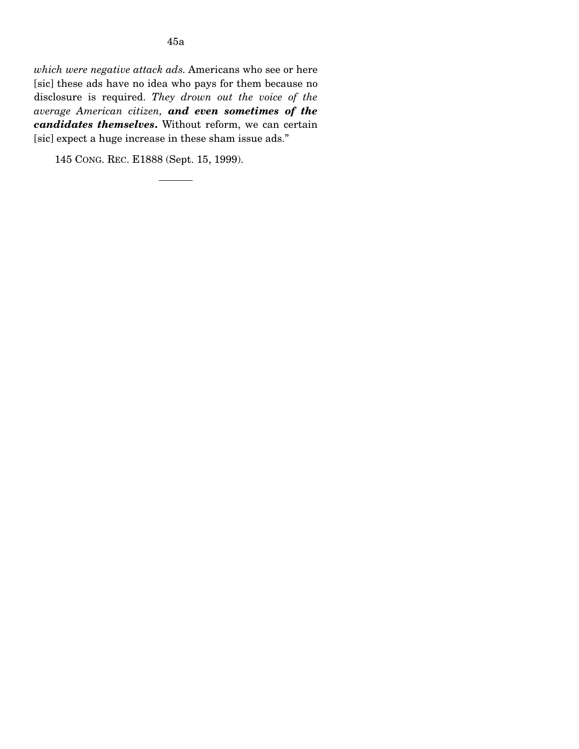145 CONG. REC. E1888 (Sept. 15, 1999).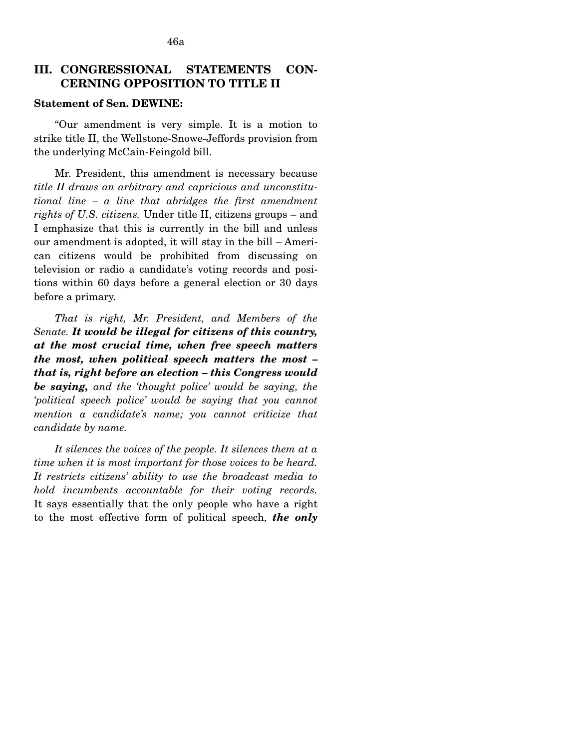# III. CONGRESSIONAL STATEMENTS CON-**CERNING OPPOSITION TO TITLE II**

## **Statement of Sen. DEWINE:**

"Our amendment is very simple. It is a motion to strike title II, the Wellstone-Snowe-Jeffords provision from the underlying McCain-Feingold bill.

Mr. President, this amendment is necessary because *title II draws an arbitrary and capricious and unconstitutional line – a line that abridges the first amendment rights of U.S. citizens.* Under title II, citizens groups – and I emphasize that this is currently in the bill and unless our amendment is adopted, it will stay in the bill – American citizens would be prohibited from discussing on television or radio a candidate's voting records and positions within 60 days before a general election or 30 days before a primary.

*That is right, Mr. President, and Members of the Senate. It would be illegal for citizens of this country, at the most crucial time, when free speech matters the most, when political speech matters the most – that is, right before an election – this Congress would be saying, and the 'thought police' would be saying, the 'political speech police' would be saying that you cannot mention a candidate's name; you cannot criticize that candidate by name.* 

*It silences the voices of the people. It silences them at a time when it is most important for those voices to be heard. It restricts citizens' ability to use the broadcast media to hold incumbents accountable for their voting records.*  It says essentially that the only people who have a right to the most effective form of political speech, *the only*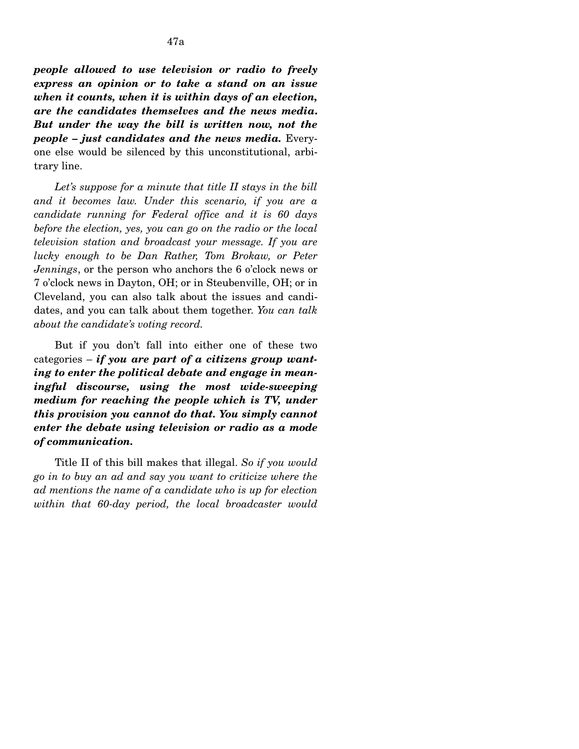*people allowed to use television or radio to freely express an opinion or to take a stand on an issue when it counts, when it is within days of an election, are the candidates themselves and the news media***.**  *But under the way the bill is written now, not the people – just candidates and the news media.* Everyone else would be silenced by this unconstitutional, arbitrary line.

*Let's suppose for a minute that title II stays in the bill and it becomes law. Under this scenario, if you are a candidate running for Federal office and it is 60 days before the election, yes, you can go on the radio or the local television station and broadcast your message. If you are lucky enough to be Dan Rather, Tom Brokaw, or Peter Jennings*, or the person who anchors the 6 o'clock news or 7 o'clock news in Dayton, OH; or in Steubenville, OH; or in Cleveland, you can also talk about the issues and candidates, and you can talk about them together. *You can talk about the candidate's voting record.* 

But if you don't fall into either one of these two categories – *if you are part of a citizens group wanting to enter the political debate and engage in meaningful discourse, using the most wide-sweeping medium for reaching the people which is TV, under this provision you cannot do that. You simply cannot enter the debate using television or radio as a mode of communication.* 

Title II of this bill makes that illegal. *So if you would go in to buy an ad and say you want to criticize where the ad mentions the name of a candidate who is up for election within that 60-day period, the local broadcaster would*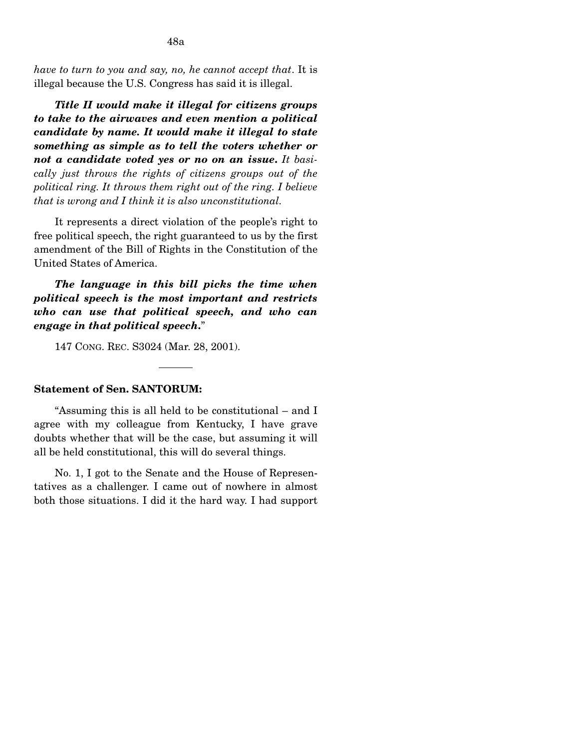48a

*Title II would make it illegal for citizens groups to take to the airwaves and even mention a political candidate by name. It would make it illegal to state something as simple as to tell the voters whether or not a candidate voted yes or no on an issue***.** *It basically just throws the rights of citizens groups out of the political ring. It throws them right out of the ring. I believe that is wrong and I think it is also unconstitutional.* 

It represents a direct violation of the people's right to free political speech, the right guaranteed to us by the first amendment of the Bill of Rights in the Constitution of the United States of America.

*The language in this bill picks the time when political speech is the most important and restricts who can use that political speech, and who can engage in that political speech***.**"

147 CONG. REC. S3024 (Mar. 28, 2001).

## **Statement of Sen. SANTORUM:**

"Assuming this is all held to be constitutional – and I agree with my colleague from Kentucky, I have grave doubts whether that will be the case, but assuming it will all be held constitutional, this will do several things.

No. 1, I got to the Senate and the House of Representatives as a challenger. I came out of nowhere in almost both those situations. I did it the hard way. I had support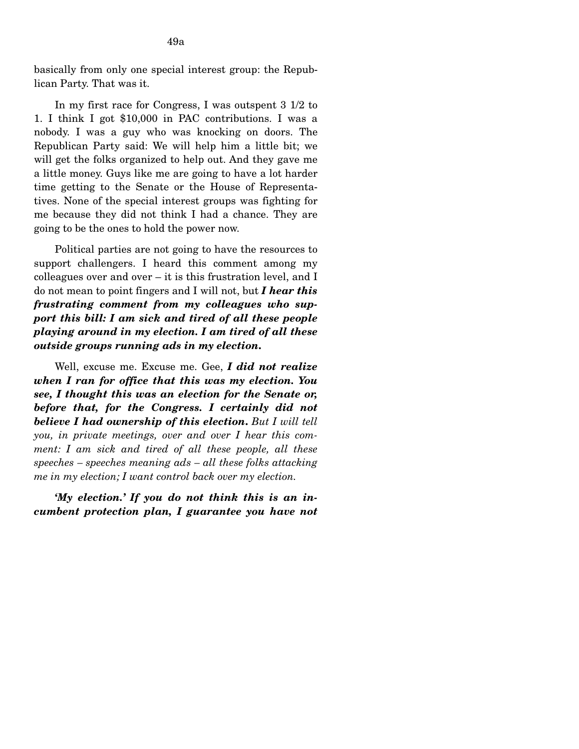In my first race for Congress, I was outspent 3 1/2 to 1. I think I got \$10,000 in PAC contributions. I was a nobody. I was a guy who was knocking on doors. The Republican Party said: We will help him a little bit; we will get the folks organized to help out. And they gave me a little money. Guys like me are going to have a lot harder time getting to the Senate or the House of Representatives. None of the special interest groups was fighting for me because they did not think I had a chance. They are going to be the ones to hold the power now.

Political parties are not going to have the resources to support challengers. I heard this comment among my colleagues over and over – it is this frustration level, and I do not mean to point fingers and I will not, but *I hear this frustrating comment from my colleagues who support this bill: I am sick and tired of all these people playing around in my election. I am tired of all these outside groups running ads in my election***.** 

Well, excuse me. Excuse me. Gee, *I did not realize when I ran for office that this was my election. You see, I thought this was an election for the Senate or, before that, for the Congress. I certainly did not believe I had ownership of this election***.** *But I will tell you, in private meetings, over and over I hear this comment: I am sick and tired of all these people, all these speeches – speeches meaning ads – all these folks attacking me in my election; I want control back over my election.* 

*'My election.' If you do not think this is an incumbent protection plan, I guarantee you have not*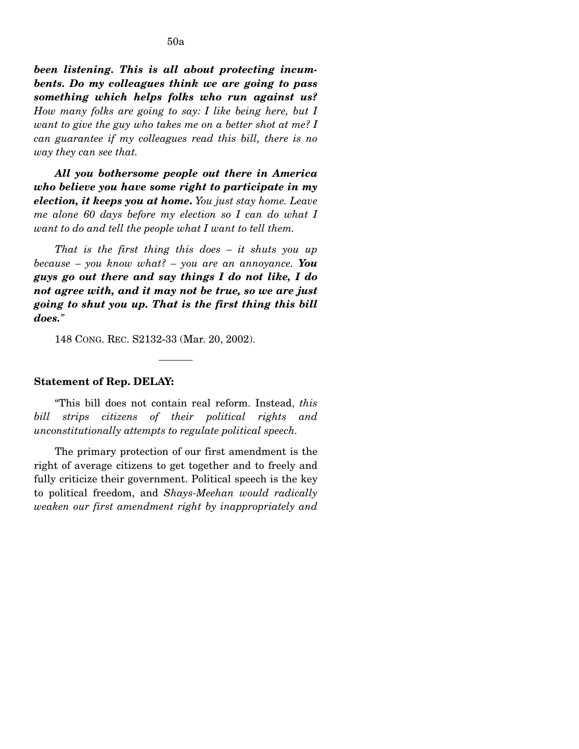*been listening. This is all about protecting incumbents. Do my colleagues think we are going to pass something which helps folks who run against us? How many folks are going to say: I like being here, but I want to give the guy who takes me on a better shot at me? I can guarantee if my colleagues read this bill, there is no way they can see that.* 

*All you bothersome people out there in America who believe you have some right to participate in my election, it keeps you at home***.** *You just stay home. Leave me alone 60 days before my election so I can do what I want to do and tell the people what I want to tell them.* 

*That is the first thing this does – it shuts you up because – you know what? – you are an annoyance. You guys go out there and say things I do not like, I do not agree with, and it may not be true, so we are just going to shut you up. That is the first thing this bill does."* 

148 CONG. REC. S2132-33 (Mar. 20, 2002).

#### **Statement of Rep. DELAY:**

"This bill does not contain real reform. Instead, *this bill strips citizens of their political rights and unconstitutionally attempts to regulate political speech.* 

The primary protection of our first amendment is the right of average citizens to get together and to freely and fully criticize their government. Political speech is the key to political freedom, and *Shays-Meehan would radically weaken our first amendment right by inappropriately and*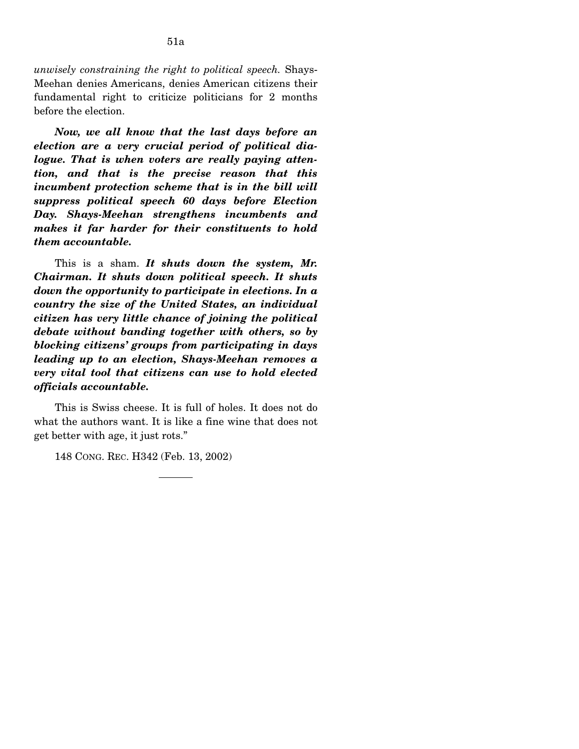*unwisely constraining the right to political speech.* Shays-Meehan denies Americans, denies American citizens their fundamental right to criticize politicians for 2 months before the election.

*Now, we all know that the last days before an election are a very crucial period of political dialogue. That is when voters are really paying attention, and that is the precise reason that this incumbent protection scheme that is in the bill will suppress political speech 60 days before Election Day. Shays-Meehan strengthens incumbents and makes it far harder for their constituents to hold them accountable.* 

This is a sham. *It shuts down the system, Mr. Chairman. It shuts down political speech. It shuts down the opportunity to participate in elections. In a country the size of the United States, an individual citizen has very little chance of joining the political debate without banding together with others, so by blocking citizens' groups from participating in days leading up to an election, Shays-Meehan removes a very vital tool that citizens can use to hold elected officials accountable.* 

This is Swiss cheese. It is full of holes. It does not do what the authors want. It is like a fine wine that does not get better with age, it just rots."

148 CONG. REC. H342 (Feb. 13, 2002)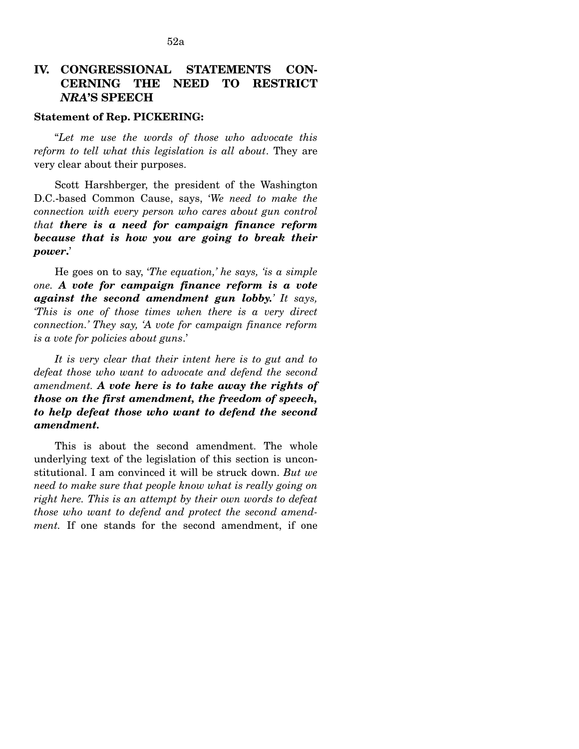# **IV. CONGRESSIONAL STATEMENTS CON-CERNING THE NEED TO RESTRICT**  *NRA***'S SPEECH**

### **Statement of Rep. PICKERING:**

"*Let me use the words of those who advocate this reform to tell what this legislation is all about*. They are very clear about their purposes.

Scott Harshberger, the president of the Washington D.C.-based Common Cause, says, '*We need to make the connection with every person who cares about gun control that there is a need for campaign finance reform because that is how you are going to break their power***.**'

He goes on to say, '*The equation,' he says, 'is a simple one. A vote for campaign finance reform is a vote against the second amendment gun lobby.' It says, 'This is one of those times when there is a very direct connection.' They say, 'A vote for campaign finance reform is a vote for policies about guns*.'

*It is very clear that their intent here is to gut and to defeat those who want to advocate and defend the second amendment. A vote here is to take away the rights of those on the first amendment, the freedom of speech, to help defeat those who want to defend the second amendment.* 

This is about the second amendment. The whole underlying text of the legislation of this section is unconstitutional. I am convinced it will be struck down. *But we need to make sure that people know what is really going on right here. This is an attempt by their own words to defeat those who want to defend and protect the second amendment.* If one stands for the second amendment, if one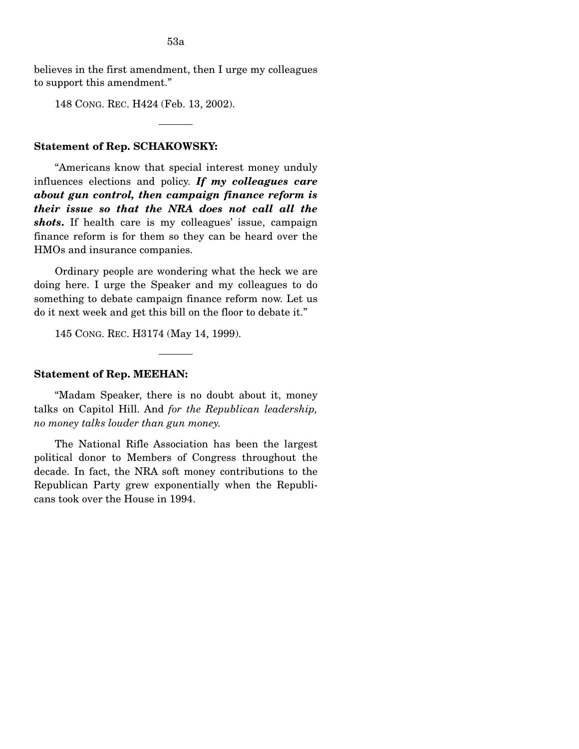believes in the first amendment, then I urge my colleagues to support this amendment."

148 CONG. REC. H424 (Feb. 13, 2002).

## **Statement of Rep. SCHAKOWSKY:**

"Americans know that special interest money unduly influences elections and policy. *If my colleagues care about gun control, then campaign finance reform is their issue so that the NRA does not call all the shots***.** If health care is my colleagues' issue, campaign finance reform is for them so they can be heard over the HMOs and insurance companies.

Ordinary people are wondering what the heck we are doing here. I urge the Speaker and my colleagues to do something to debate campaign finance reform now. Let us do it next week and get this bill on the floor to debate it."

145 CONG. REC. H3174 (May 14, 1999).

## **Statement of Rep. MEEHAN:**

"Madam Speaker, there is no doubt about it, money talks on Capitol Hill. And *for the Republican leadership, no money talks louder than gun money.* 

The National Rifle Association has been the largest political donor to Members of Congress throughout the decade. In fact, the NRA soft money contributions to the Republican Party grew exponentially when the Republicans took over the House in 1994.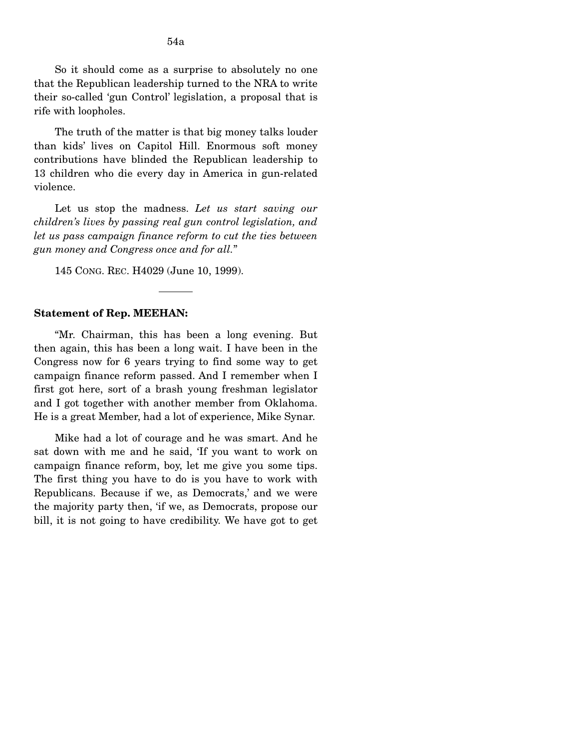So it should come as a surprise to absolutely no one that the Republican leadership turned to the NRA to write their so-called 'gun Control' legislation, a proposal that is rife with loopholes.

The truth of the matter is that big money talks louder than kids' lives on Capitol Hill. Enormous soft money contributions have blinded the Republican leadership to 13 children who die every day in America in gun-related violence.

Let us stop the madness. Let us start saving our *children's lives by passing real gun control legislation, and let us pass campaign finance reform to cut the ties between gun money and Congress once and for all.*"

145 CONG. REC. H4029 (June 10, 1999).

#### **Statement of Rep. MEEHAN:**

"Mr. Chairman, this has been a long evening. But then again, this has been a long wait. I have been in the Congress now for 6 years trying to find some way to get campaign finance reform passed. And I remember when I first got here, sort of a brash young freshman legislator and I got together with another member from Oklahoma. He is a great Member, had a lot of experience, Mike Synar.

Mike had a lot of courage and he was smart. And he sat down with me and he said, 'If you want to work on campaign finance reform, boy, let me give you some tips. The first thing you have to do is you have to work with Republicans. Because if we, as Democrats,' and we were the majority party then, 'if we, as Democrats, propose our bill, it is not going to have credibility. We have got to get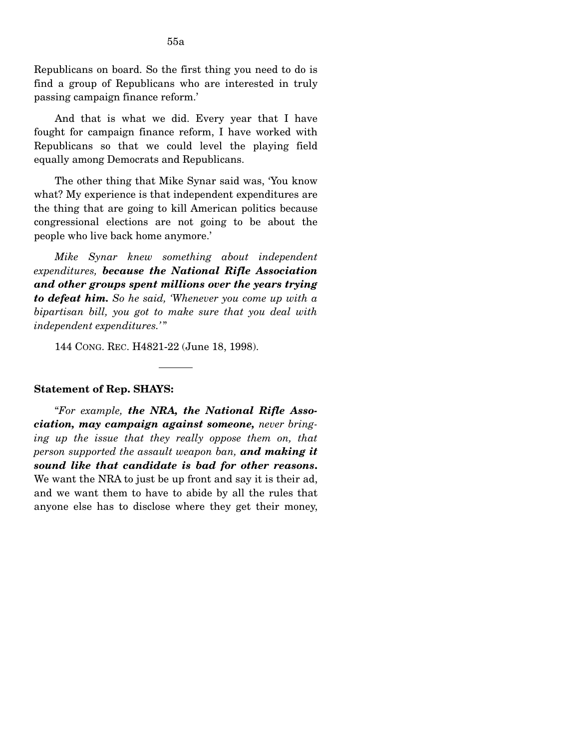Republicans on board. So the first thing you need to do is find a group of Republicans who are interested in truly passing campaign finance reform.'

And that is what we did. Every year that I have fought for campaign finance reform, I have worked with Republicans so that we could level the playing field equally among Democrats and Republicans.

The other thing that Mike Synar said was, 'You know what? My experience is that independent expenditures are the thing that are going to kill American politics because congressional elections are not going to be about the people who live back home anymore.'

*Mike Synar knew something about independent expenditures, because the National Rifle Association and other groups spent millions over the years trying to defeat him. So he said, 'Whenever you come up with a bipartisan bill, you got to make sure that you deal with independent expenditures.'* "

144 CONG. REC. H4821-22 (June 18, 1998).

#### **Statement of Rep. SHAYS:**

"*For example, the NRA, the National Rifle Association, may campaign against someone, never bringing up the issue that they really oppose them on, that person supported the assault weapon ban, and making it sound like that candidate is bad for other reasons***.**  We want the NRA to just be up front and say it is their ad, and we want them to have to abide by all the rules that anyone else has to disclose where they get their money,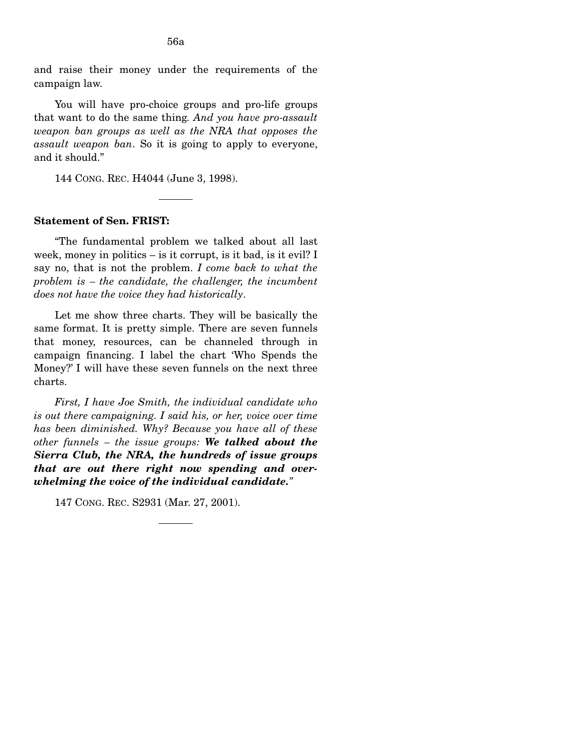and raise their money under the requirements of the campaign law.

You will have pro-choice groups and pro-life groups that want to do the same thing*. And you have pro-assault weapon ban groups as well as the NRA that opposes the assault weapon ban*. So it is going to apply to everyone, and it should."

144 CONG. REC. H4044 (June 3, 1998).

### **Statement of Sen. FRIST:**

"The fundamental problem we talked about all last week, money in politics – is it corrupt, is it bad, is it evil? I say no, that is not the problem. *I come back to what the problem is – the candidate, the challenger, the incumbent does not have the voice they had historically*.

Let me show three charts. They will be basically the same format. It is pretty simple. There are seven funnels that money, resources, can be channeled through in campaign financing. I label the chart 'Who Spends the Money?' I will have these seven funnels on the next three charts.

*First, I have Joe Smith, the individual candidate who is out there campaigning. I said his, or her, voice over time has been diminished. Why? Because you have all of these other funnels – the issue groups: We talked about the Sierra Club, the NRA, the hundreds of issue groups that are out there right now spending and overwhelming the voice of the individual candidate."* 

147 CONG. REC. S2931 (Mar. 27, 2001).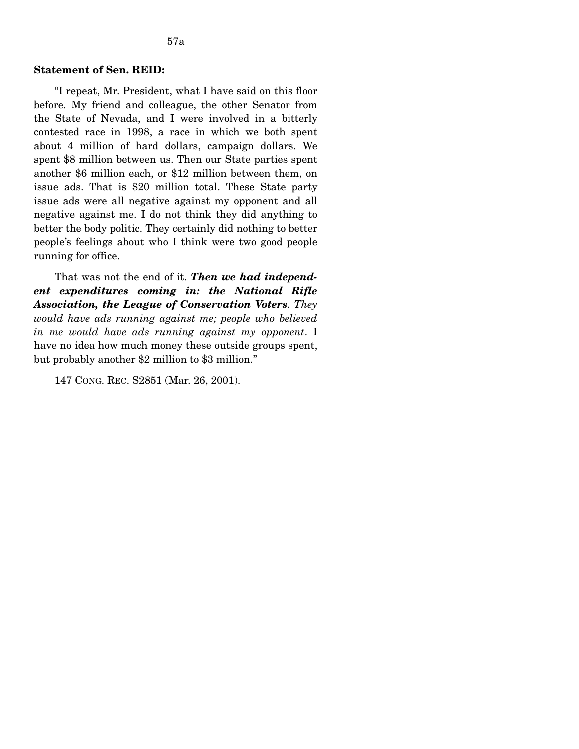## **Statement of Sen. REID:**

"I repeat, Mr. President, what I have said on this floor before. My friend and colleague, the other Senator from the State of Nevada, and I were involved in a bitterly contested race in 1998, a race in which we both spent about 4 million of hard dollars, campaign dollars. We spent \$8 million between us. Then our State parties spent another \$6 million each, or \$12 million between them, on issue ads. That is \$20 million total. These State party issue ads were all negative against my opponent and all negative against me. I do not think they did anything to better the body politic. They certainly did nothing to better people's feelings about who I think were two good people running for office.

That was not the end of it. *Then we had independent expenditures coming in: the National Rifle Association, the League of Conservation Voters. They would have ads running against me; people who believed in me would have ads running against my opponent*. I have no idea how much money these outside groups spent, but probably another \$2 million to \$3 million."

147 CONG. REC. S2851 (Mar. 26, 2001).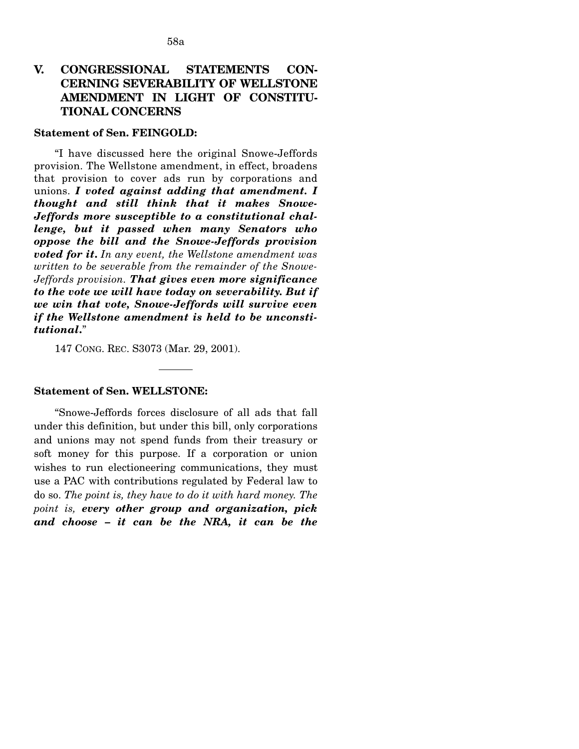# **V. CONGRESSIONAL STATEMENTS CON-CERNING SEVERABILITY OF WELLSTONE AMENDMENT IN LIGHT OF CONSTITU-TIONAL CONCERNS**

### **Statement of Sen. FEINGOLD:**

"I have discussed here the original Snowe-Jeffords provision. The Wellstone amendment, in effect, broadens that provision to cover ads run by corporations and unions. *I voted against adding that amendment. I thought and still think that it makes Snowe-Jeffords more susceptible to a constitutional challenge, but it passed when many Senators who oppose the bill and the Snowe-Jeffords provision voted for it***.** *In any event, the Wellstone amendment was written to be severable from the remainder of the Snowe-Jeffords provision. That gives even more significance to the vote we will have today on severability. But if we win that vote, Snowe-Jeffords will survive even if the Wellstone amendment is held to be unconstitutional***.**"

147 CONG. REC. S3073 (Mar. 29, 2001).

### **Statement of Sen. WELLSTONE:**

"Snowe-Jeffords forces disclosure of all ads that fall under this definition, but under this bill, only corporations and unions may not spend funds from their treasury or soft money for this purpose. If a corporation or union wishes to run electioneering communications, they must use a PAC with contributions regulated by Federal law to do so. *The point is, they have to do it with hard money. The point is, every other group and organization, pick and choose – it can be the NRA, it can be the*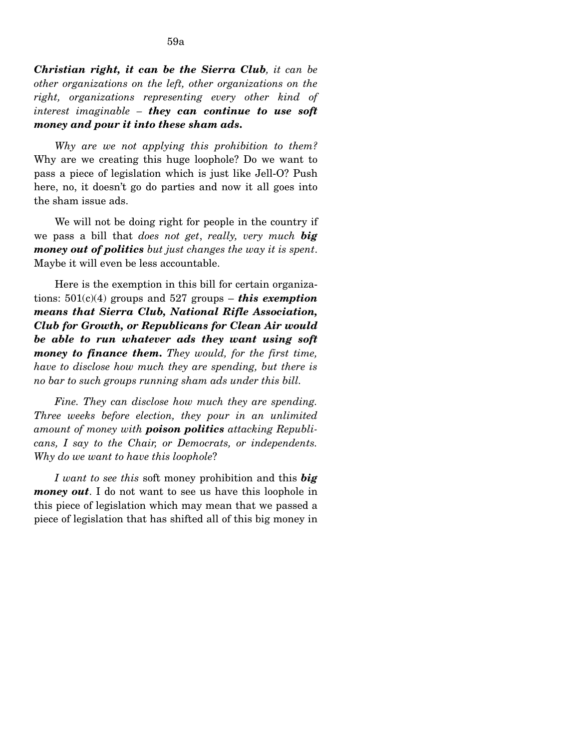*Christian right, it can be the Sierra Club, it can be other organizations on the left, other organizations on the right, organizations representing every other kind of interest imaginable – they can continue to use soft money and pour it into these sham ads***.** 

*Why are we not applying this prohibition to them?*  Why are we creating this huge loophole? Do we want to pass a piece of legislation which is just like Jell-O? Push here, no, it doesn't go do parties and now it all goes into the sham issue ads.

We will not be doing right for people in the country if we pass a bill that *does not get*, *really, very much big money out of politics but just changes the way it is spent*. Maybe it will even be less accountable.

Here is the exemption in this bill for certain organizations:  $501(c)(4)$  groups and  $527$  groups – *this exemption means that Sierra Club, National Rifle Association, Club for Growth, or Republicans for Clean Air would be able to run whatever ads they want using soft money to finance them***.** *They would, for the first time, have to disclose how much they are spending, but there is no bar to such groups running sham ads under this bill.* 

*Fine. They can disclose how much they are spending. Three weeks before election, they pour in an unlimited amount of money with poison politics attacking Republicans, I say to the Chair, or Democrats, or independents. Why do we want to have this loophole*?

*I want to see this* soft money prohibition and this *big money out*. I do not want to see us have this loophole in this piece of legislation which may mean that we passed a piece of legislation that has shifted all of this big money in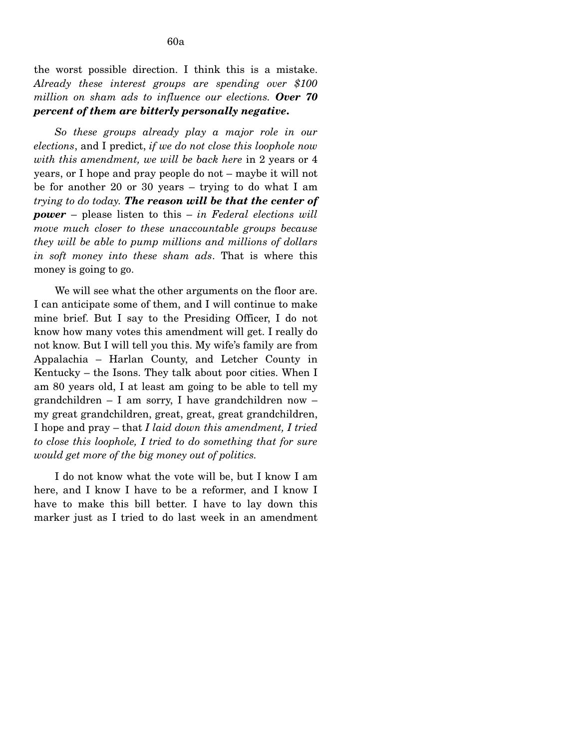*So these groups already play a major role in our elections*, and I predict, *if we do not close this loophole now with this amendment, we will be back here* in 2 years or 4 years, or I hope and pray people do not – maybe it will not be for another 20 or 30 years – trying to do what I am *trying to do today. The reason will be that the center of power* – please listen to this – *in Federal elections will move much closer to these unaccountable groups because they will be able to pump millions and millions of dollars in soft money into these sham ads*. That is where this money is going to go.

We will see what the other arguments on the floor are. I can anticipate some of them, and I will continue to make mine brief. But I say to the Presiding Officer, I do not know how many votes this amendment will get. I really do not know. But I will tell you this. My wife's family are from Appalachia – Harlan County, and Letcher County in Kentucky – the Isons. They talk about poor cities. When I am 80 years old, I at least am going to be able to tell my grandchildren – I am sorry, I have grandchildren now – my great grandchildren, great, great, great grandchildren, I hope and pray – that *I laid down this amendment, I tried to close this loophole, I tried to do something that for sure would get more of the big money out of politics.* 

I do not know what the vote will be, but I know I am here, and I know I have to be a reformer, and I know I have to make this bill better. I have to lay down this marker just as I tried to do last week in an amendment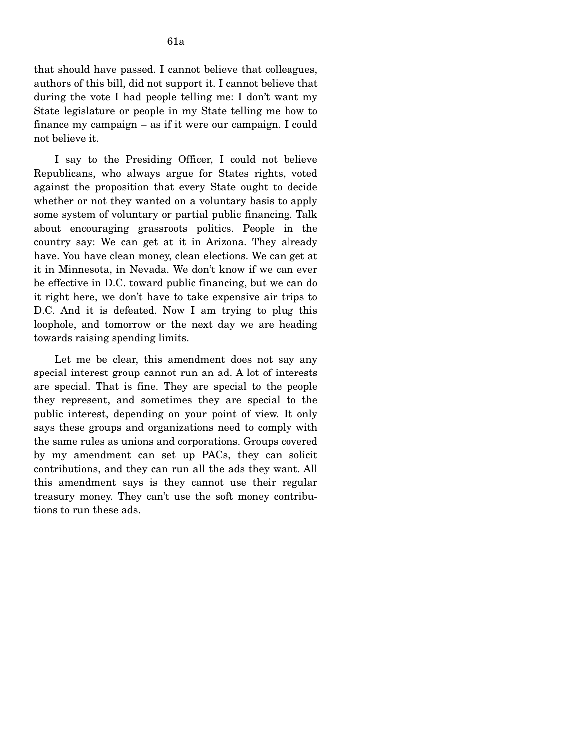that should have passed. I cannot believe that colleagues, authors of this bill, did not support it. I cannot believe that during the vote I had people telling me: I don't want my State legislature or people in my State telling me how to finance my campaign – as if it were our campaign. I could not believe it.

I say to the Presiding Officer, I could not believe Republicans, who always argue for States rights, voted against the proposition that every State ought to decide whether or not they wanted on a voluntary basis to apply some system of voluntary or partial public financing. Talk about encouraging grassroots politics. People in the country say: We can get at it in Arizona. They already have. You have clean money, clean elections. We can get at it in Minnesota, in Nevada. We don't know if we can ever be effective in D.C. toward public financing, but we can do it right here, we don't have to take expensive air trips to D.C. And it is defeated. Now I am trying to plug this loophole, and tomorrow or the next day we are heading towards raising spending limits.

Let me be clear, this amendment does not say any special interest group cannot run an ad. A lot of interests are special. That is fine. They are special to the people they represent, and sometimes they are special to the public interest, depending on your point of view. It only says these groups and organizations need to comply with the same rules as unions and corporations. Groups covered by my amendment can set up PACs, they can solicit contributions, and they can run all the ads they want. All this amendment says is they cannot use their regular treasury money. They can't use the soft money contributions to run these ads.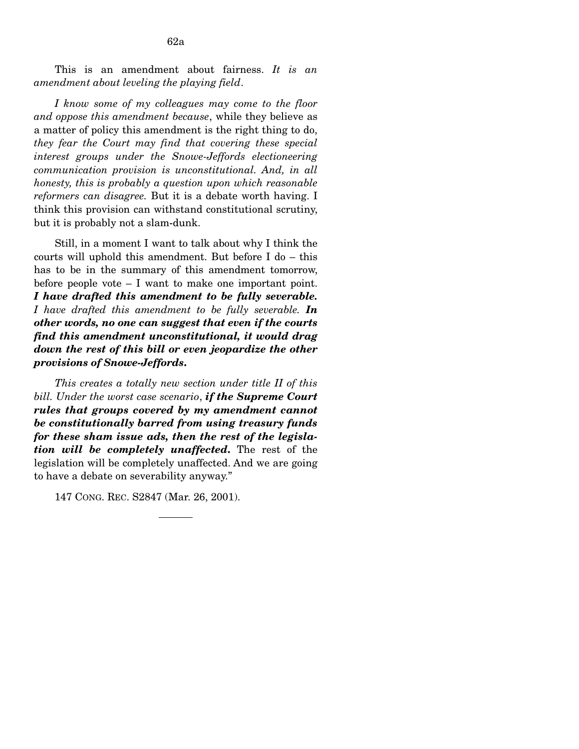This is an amendment about fairness. *It is an amendment about leveling the playing field*.

*I know some of my colleagues may come to the floor and oppose this amendment because*, while they believe as a matter of policy this amendment is the right thing to do, *they fear the Court may find that covering these special interest groups under the Snowe-Jeffords electioneering communication provision is unconstitutional. And, in all honesty, this is probably a question upon which reasonable reformers can disagree.* But it is a debate worth having. I think this provision can withstand constitutional scrutiny, but it is probably not a slam-dunk.

Still, in a moment I want to talk about why I think the courts will uphold this amendment. But before I do – this has to be in the summary of this amendment tomorrow, before people vote – I want to make one important point. *I have drafted this amendment to be fully severable. I have drafted this amendment to be fully severable. In other words, no one can suggest that even if the courts find this amendment unconstitutional, it would drag down the rest of this bill or even jeopardize the other provisions of Snowe-Jeffords***.** 

*This creates a totally new section under title II of this bill. Under the worst case scenario*, *if the Supreme Court rules that groups covered by my amendment cannot be constitutionally barred from using treasury funds for these sham issue ads, then the rest of the legislation will be completely unaffected***.** The rest of the legislation will be completely unaffected. And we are going to have a debate on severability anyway."

147 CONG. REC. S2847 (Mar. 26, 2001).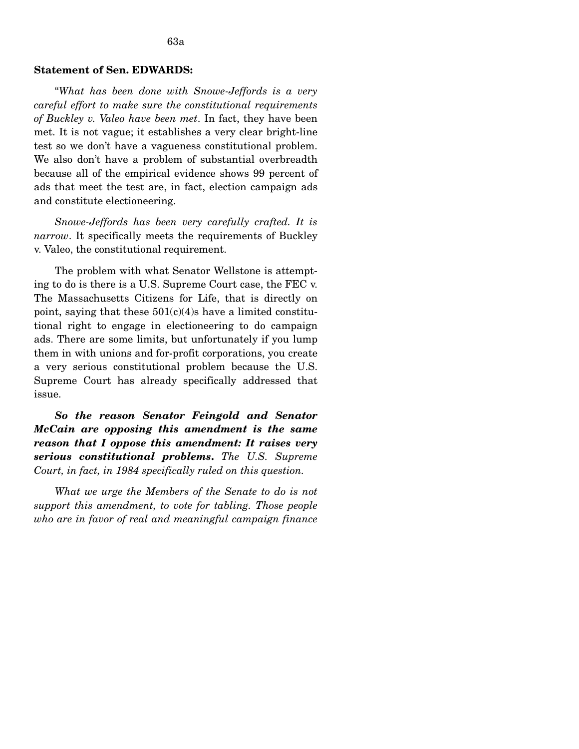## **Statement of Sen. EDWARDS:**

"*What has been done with Snowe-Jeffords is a very careful effort to make sure the constitutional requirements of Buckley v. Valeo have been met*. In fact, they have been met. It is not vague; it establishes a very clear bright-line test so we don't have a vagueness constitutional problem. We also don't have a problem of substantial overbreadth because all of the empirical evidence shows 99 percent of ads that meet the test are, in fact, election campaign ads and constitute electioneering.

*Snowe-Jeffords has been very carefully crafted. It is narrow*. It specifically meets the requirements of Buckley v. Valeo, the constitutional requirement.

The problem with what Senator Wellstone is attempting to do is there is a U.S. Supreme Court case, the FEC v. The Massachusetts Citizens for Life, that is directly on point, saying that these  $501(c)(4)$ s have a limited constitutional right to engage in electioneering to do campaign ads. There are some limits, but unfortunately if you lump them in with unions and for-profit corporations, you create a very serious constitutional problem because the U.S. Supreme Court has already specifically addressed that issue.

*So the reason Senator Feingold and Senator McCain are opposing this amendment is the same reason that I oppose this amendment: It raises very serious constitutional problems***.** *The U.S. Supreme Court, in fact, in 1984 specifically ruled on this question.* 

*What we urge the Members of the Senate to do is not support this amendment, to vote for tabling. Those people who are in favor of real and meaningful campaign finance*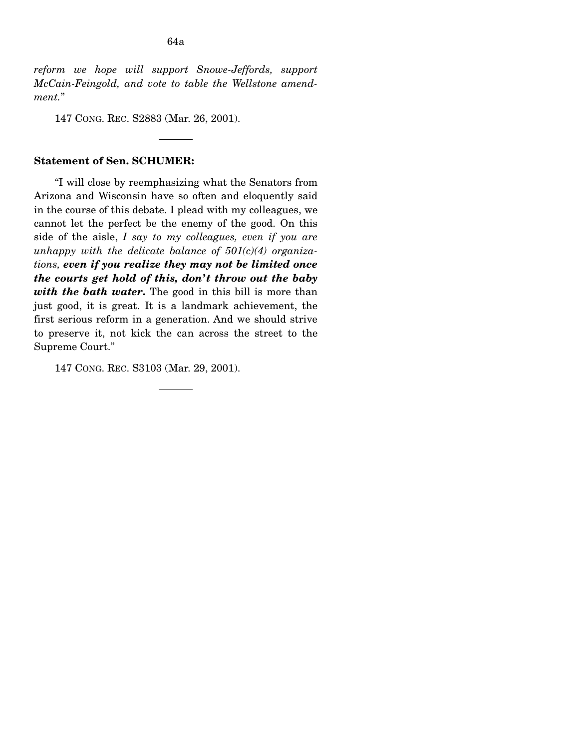*reform we hope will support Snowe-Jeffords, support McCain-Feingold, and vote to table the Wellstone amendment.*"

147 CONG. REC. S2883 (Mar. 26, 2001).

### **Statement of Sen. SCHUMER:**

"I will close by reemphasizing what the Senators from Arizona and Wisconsin have so often and eloquently said in the course of this debate. I plead with my colleagues, we cannot let the perfect be the enemy of the good. On this side of the aisle, *I say to my colleagues, even if you are unhappy with the delicate balance of 501(c)(4) organizations, even if you realize they may not be limited once the courts get hold of this, don't throw out the baby with the bath water***.** The good in this bill is more than just good, it is great. It is a landmark achievement, the first serious reform in a generation. And we should strive to preserve it, not kick the can across the street to the Supreme Court."

147 CONG. REC. S3103 (Mar. 29, 2001).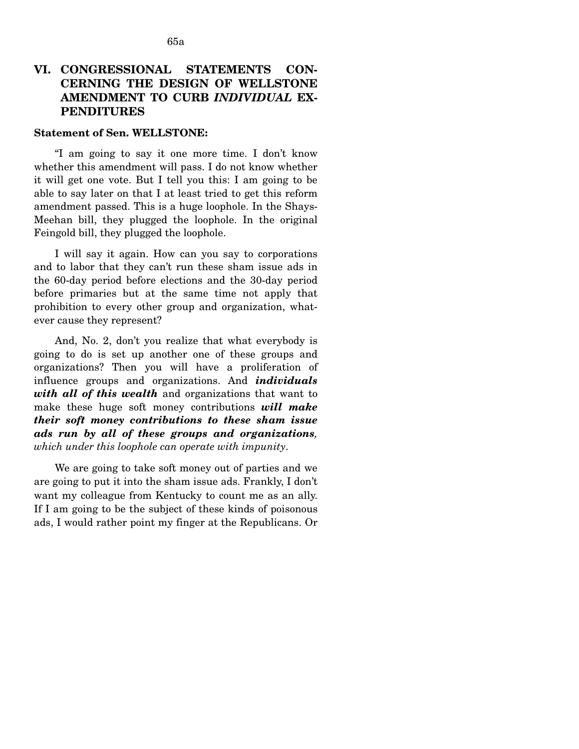# VI. CONGRESSIONAL STATEMENTS CON-**CERNING THE DESIGN OF WELLSTONE AMENDMENT TO CURB** *INDIVIDUAL* **EX-PENDITURES**

### **Statement of Sen. WELLSTONE:**

"I am going to say it one more time. I don't know whether this amendment will pass. I do not know whether it will get one vote. But I tell you this: I am going to be able to say later on that I at least tried to get this reform amendment passed. This is a huge loophole. In the Shays-Meehan bill, they plugged the loophole. In the original Feingold bill, they plugged the loophole.

I will say it again. How can you say to corporations and to labor that they can't run these sham issue ads in the 60-day period before elections and the 30-day period before primaries but at the same time not apply that prohibition to every other group and organization, whatever cause they represent?

And, No. 2, don't you realize that what everybody is going to do is set up another one of these groups and organizations? Then you will have a proliferation of influence groups and organizations. And *individuals with all of this wealth* and organizations that want to make these huge soft money contributions *will make their soft money contributions to these sham issue ads run by all of these groups and organizations, which under this loophole can operate with impunity*.

We are going to take soft money out of parties and we are going to put it into the sham issue ads. Frankly, I don't want my colleague from Kentucky to count me as an ally. If I am going to be the subject of these kinds of poisonous ads, I would rather point my finger at the Republicans. Or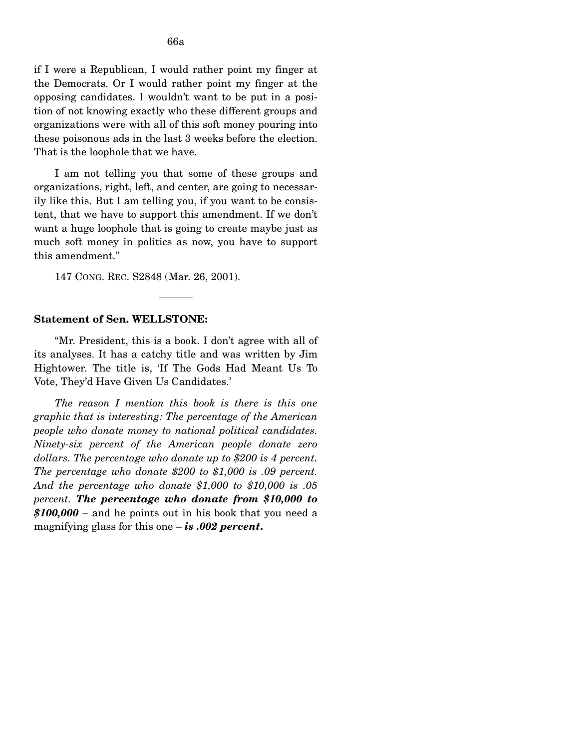if I were a Republican, I would rather point my finger at the Democrats. Or I would rather point my finger at the opposing candidates. I wouldn't want to be put in a position of not knowing exactly who these different groups and organizations were with all of this soft money pouring into these poisonous ads in the last 3 weeks before the election. That is the loophole that we have.

I am not telling you that some of these groups and organizations, right, left, and center, are going to necessarily like this. But I am telling you, if you want to be consistent, that we have to support this amendment. If we don't want a huge loophole that is going to create maybe just as much soft money in politics as now, you have to support this amendment."

147 CONG. REC. S2848 (Mar. 26, 2001).

### **Statement of Sen. WELLSTONE:**

"Mr. President, this is a book. I don't agree with all of its analyses. It has a catchy title and was written by Jim Hightower. The title is, 'If The Gods Had Meant Us To Vote, They'd Have Given Us Candidates.'

*The reason I mention this book is there is this one graphic that is interesting: The percentage of the American people who donate money to national political candidates. Ninety-six percent of the American people donate zero dollars. The percentage who donate up to \$200 is 4 percent. The percentage who donate \$200 to \$1,000 is .09 percent. And the percentage who donate \$1,000 to \$10,000 is .05 percent. The percentage who donate from \$10,000 to \$100,000* – and he points out in his book that you need a magnifying glass for this one – *is .002 percent***.**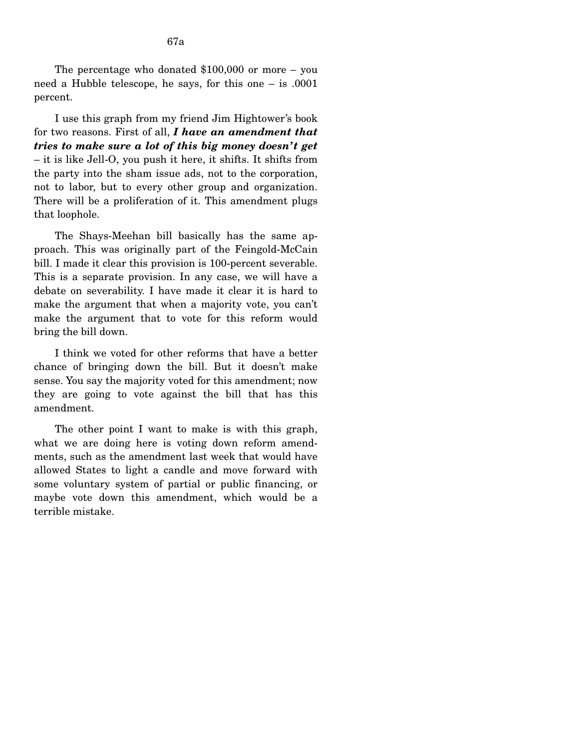The percentage who donated \$100,000 or more – you need a Hubble telescope, he says, for this one – is .0001 percent.

I use this graph from my friend Jim Hightower's book for two reasons. First of all, *I have an amendment that tries to make sure a lot of this big money doesn't get* – it is like Jell-O, you push it here, it shifts. It shifts from the party into the sham issue ads, not to the corporation, not to labor, but to every other group and organization. There will be a proliferation of it. This amendment plugs that loophole.

The Shays-Meehan bill basically has the same approach. This was originally part of the Feingold-McCain bill. I made it clear this provision is 100-percent severable. This is a separate provision. In any case, we will have a debate on severability. I have made it clear it is hard to make the argument that when a majority vote, you can't make the argument that to vote for this reform would bring the bill down.

I think we voted for other reforms that have a better chance of bringing down the bill. But it doesn't make sense. You say the majority voted for this amendment; now they are going to vote against the bill that has this amendment.

The other point I want to make is with this graph, what we are doing here is voting down reform amendments, such as the amendment last week that would have allowed States to light a candle and move forward with some voluntary system of partial or public financing, or maybe vote down this amendment, which would be a terrible mistake.